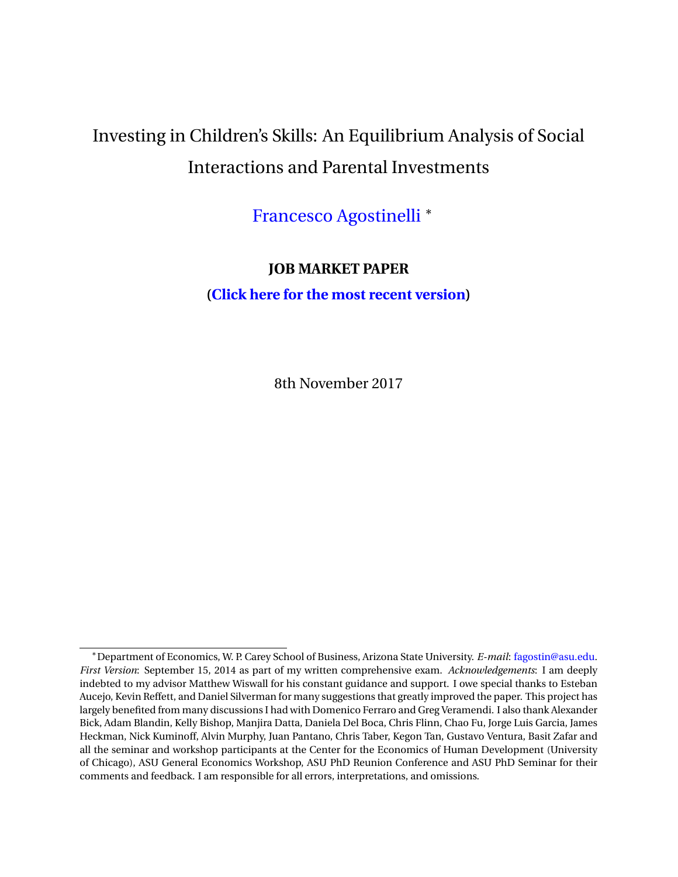# Investing in Children's Skills: An Equilibrium Analysis of Social Interactions and Parental Investments

[Francesco Agostinelli](http://francesco-agostinelli.weebly.com/) <sup>∗</sup>

# **JOB MARKET PAPER**

**[\(Click here for the most recent version\)](https://drive.google.com/open?id=0B5uppgq4hFdcOXdDUWNxcHRycVk)**

8th November 2017

<sup>∗</sup>Department of Economics, W. P. Carey School of Business, Arizona State University. *E-mail*: fagostin@asu.edu. *First Version*: September 15, 2014 as part of my written comprehensive exam. *Acknowledgements*: I am deeply indebted to my advisor Matthew Wiswall for his constant guidance and support. I owe special thanks to Esteban Aucejo, Kevin Reffett, and Daniel Silverman for many suggestions that greatly improved the paper. This project has largely benefited from many discussions I had with Domenico Ferraro and Greg Veramendi. I also thank Alexander Bick, Adam Blandin, Kelly Bishop, Manjira Datta, Daniela Del Boca, Chris Flinn, Chao Fu, Jorge Luis Garcia, James Heckman, Nick Kuminoff, Alvin Murphy, Juan Pantano, Chris Taber, Kegon Tan, Gustavo Ventura, Basit Zafar and all the seminar and workshop participants at the Center for the Economics of Human Development (University of Chicago), ASU General Economics Workshop, ASU PhD Reunion Conference and ASU PhD Seminar for their comments and feedback. I am responsible for all errors, interpretations, and omissions.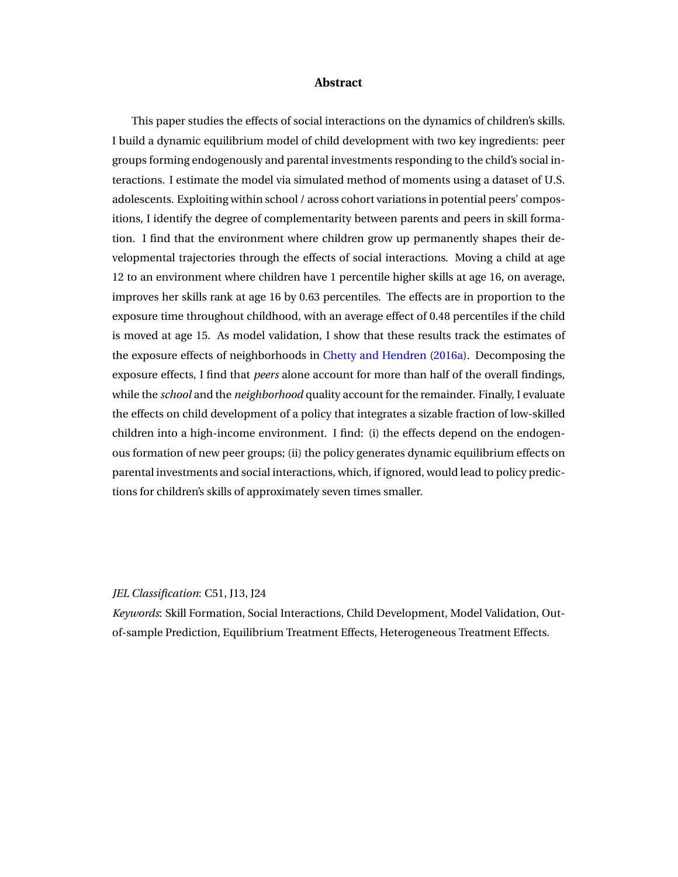#### **Abstract**

This paper studies the effects of social interactions on the dynamics of children's skills. I build a dynamic equilibrium model of child development with two key ingredients: peer groups forming endogenously and parental investments responding to the child's social interactions. I estimate the model via simulated method of moments using a dataset of U.S. adolescents. Exploiting within school / across cohort variations in potential peers' compositions, I identify the degree of complementarity between parents and peers in skill formation. I find that the environment where children grow up permanently shapes their developmental trajectories through the effects of social interactions. Moving a child at age 12 to an environment where children have 1 percentile higher skills at age 16, on average, improves her skills rank at age 16 by 0.63 percentiles. The effects are in proportion to the exposure time throughout childhood, with an average effect of 0.48 percentiles if the child is moved at age 15. As model validation, I show that these results track the estimates of the exposure effects of neighborhoods in [Chetty and Hendren](#page-50-0) [\(2016a\)](#page-50-0). Decomposing the exposure effects, I find that *peers* alone account for more than half of the overall findings, while the *school* and the *neighborhood* quality account for the remainder. Finally, I evaluate the effects on child development of a policy that integrates a sizable fraction of low-skilled children into a high-income environment. I find: (i) the effects depend on the endogenous formation of new peer groups; (ii) the policy generates dynamic equilibrium effects on parental investments and social interactions, which, if ignored, would lead to policy predictions for children's skills of approximately seven times smaller.

#### *JEL Classification*: C51, J13, J24

*Keywords*: Skill Formation, Social Interactions, Child Development, Model Validation, Outof-sample Prediction, Equilibrium Treatment Effects, Heterogeneous Treatment Effects.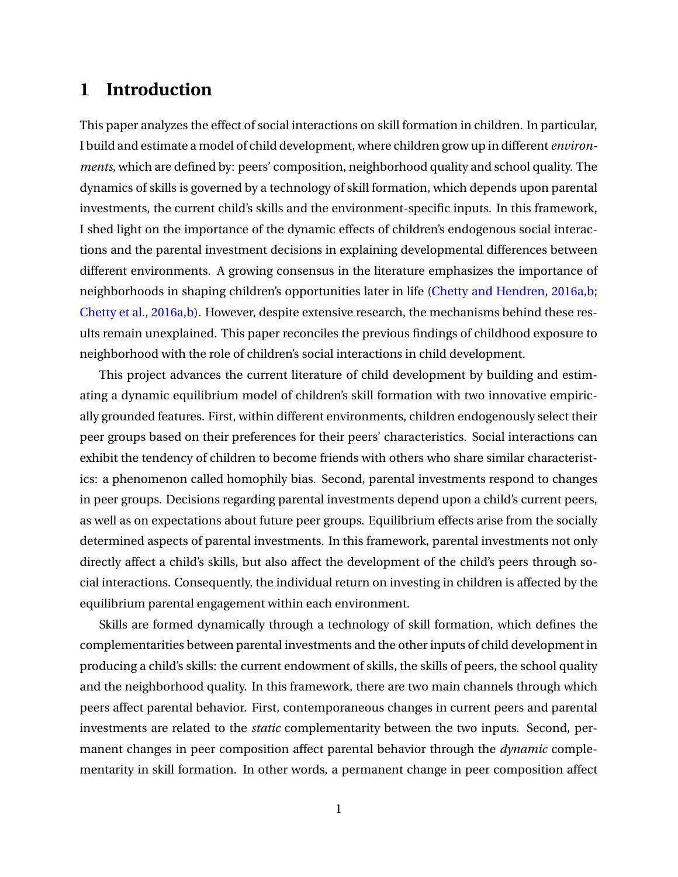# **1 Introduction**

This paper analyzes the effect of social interactions on skill formation in children. In particular, I build and estimate a model of child development, where children grow up in different *environments*, which are defined by: peers' composition, neighborhood quality and school quality. The dynamics of skills is governed by a technology of skill formation, which depends upon parental investments, the current child's skills and the environment-specific inputs. In this framework, I shed light on the importance of the dynamic effects of children's endogenous social interactions and the parental investment decisions in explaining developmental differences between different environments. A growing consensus in the literature emphasizes the importance of neighborhoods in shaping children's opportunities later in life [\(Chetty and Hendren,](#page-50-0) [2016a](#page-50-0)[,b;](#page-50-1) [Chetty et al.,](#page-50-2) [2016a,](#page-50-2)[b\)](#page-50-3). However, despite extensive research, the mechanisms behind these results remain unexplained. This paper reconciles the previous findings of childhood exposure to neighborhood with the role of children's social interactions in child development.

This project advances the current literature of child development by building and estimating a dynamic equilibrium model of children's skill formation with two innovative empirically grounded features. First, within different environments, children endogenously select their peer groups based on their preferences for their peers' characteristics. Social interactions can exhibit the tendency of children to become friends with others who share similar characteristics: a phenomenon called homophily bias. Second, parental investments respond to changes in peer groups. Decisions regarding parental investments depend upon a child's current peers, as well as on expectations about future peer groups. Equilibrium effects arise from the socially determined aspects of parental investments. In this framework, parental investments not only directly affect a child's skills, but also affect the development of the child's peers through social interactions. Consequently, the individual return on investing in children is affected by the equilibrium parental engagement within each environment.

Skills are formed dynamically through a technology of skill formation, which defines the complementarities between parental investments and the other inputs of child development in producing a child's skills: the current endowment of skills, the skills of peers, the school quality and the neighborhood quality. In this framework, there are two main channels through which peers affect parental behavior. First, contemporaneous changes in current peers and parental investments are related to the *static* complementarity between the two inputs. Second, permanent changes in peer composition affect parental behavior through the *dynamic* complementarity in skill formation. In other words, a permanent change in peer composition affect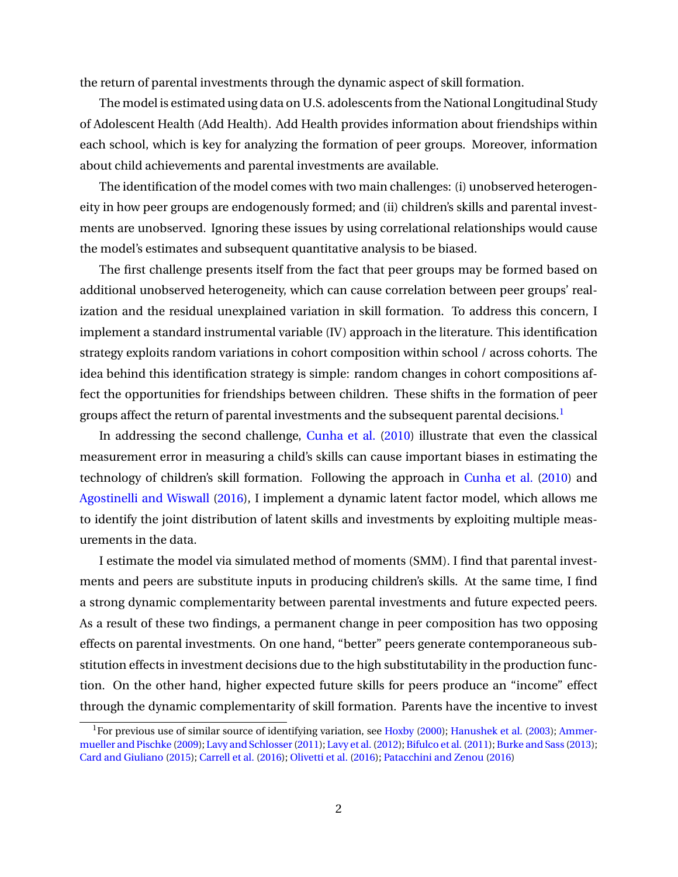the return of parental investments through the dynamic aspect of skill formation.

The model is estimated using data on U.S. adolescents from the National Longitudinal Study of Adolescent Health (Add Health). Add Health provides information about friendships within each school, which is key for analyzing the formation of peer groups. Moreover, information about child achievements and parental investments are available.

The identification of the model comes with two main challenges: (i) unobserved heterogeneity in how peer groups are endogenously formed; and (ii) children's skills and parental investments are unobserved. Ignoring these issues by using correlational relationships would cause the model's estimates and subsequent quantitative analysis to be biased.

The first challenge presents itself from the fact that peer groups may be formed based on additional unobserved heterogeneity, which can cause correlation between peer groups' realization and the residual unexplained variation in skill formation. To address this concern, I implement a standard instrumental variable (IV) approach in the literature. This identification strategy exploits random variations in cohort composition within school / across cohorts. The idea behind this identification strategy is simple: random changes in cohort compositions affect the opportunities for friendships between children. These shifts in the formation of peer groups affect the return of parental investments and the subsequent parental decisions.<sup>[1](#page-3-0)</sup>

In addressing the second challenge, [Cunha et al.](#page-50-4) [\(2010\)](#page-50-4) illustrate that even the classical measurement error in measuring a child's skills can cause important biases in estimating the technology of children's skill formation. Following the approach in [Cunha et al.](#page-50-4) [\(2010\)](#page-50-4) and [Agostinelli and Wiswall](#page-48-0) [\(2016\)](#page-48-0), I implement a dynamic latent factor model, which allows me to identify the joint distribution of latent skills and investments by exploiting multiple measurements in the data.

I estimate the model via simulated method of moments (SMM). I find that parental investments and peers are substitute inputs in producing children's skills. At the same time, I find a strong dynamic complementarity between parental investments and future expected peers. As a result of these two findings, a permanent change in peer composition has two opposing effects on parental investments. On one hand, "better" peers generate contemporaneous substitution effects in investment decisions due to the high substitutability in the production function. On the other hand, higher expected future skills for peers produce an "income" effect through the dynamic complementarity of skill formation. Parents have the incentive to invest

<span id="page-3-0"></span><sup>&</sup>lt;sup>1</sup>For previous use of similar source of identifying variation, see [Hoxby](#page-52-0) [\(2000\)](#page-52-0); [Hanushek et al.](#page-52-1) [\(2003\)](#page-52-1); [Ammer](#page-48-1)[mueller and Pischke](#page-48-1) [\(2009\)](#page-48-1); [Lavy and Schlosser\(2011\)](#page-52-2); [Lavy et al.\(2012\)](#page-52-3); [Bifulco et al.\(2011\)](#page-49-0); [Burke and Sass](#page-49-1) [\(2013\)](#page-49-1); [Card and Giuliano](#page-49-2) [\(2015\)](#page-49-2); [Carrell et al.](#page-49-3) [\(2016\)](#page-49-3); [Olivetti et al.](#page-53-0) [\(2016\)](#page-53-0); [Patacchini and Zenou](#page-53-1) [\(2016\)](#page-53-1)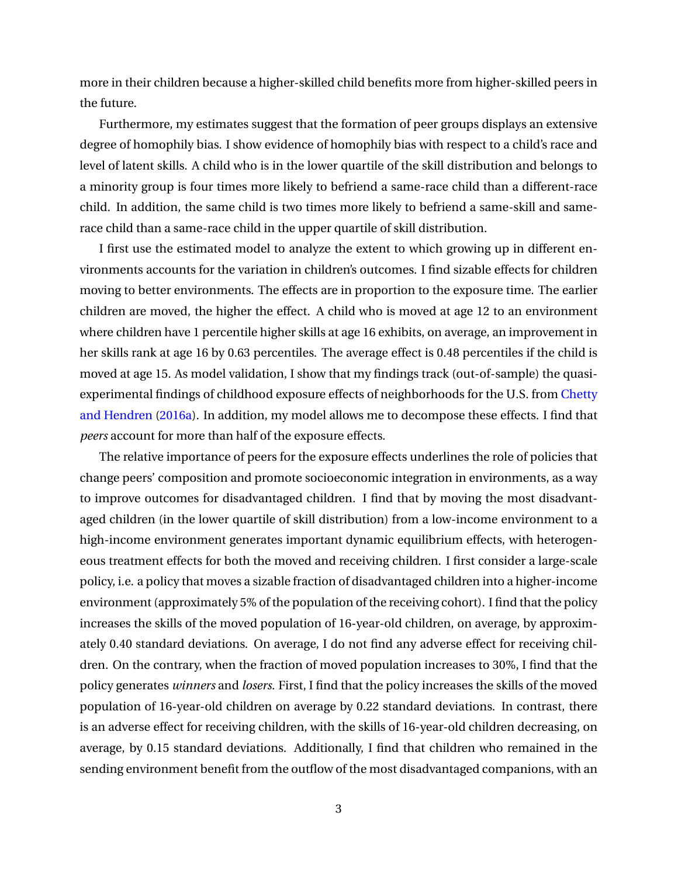more in their children because a higher-skilled child benefits more from higher-skilled peers in the future.

Furthermore, my estimates suggest that the formation of peer groups displays an extensive degree of homophily bias. I show evidence of homophily bias with respect to a child's race and level of latent skills. A child who is in the lower quartile of the skill distribution and belongs to a minority group is four times more likely to befriend a same-race child than a different-race child. In addition, the same child is two times more likely to befriend a same-skill and samerace child than a same-race child in the upper quartile of skill distribution.

I first use the estimated model to analyze the extent to which growing up in different environments accounts for the variation in children's outcomes. I find sizable effects for children moving to better environments. The effects are in proportion to the exposure time. The earlier children are moved, the higher the effect. A child who is moved at age 12 to an environment where children have 1 percentile higher skills at age 16 exhibits, on average, an improvement in her skills rank at age 16 by 0.63 percentiles. The average effect is 0.48 percentiles if the child is moved at age 15. As model validation, I show that my findings track (out-of-sample) the quasiexperimental findings of childhood exposure effects of neighborhoods for the U.S. from [Chetty](#page-50-0) [and Hendren](#page-50-0) [\(2016a\)](#page-50-0). In addition, my model allows me to decompose these effects. I find that *peers* account for more than half of the exposure effects.

The relative importance of peers for the exposure effects underlines the role of policies that change peers' composition and promote socioeconomic integration in environments, as a way to improve outcomes for disadvantaged children. I find that by moving the most disadvantaged children (in the lower quartile of skill distribution) from a low-income environment to a high-income environment generates important dynamic equilibrium effects, with heterogeneous treatment effects for both the moved and receiving children. I first consider a large-scale policy, i.e. a policy that moves a sizable fraction of disadvantaged children into a higher-income environment (approximately 5% of the population of the receiving cohort). I find that the policy increases the skills of the moved population of 16-year-old children, on average, by approximately 0.40 standard deviations. On average, I do not find any adverse effect for receiving children. On the contrary, when the fraction of moved population increases to 30%, I find that the policy generates *winners* and *losers*. First, I find that the policy increases the skills of the moved population of 16-year-old children on average by 0.22 standard deviations. In contrast, there is an adverse effect for receiving children, with the skills of 16-year-old children decreasing, on average, by 0.15 standard deviations. Additionally, I find that children who remained in the sending environment benefit from the outflow of the most disadvantaged companions, with an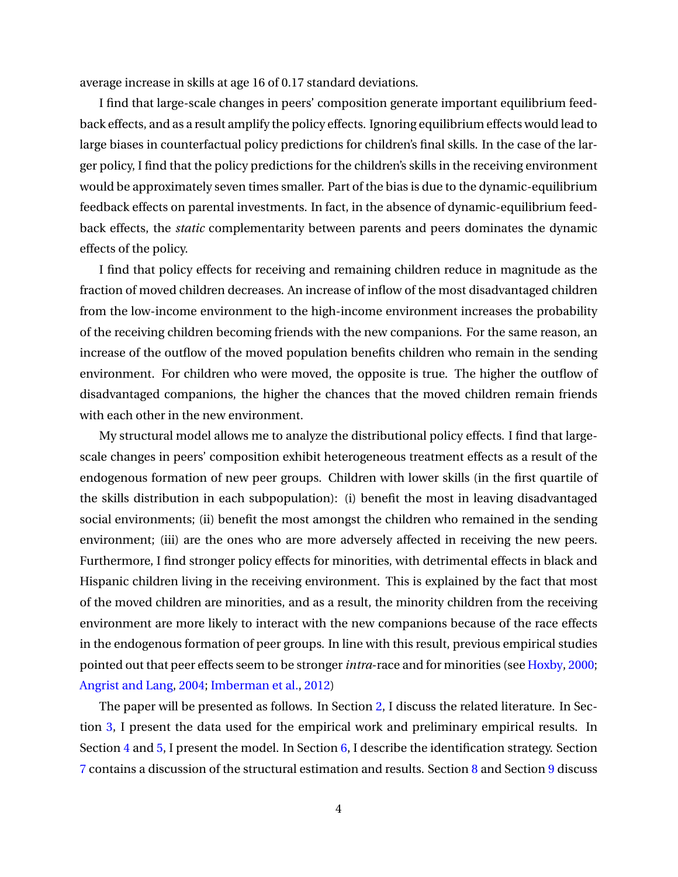average increase in skills at age 16 of 0.17 standard deviations.

I find that large-scale changes in peers' composition generate important equilibrium feedback effects, and as a result amplify the policy effects. Ignoring equilibrium effects would lead to large biases in counterfactual policy predictions for children's final skills. In the case of the larger policy, I find that the policy predictions for the children's skills in the receiving environment would be approximately seven times smaller. Part of the bias is due to the dynamic-equilibrium feedback effects on parental investments. In fact, in the absence of dynamic-equilibrium feedback effects, the *static* complementarity between parents and peers dominates the dynamic effects of the policy.

I find that policy effects for receiving and remaining children reduce in magnitude as the fraction of moved children decreases. An increase of inflow of the most disadvantaged children from the low-income environment to the high-income environment increases the probability of the receiving children becoming friends with the new companions. For the same reason, an increase of the outflow of the moved population benefits children who remain in the sending environment. For children who were moved, the opposite is true. The higher the outflow of disadvantaged companions, the higher the chances that the moved children remain friends with each other in the new environment.

My structural model allows me to analyze the distributional policy effects. I find that largescale changes in peers' composition exhibit heterogeneous treatment effects as a result of the endogenous formation of new peer groups. Children with lower skills (in the first quartile of the skills distribution in each subpopulation): (i) benefit the most in leaving disadvantaged social environments; (ii) benefit the most amongst the children who remained in the sending environment; (iii) are the ones who are more adversely affected in receiving the new peers. Furthermore, I find stronger policy effects for minorities, with detrimental effects in black and Hispanic children living in the receiving environment. This is explained by the fact that most of the moved children are minorities, and as a result, the minority children from the receiving environment are more likely to interact with the new companions because of the race effects in the endogenous formation of peer groups. In line with this result, previous empirical studies pointed out that peer effects seem to be stronger*intra*-race and for minorities (see [Hoxby,](#page-52-0) [2000;](#page-52-0) [Angrist and Lang,](#page-48-2) [2004;](#page-48-2) [Imberman et al.,](#page-52-4) [2012\)](#page-52-4)

The paper will be presented as follows. In Section [2,](#page-6-0) I discuss the related literature. In Section [3,](#page-8-0) I present the data used for the empirical work and preliminary empirical results. In Section [4](#page-15-0) and [5,](#page-26-0) I present the model. In Section [6,](#page-29-0) I describe the identification strategy. Section [7](#page-34-0) contains a discussion of the structural estimation and results. Section [8](#page-38-0) and Section [9](#page-41-0) discuss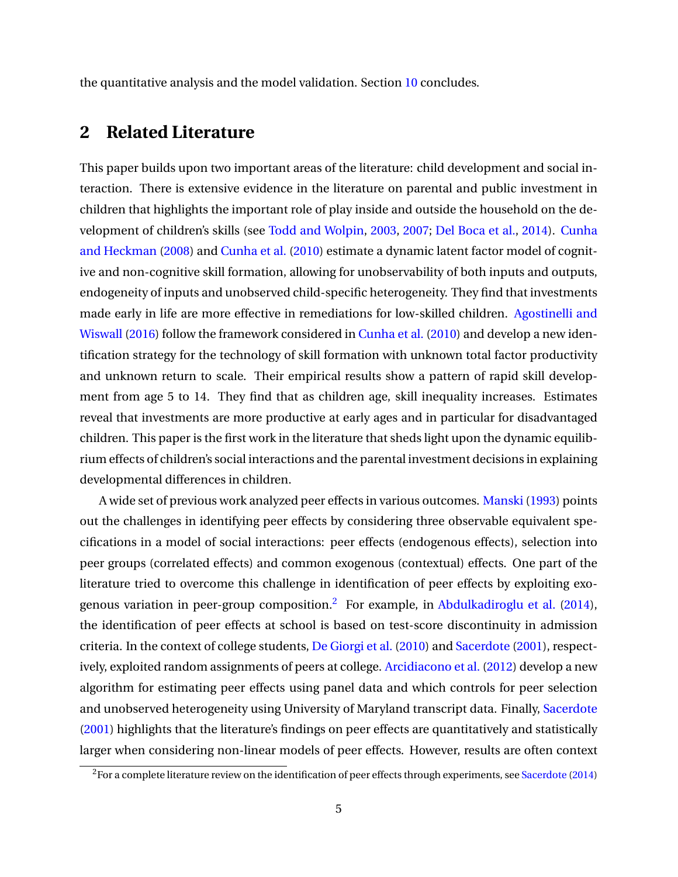the quantitative analysis and the model validation. Section [10](#page-46-0) concludes.

# <span id="page-6-0"></span>**2 Related Literature**

This paper builds upon two important areas of the literature: child development and social interaction. There is extensive evidence in the literature on parental and public investment in children that highlights the important role of play inside and outside the household on the development of children's skills (see [Todd and Wolpin,](#page-53-2) [2003,](#page-53-2) [2007;](#page-53-3) [Del Boca et al.,](#page-51-0) [2014\)](#page-51-0). [Cunha](#page-50-5) [and Heckman](#page-50-5) [\(2008\)](#page-50-5) and [Cunha et al.](#page-50-4) [\(2010\)](#page-50-4) estimate a dynamic latent factor model of cognitive and non-cognitive skill formation, allowing for unobservability of both inputs and outputs, endogeneity of inputs and unobserved child-specific heterogeneity. They find that investments made early in life are more effective in remediations for low-skilled children. [Agostinelli and](#page-48-0) [Wiswall](#page-48-0) [\(2016\)](#page-48-0) follow the framework considered in [Cunha et al.](#page-50-4) [\(2010\)](#page-50-4) and develop a new identification strategy for the technology of skill formation with unknown total factor productivity and unknown return to scale. Their empirical results show a pattern of rapid skill development from age 5 to 14. They find that as children age, skill inequality increases. Estimates reveal that investments are more productive at early ages and in particular for disadvantaged children. This paper is the first work in the literature that sheds light upon the dynamic equilibrium effects of children's social interactions and the parental investment decisions in explaining developmental differences in children.

A wide set of previous work analyzed peer effects in various outcomes. [Manski](#page-52-5) [\(1993\)](#page-52-5) points out the challenges in identifying peer effects by considering three observable equivalent specifications in a model of social interactions: peer effects (endogenous effects), selection into peer groups (correlated effects) and common exogenous (contextual) effects. One part of the literature tried to overcome this challenge in identification of peer effects by exploiting exo-genous variation in peer-group composition.<sup>[2](#page-6-1)</sup> For example, in [Abdulkadiroglu et al.](#page-48-3) [\(2014\)](#page-48-3), the identification of peer effects at school is based on test-score discontinuity in admission criteria. In the context of college students, [De Giorgi et al.](#page-51-1) [\(2010\)](#page-51-1) and [Sacerdote](#page-53-4) [\(2001\)](#page-53-4), respectively, exploited random assignments of peers at college. [Arcidiacono et al.](#page-48-4) [\(2012\)](#page-48-4) develop a new algorithm for estimating peer effects using panel data and which controls for peer selection and unobserved heterogeneity using University of Maryland transcript data. Finally, [Sacerdote](#page-53-4) [\(2001\)](#page-53-4) highlights that the literature's findings on peer effects are quantitatively and statistically larger when considering non-linear models of peer effects. However, results are often context

<span id="page-6-1"></span> $2F$ or a complete literature review on the identification of peer effects through experiments, see [Sacerdote](#page-53-5) [\(2014\)](#page-53-5)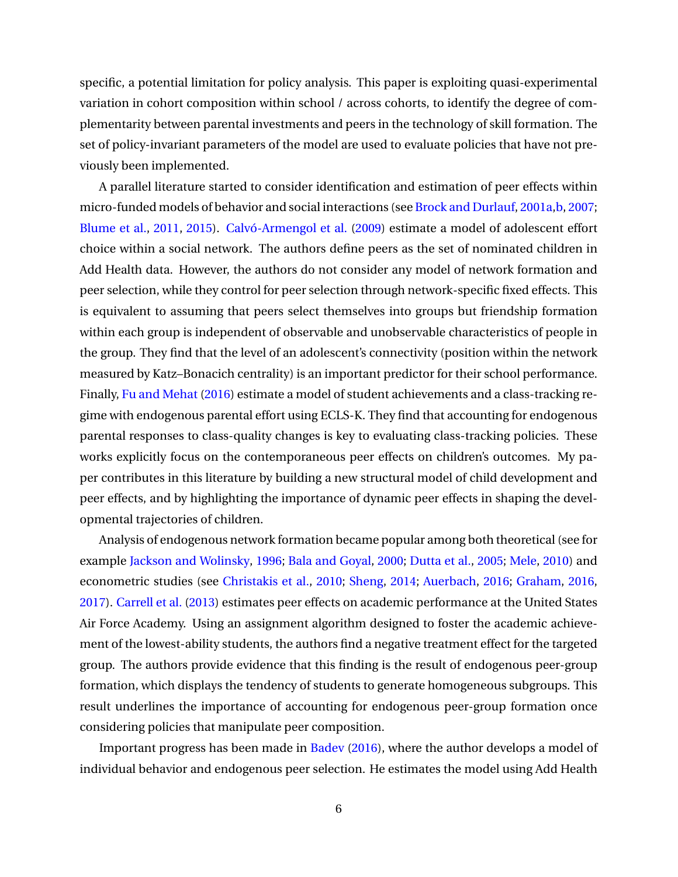specific, a potential limitation for policy analysis. This paper is exploiting quasi-experimental variation in cohort composition within school / across cohorts, to identify the degree of complementarity between parental investments and peers in the technology of skill formation. The set of policy-invariant parameters of the model are used to evaluate policies that have not previously been implemented.

A parallel literature started to consider identification and estimation of peer effects within micro-funded models of behavior and social interactions (see [Brock and Durlauf,](#page-49-4) [2001a](#page-49-4)[,b,](#page-49-5) [2007;](#page-49-6) [Blume et al.,](#page-49-7) [2011,](#page-49-7) [2015\)](#page-49-8). [Calvó-Armengol et al.](#page-49-9) [\(2009\)](#page-49-9) estimate a model of adolescent effort choice within a social network. The authors define peers as the set of nominated children in Add Health data. However, the authors do not consider any model of network formation and peer selection, while they control for peer selection through network-specific fixed effects. This is equivalent to assuming that peers select themselves into groups but friendship formation within each group is independent of observable and unobservable characteristics of people in the group. They find that the level of an adolescent's connectivity (position within the network measured by Katz–Bonacich centrality) is an important predictor for their school performance. Finally, [Fu and Mehat](#page-51-2) [\(2016\)](#page-51-2) estimate a model of student achievements and a class-tracking regime with endogenous parental effort using ECLS-K. They find that accounting for endogenous parental responses to class-quality changes is key to evaluating class-tracking policies. These works explicitly focus on the contemporaneous peer effects on children's outcomes. My paper contributes in this literature by building a new structural model of child development and peer effects, and by highlighting the importance of dynamic peer effects in shaping the developmental trajectories of children.

Analysis of endogenous network formation became popular among both theoretical (see for example [Jackson and Wolinsky,](#page-52-6) [1996;](#page-52-6) [Bala and Goyal,](#page-48-5) [2000;](#page-48-5) [Dutta et al.,](#page-51-3) [2005;](#page-51-3) [Mele,](#page-52-7) [2010\)](#page-52-7) and econometric studies (see [Christakis et al.,](#page-50-6) [2010;](#page-50-6) [Sheng,](#page-53-6) [2014;](#page-53-6) [Auerbach,](#page-48-6) [2016;](#page-48-6) [Graham,](#page-51-4) [2016,](#page-51-4) [2017\)](#page-51-5). [Carrell et al.](#page-49-10) [\(2013\)](#page-49-10) estimates peer effects on academic performance at the United States Air Force Academy. Using an assignment algorithm designed to foster the academic achievement of the lowest-ability students, the authors find a negative treatment effect for the targeted group. The authors provide evidence that this finding is the result of endogenous peer-group formation, which displays the tendency of students to generate homogeneous subgroups. This result underlines the importance of accounting for endogenous peer-group formation once considering policies that manipulate peer composition.

Important progress has been made in [Badev](#page-48-7) [\(2016\)](#page-48-7), where the author develops a model of individual behavior and endogenous peer selection. He estimates the model using Add Health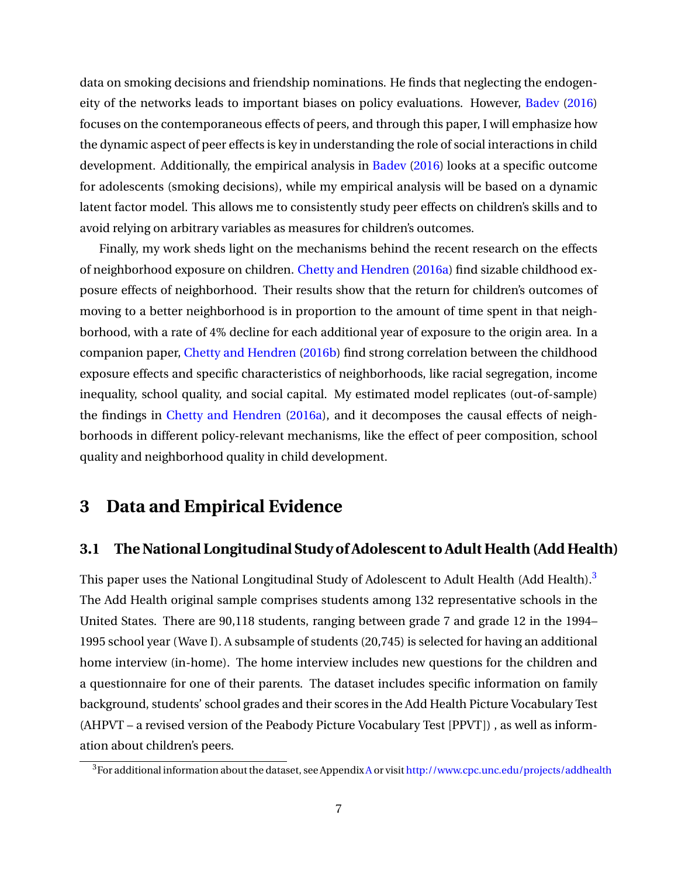data on smoking decisions and friendship nominations. He finds that neglecting the endogeneity of the networks leads to important biases on policy evaluations. However, [Badev](#page-48-7) [\(2016\)](#page-48-7) focuses on the contemporaneous effects of peers, and through this paper, I will emphasize how the dynamic aspect of peer effects is key in understanding the role of social interactions in child development. Additionally, the empirical analysis in [Badev](#page-48-7) [\(2016\)](#page-48-7) looks at a specific outcome for adolescents (smoking decisions), while my empirical analysis will be based on a dynamic latent factor model. This allows me to consistently study peer effects on children's skills and to avoid relying on arbitrary variables as measures for children's outcomes.

Finally, my work sheds light on the mechanisms behind the recent research on the effects of neighborhood exposure on children. [Chetty and Hendren](#page-50-0) [\(2016a\)](#page-50-0) find sizable childhood exposure effects of neighborhood. Their results show that the return for children's outcomes of moving to a better neighborhood is in proportion to the amount of time spent in that neighborhood, with a rate of 4% decline for each additional year of exposure to the origin area. In a companion paper, [Chetty and Hendren](#page-50-1) [\(2016b\)](#page-50-1) find strong correlation between the childhood exposure effects and specific characteristics of neighborhoods, like racial segregation, income inequality, school quality, and social capital. My estimated model replicates (out-of-sample) the findings in [Chetty and Hendren](#page-50-0) [\(2016a\)](#page-50-0), and it decomposes the causal effects of neighborhoods in different policy-relevant mechanisms, like the effect of peer composition, school quality and neighborhood quality in child development.

# <span id="page-8-0"></span>**3 Data and Empirical Evidence**

## **3.1 The National Longitudinal Study of Adolescent to Adult Health (Add Health)**

This paper uses the National Longitudinal Study of Adolescent to Adult Health (Add Health).<sup>[3](#page-8-1)</sup> The Add Health original sample comprises students among 132 representative schools in the United States. There are 90,118 students, ranging between grade 7 and grade 12 in the 1994– 1995 school year (Wave I). A subsample of students (20,745) is selected for having an additional home interview (in-home). The home interview includes new questions for the children and a questionnaire for one of their parents. The dataset includes specific information on family background, students' school grades and their scores in the Add Health Picture Vocabulary Test (AHPVT – a revised version of the Peabody Picture Vocabulary Test [PPVT]) , as well as information about children's peers.

<span id="page-8-1"></span><sup>&</sup>lt;sup>3</sup>For additional information about the dataset, see [A](#page-76-0)ppendix A or visit <http://www.cpc.unc.edu/projects/addhealth>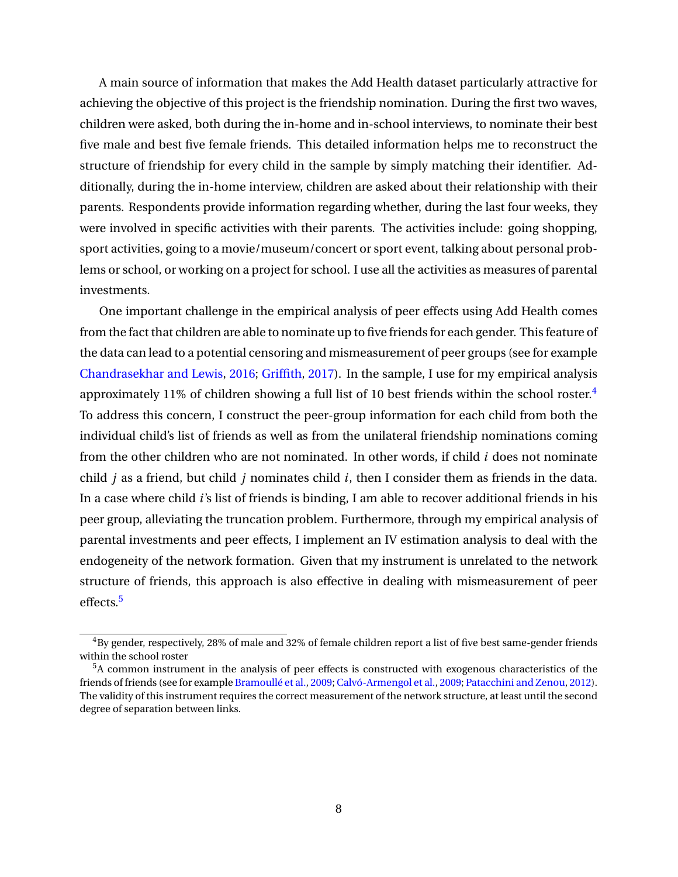A main source of information that makes the Add Health dataset particularly attractive for achieving the objective of this project is the friendship nomination. During the first two waves, children were asked, both during the in-home and in-school interviews, to nominate their best five male and best five female friends. This detailed information helps me to reconstruct the structure of friendship for every child in the sample by simply matching their identifier. Additionally, during the in-home interview, children are asked about their relationship with their parents. Respondents provide information regarding whether, during the last four weeks, they were involved in specific activities with their parents. The activities include: going shopping, sport activities, going to a movie/museum/concert or sport event, talking about personal problems or school, or working on a project for school. I use all the activities as measures of parental investments.

One important challenge in the empirical analysis of peer effects using Add Health comes from the fact that children are able to nominate up to five friends for each gender. This feature of the data can lead to a potential censoring and mismeasurement of peer groups (see for example [Chandrasekhar and Lewis,](#page-50-7) [2016;](#page-50-7) [Griffith,](#page-52-8) [2017\)](#page-52-8). In the sample, I use for my empirical analysis approximately 11% of children showing a full list of 10 best friends within the school roster.[4](#page-9-0) To address this concern, I construct the peer-group information for each child from both the individual child's list of friends as well as from the unilateral friendship nominations coming from the other children who are not nominated. In other words, if child *i* does not nominate child *j* as a friend, but child *j* nominates child *i*, then I consider them as friends in the data. In a case where child *i*'s list of friends is binding, I am able to recover additional friends in his peer group, alleviating the truncation problem. Furthermore, through my empirical analysis of parental investments and peer effects, I implement an IV estimation analysis to deal with the endogeneity of the network formation. Given that my instrument is unrelated to the network structure of friends, this approach is also effective in dealing with mismeasurement of peer effects.<sup>[5](#page-9-1)</sup>

<span id="page-9-0"></span> $4By$  gender, respectively, 28% of male and 32% of female children report a list of five best same-gender friends within the school roster

<span id="page-9-1"></span><sup>5</sup>A common instrument in the analysis of peer effects is constructed with exogenous characteristics of the friends of friends (see for example [Bramoullé et al.,](#page-49-11) [2009;](#page-49-11) [Calvó-Armengol et al.,](#page-49-9) [2009;](#page-49-9) [Patacchini and Zenou,](#page-53-7) [2012\)](#page-53-7). The validity of this instrument requires the correct measurement of the network structure, at least until the second degree of separation between links.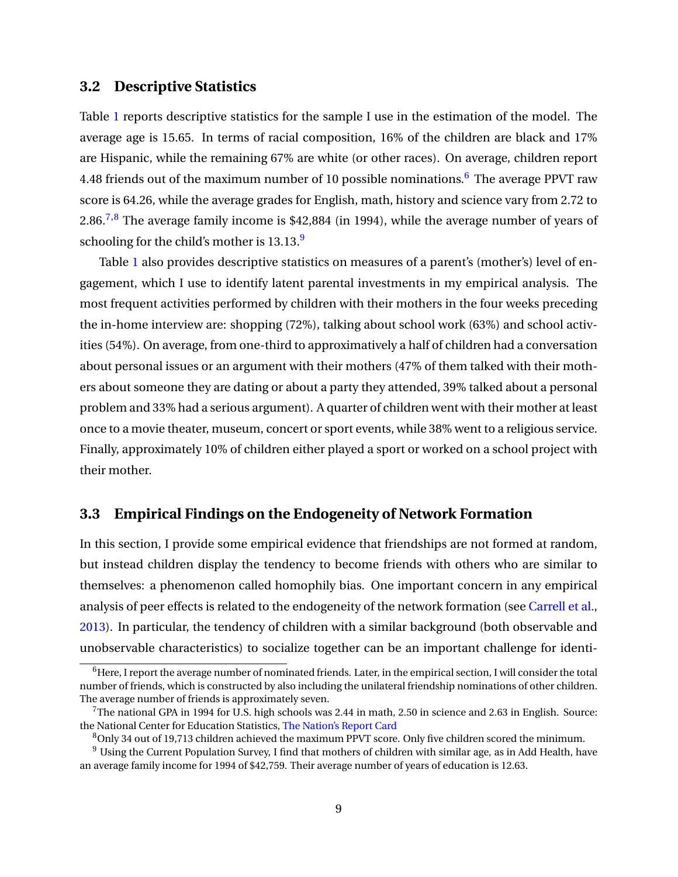## **3.2 Descriptive Statistics**

Table [1](#page-54-0) reports descriptive statistics for the sample I use in the estimation of the model. The average age is 15.65. In terms of racial composition, 16% of the children are black and 17% are Hispanic, while the remaining 67% are white (or other races). On average, children report 4.48 friends out of the maximum number of 10 possible nominations.<sup>[6](#page-10-0)</sup> The average PPVT raw score is 64.26, while the average grades for English, math, history and science vary from 2.72 to 2.86.<sup>[7,](#page-10-1)[8](#page-10-2)</sup> The average family income is \$42,884 (in 1994), while the average number of years of schooling for the child's mother is  $13.13$ .<sup>[9](#page-10-3)</sup>

Table [1](#page-54-0) also provides descriptive statistics on measures of a parent's (mother's) level of engagement, which I use to identify latent parental investments in my empirical analysis. The most frequent activities performed by children with their mothers in the four weeks preceding the in-home interview are: shopping (72%), talking about school work (63%) and school activities (54%). On average, from one-third to approximatively a half of children had a conversation about personal issues or an argument with their mothers (47% of them talked with their mothers about someone they are dating or about a party they attended, 39% talked about a personal problem and 33% had a serious argument). A quarter of children went with their mother at least once to a movie theater, museum, concert or sport events, while 38% went to a religious service. Finally, approximately 10% of children either played a sport or worked on a school project with their mother.

# <span id="page-10-4"></span>**3.3 Empirical Findings on the Endogeneity of Network Formation**

In this section, I provide some empirical evidence that friendships are not formed at random, but instead children display the tendency to become friends with others who are similar to themselves: a phenomenon called homophily bias. One important concern in any empirical analysis of peer effects is related to the endogeneity of the network formation (see [Carrell et al.,](#page-49-10) [2013\)](#page-49-10). In particular, the tendency of children with a similar background (both observable and unobservable characteristics) to socialize together can be an important challenge for identi-

<span id="page-10-0"></span> $6$ Here, I report the average number of nominated friends. Later, in the empirical section, I will consider the total number of friends, which is constructed by also including the unilateral friendship nominations of other children. The average number of friends is approximately seven.

<span id="page-10-1"></span> $7$ The national GPA in 1994 for U.S. high schools was 2.44 in math, 2.50 in science and 2.63 in English. Source: the National Center for Education Statistics, [The Nation's Report Card](https://nces.ed.gov/nationsreportcard/pdf/studies/2011462.pdf?$_$ga=1.239818315.931572072.1438358434)

<span id="page-10-3"></span><span id="page-10-2"></span> $8$ Only 34 out of 19,713 children achieved the maximum PPVT score. Only five children scored the minimum.

 $9$  Using the Current Population Survey, I find that mothers of children with similar age, as in Add Health, have an average family income for 1994 of \$42,759. Their average number of years of education is 12.63.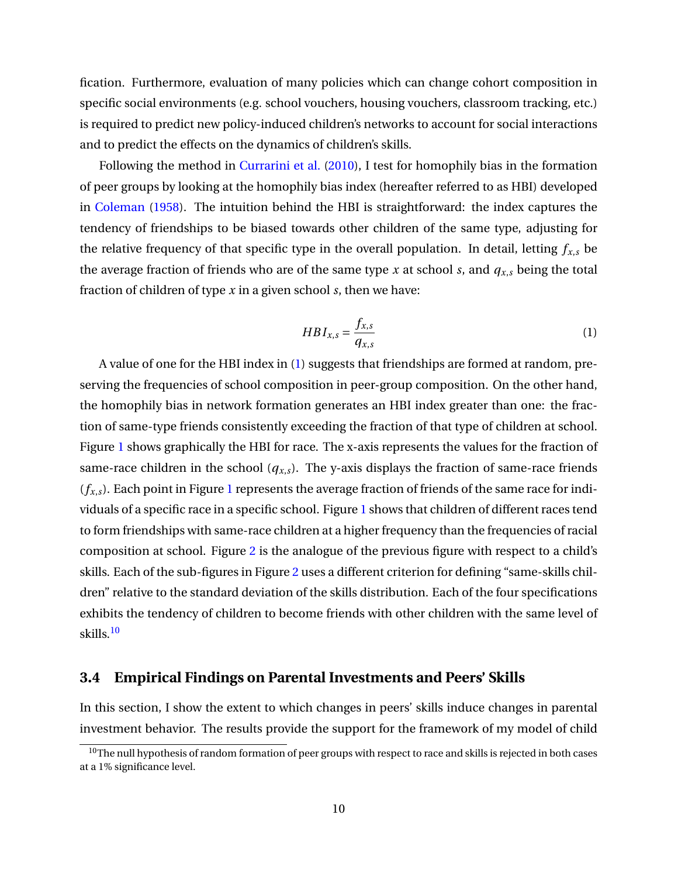fication. Furthermore, evaluation of many policies which can change cohort composition in specific social environments (e.g. school vouchers, housing vouchers, classroom tracking, etc.) is required to predict new policy-induced children's networks to account for social interactions and to predict the effects on the dynamics of children's skills.

Following the method in [Currarini et al.](#page-51-6) [\(2010\)](#page-51-6), I test for homophily bias in the formation of peer groups by looking at the homophily bias index (hereafter referred to as HBI) developed in [Coleman](#page-50-8) [\(1958\)](#page-50-8). The intuition behind the HBI is straightforward: the index captures the tendency of friendships to be biased towards other children of the same type, adjusting for the relative frequency of that specific type in the overall population. In detail, letting  $f_{x,s}$  be the average fraction of friends who are of the same type  $x$  at school  $s$ , and  $q_{x,s}$  being the total fraction of children of type *x* in a given school *s*, then we have:

<span id="page-11-0"></span>
$$
HBI_{x,s} = \frac{f_{x,s}}{q_{x,s}}
$$
 (1)

A value of one for the HBI index in [\(1\)](#page-11-0) suggests that friendships are formed at random, preserving the frequencies of school composition in peer-group composition. On the other hand, the homophily bias in network formation generates an HBI index greater than one: the fraction of same-type friends consistently exceeding the fraction of that type of children at school. Figure [1](#page-66-0) shows graphically the HBI for race. The x-axis represents the values for the fraction of same-race children in the school  $(q_{x,s})$ . The y-axis displays the fraction of same-race friends  $(f_{x,s})$ . Each point in Figure [1](#page-66-0) represents the average fraction of friends of the same race for individuals of a specific race in a specific school. Figure [1](#page-66-0) shows that children of different races tend to form friendships with same-race children at a higher frequency than the frequencies of racial composition at school. Figure [2](#page-67-0) is the analogue of the previous figure with respect to a child's skills. Each of the sub-figures in Figure [2](#page-67-0) uses a different criterion for defining "same-skills children" relative to the standard deviation of the skills distribution. Each of the four specifications exhibits the tendency of children to become friends with other children with the same level of skills.<sup>[10](#page-11-1)</sup>

## <span id="page-11-2"></span>**3.4 Empirical Findings on Parental Investments and Peers' Skills**

In this section, I show the extent to which changes in peers' skills induce changes in parental investment behavior. The results provide the support for the framework of my model of child

<span id="page-11-1"></span><sup>&</sup>lt;sup>10</sup>The null hypothesis of random formation of peer groups with respect to race and skills is rejected in both cases at a 1% significance level.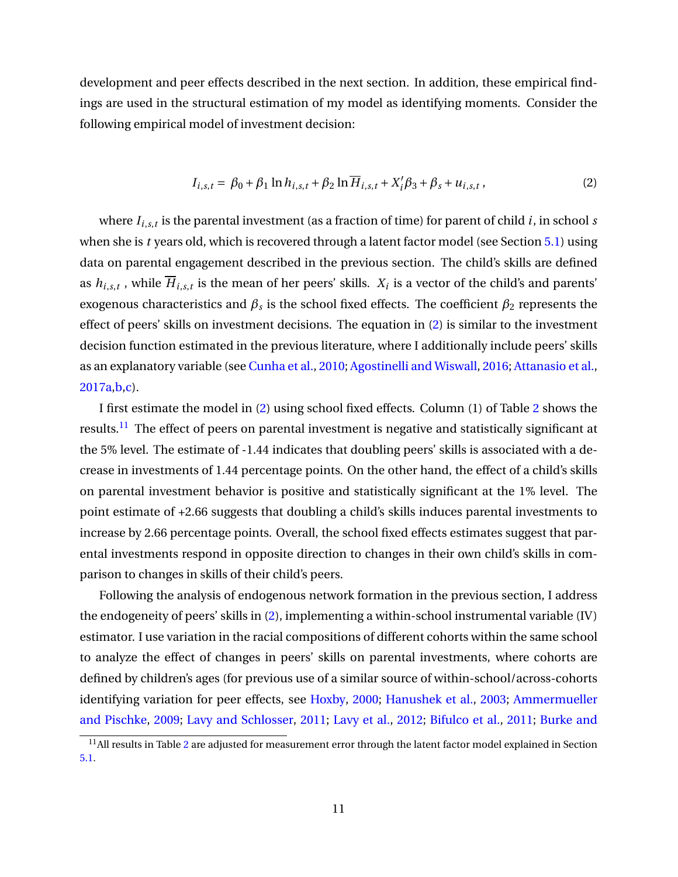development and peer effects described in the next section. In addition, these empirical findings are used in the structural estimation of my model as identifying moments. Consider the following empirical model of investment decision:

<span id="page-12-0"></span>
$$
I_{i,s,t} = \beta_0 + \beta_1 \ln h_{i,s,t} + \beta_2 \ln \overline{H}_{i,s,t} + X_i' \beta_3 + \beta_s + u_{i,s,t},
$$
 (2)

where *Ii*,*s*,*<sup>t</sup>* is the parental investment (as a fraction of time) for parent of child *i*, in school *s* when she is *t* years old, which is recovered through a latent factor model (see Section [5.1\)](#page-26-1) using data on parental engagement described in the previous section. The child's skills are defined as  $h_{i,s,t}$  , while  $H_{i,s,t}$  is the mean of her peers' skills.  $X_i$  is a vector of the child's and parents' exogenous characteristics and  $β_s$  is the school fixed effects. The coefficient  $β_2$  represents the effect of peers' skills on investment decisions. The equation in [\(2\)](#page-12-0) is similar to the investment decision function estimated in the previous literature, where I additionally include peers' skills as an explanatory variable (see [Cunha et al.,](#page-50-4) [2010;](#page-50-4) [Agostinelli and Wiswall,](#page-48-0) [2016;](#page-48-0) [Attanasio et al.,](#page-48-8) [2017a](#page-48-8)[,b](#page-48-9)[,c\)](#page-48-10).

I first estimate the model in [\(2\)](#page-12-0) using school fixed effects. Column (1) of Table [2](#page-55-0) shows the results.<sup>[11](#page-12-1)</sup> The effect of peers on parental investment is negative and statistically significant at the 5% level. The estimate of -1.44 indicates that doubling peers' skills is associated with a decrease in investments of 1.44 percentage points. On the other hand, the effect of a child's skills on parental investment behavior is positive and statistically significant at the 1% level. The point estimate of +2.66 suggests that doubling a child's skills induces parental investments to increase by 2.66 percentage points. Overall, the school fixed effects estimates suggest that parental investments respond in opposite direction to changes in their own child's skills in comparison to changes in skills of their child's peers.

Following the analysis of endogenous network formation in the previous section, I address the endogeneity of peers' skills in [\(2\)](#page-12-0), implementing a within-school instrumental variable (IV) estimator. I use variation in the racial compositions of different cohorts within the same school to analyze the effect of changes in peers' skills on parental investments, where cohorts are defined by children's ages (for previous use of a similar source of within-school/across-cohorts identifying variation for peer effects, see [Hoxby,](#page-52-0) [2000;](#page-52-0) [Hanushek et al.,](#page-52-1) [2003;](#page-52-1) [Ammermueller](#page-48-1) [and Pischke,](#page-48-1) [2009;](#page-48-1) [Lavy and Schlosser,](#page-52-2) [2011;](#page-52-2) [Lavy et al.,](#page-52-3) [2012;](#page-52-3) [Bifulco et al.,](#page-49-0) [2011;](#page-49-0) [Burke and](#page-49-1)

<span id="page-12-1"></span> $^{11}$  All results in Table [2](#page-55-0) [are adjusted for measurement error through the latent factor model explained in Section](#page-49-1) [5.1.](#page-49-1)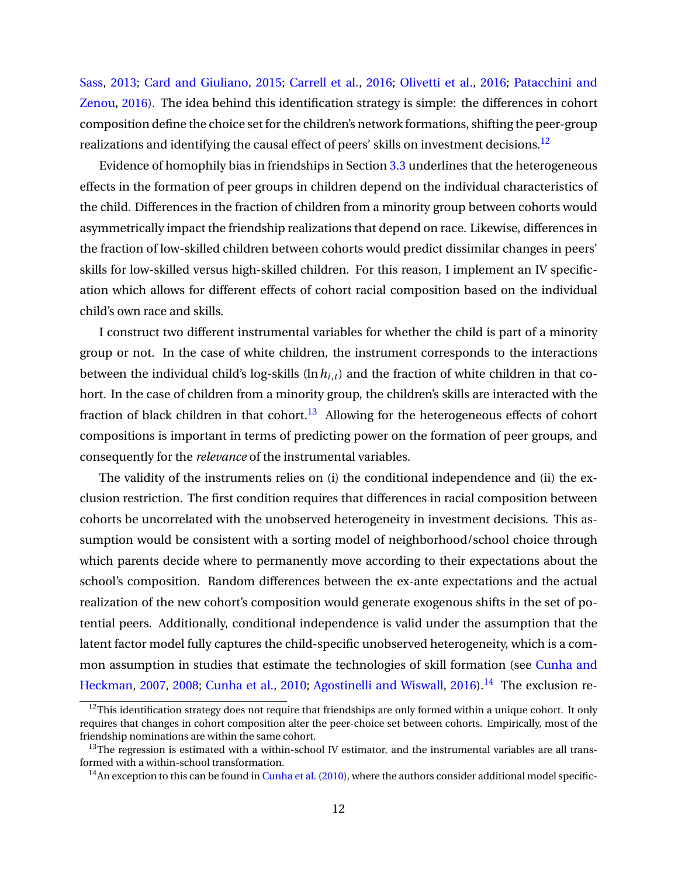[Sass,](#page-49-1) [2013;](#page-49-1) [Card and Giuliano,](#page-49-2) [2015;](#page-49-2) [Carrell et al.,](#page-49-3) [2016;](#page-49-3) [Olivetti et al.,](#page-53-0) [2016;](#page-53-0) [Patacchini and](#page-53-1) [Zenou,](#page-53-1) [2016\)](#page-53-1). The idea behind this identification strategy is simple: the differences in cohort composition define the choice set for the children's network formations, shifting the peer-group realizations and identifying the causal effect of peers' skills on investment decisions.<sup>[12](#page-13-0)</sup>

Evidence of homophily bias in friendships in Section [3.3](#page-10-4) underlines that the heterogeneous effects in the formation of peer groups in children depend on the individual characteristics of the child. Differences in the fraction of children from a minority group between cohorts would asymmetrically impact the friendship realizations that depend on race. Likewise, differences in the fraction of low-skilled children between cohorts would predict dissimilar changes in peers' skills for low-skilled versus high-skilled children. For this reason, I implement an IV specification which allows for different effects of cohort racial composition based on the individual child's own race and skills.

I construct two different instrumental variables for whether the child is part of a minority group or not. In the case of white children, the instrument corresponds to the interactions between the individual child's log-skills ( $\ln h_{i,t}$ ) and the fraction of white children in that cohort. In the case of children from a minority group, the children's skills are interacted with the fraction of black children in that cohort.<sup>[13](#page-13-1)</sup> Allowing for the heterogeneous effects of cohort compositions is important in terms of predicting power on the formation of peer groups, and consequently for the *relevance* of the instrumental variables.

The validity of the instruments relies on (i) the conditional independence and (ii) the exclusion restriction. The first condition requires that differences in racial composition between cohorts be uncorrelated with the unobserved heterogeneity in investment decisions. This assumption would be consistent with a sorting model of neighborhood/school choice through which parents decide where to permanently move according to their expectations about the school's composition. Random differences between the ex-ante expectations and the actual realization of the new cohort's composition would generate exogenous shifts in the set of potential peers. Additionally, conditional independence is valid under the assumption that the latent factor model fully captures the child-specific unobserved heterogeneity, which is a common assumption in studies that estimate the technologies of skill formation (see [Cunha and](#page-50-9) [Heckman,](#page-50-9) [2007,](#page-50-9) [2008;](#page-50-5) [Cunha et al.,](#page-50-4) [2010;](#page-50-4) [Agostinelli and Wiswall,](#page-48-0) [2016\)](#page-48-0).<sup>[14](#page-13-2)</sup> The exclusion re-

<span id="page-13-0"></span> $12$ This identification strategy does not require that friendships are only formed within a unique cohort. It only requires that changes in cohort composition alter the peer-choice set between cohorts. Empirically, most of the friendship nominations are within the same cohort.

<span id="page-13-1"></span> $13$ The regression is estimated with a within-school IV estimator, and the instrumental variables are all transformed with a within-school transformation.

<span id="page-13-2"></span> $14$ An exception to this can be found in [Cunha et al.](#page-50-4) [\(2010\)](#page-50-4), where the authors consider additional model specific-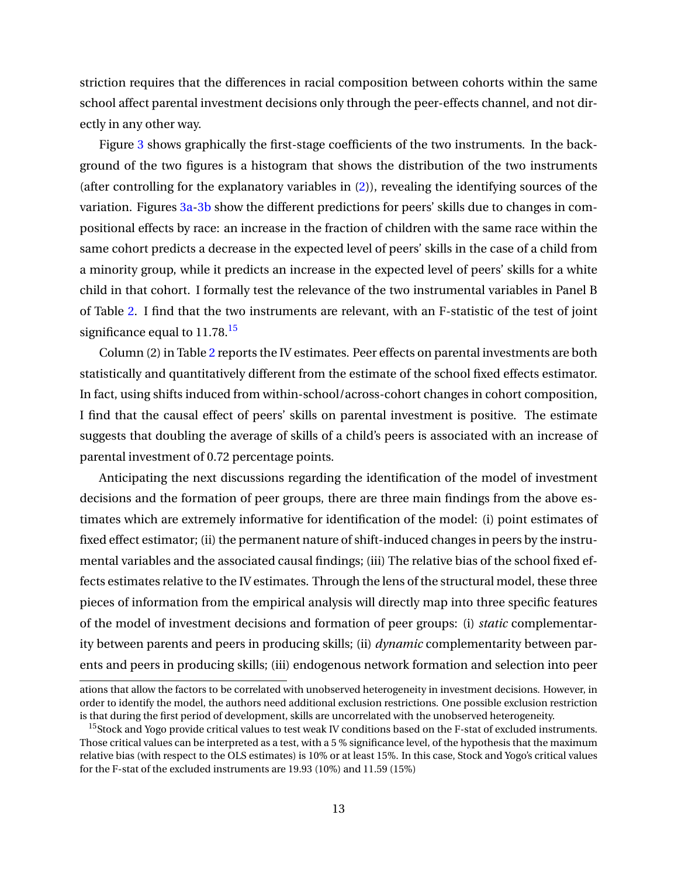striction requires that the differences in racial composition between cohorts within the same school affect parental investment decisions only through the peer-effects channel, and not directly in any other way.

Figure [3](#page-68-0) shows graphically the first-stage coefficients of the two instruments. In the background of the two figures is a histogram that shows the distribution of the two instruments (after controlling for the explanatory variables in [\(2\)](#page-12-0)), revealing the identifying sources of the variation. Figures [3a-3b](#page-68-0) show the different predictions for peers' skills due to changes in compositional effects by race: an increase in the fraction of children with the same race within the same cohort predicts a decrease in the expected level of peers' skills in the case of a child from a minority group, while it predicts an increase in the expected level of peers' skills for a white child in that cohort. I formally test the relevance of the two instrumental variables in Panel B of Table [2.](#page-55-0) I find that the two instruments are relevant, with an F-statistic of the test of joint significance equal to  $11.78$ <sup>[15](#page-14-0)</sup>

Column (2) in Table [2](#page-55-0) reports the IV estimates. Peer effects on parental investments are both statistically and quantitatively different from the estimate of the school fixed effects estimator. In fact, using shifts induced from within-school/across-cohort changes in cohort composition, I find that the causal effect of peers' skills on parental investment is positive. The estimate suggests that doubling the average of skills of a child's peers is associated with an increase of parental investment of 0.72 percentage points.

Anticipating the next discussions regarding the identification of the model of investment decisions and the formation of peer groups, there are three main findings from the above estimates which are extremely informative for identification of the model: (i) point estimates of fixed effect estimator; (ii) the permanent nature of shift-induced changes in peers by the instrumental variables and the associated causal findings; (iii) The relative bias of the school fixed effects estimates relative to the IV estimates. Through the lens of the structural model, these three pieces of information from the empirical analysis will directly map into three specific features of the model of investment decisions and formation of peer groups: (i) *static* complementarity between parents and peers in producing skills; (ii) *dynamic* complementarity between parents and peers in producing skills; (iii) endogenous network formation and selection into peer

ations that allow the factors to be correlated with unobserved heterogeneity in investment decisions. However, in order to identify the model, the authors need additional exclusion restrictions. One possible exclusion restriction is that during the first period of development, skills are uncorrelated with the unobserved heterogeneity.

<span id="page-14-0"></span><sup>&</sup>lt;sup>15</sup>Stock and Yogo provide critical values to test weak IV conditions based on the F-stat of excluded instruments. Those critical values can be interpreted as a test, with a 5 % significance level, of the hypothesis that the maximum relative bias (with respect to the OLS estimates) is 10% or at least 15%. In this case, Stock and Yogo's critical values for the F-stat of the excluded instruments are 19.93 (10%) and 11.59 (15%)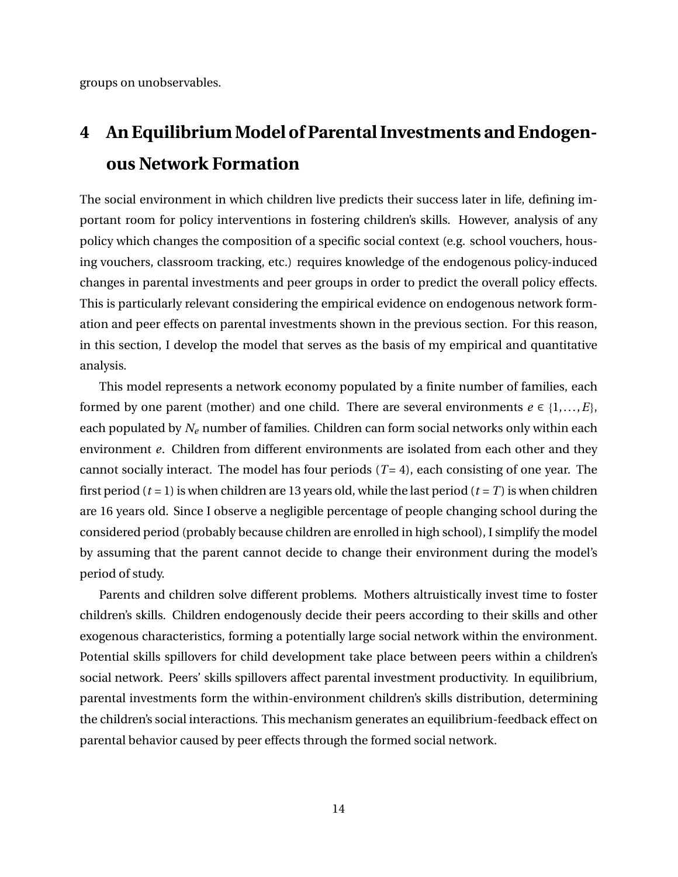groups on unobservables.

# <span id="page-15-0"></span>**4 An Equilibrium Model of Parental Investments and Endogenous Network Formation**

The social environment in which children live predicts their success later in life, defining important room for policy interventions in fostering children's skills. However, analysis of any policy which changes the composition of a specific social context (e.g. school vouchers, housing vouchers, classroom tracking, etc.) requires knowledge of the endogenous policy-induced changes in parental investments and peer groups in order to predict the overall policy effects. This is particularly relevant considering the empirical evidence on endogenous network formation and peer effects on parental investments shown in the previous section. For this reason, in this section, I develop the model that serves as the basis of my empirical and quantitative analysis.

This model represents a network economy populated by a finite number of families, each formed by one parent (mother) and one child. There are several environments  $e \in \{1,...,E\}$ , each populated by *N<sup>e</sup>* number of families. Children can form social networks only within each environment *e*. Children from different environments are isolated from each other and they cannot socially interact. The model has four periods  $(T = 4)$ , each consisting of one year. The first period ( $t = 1$ ) is when children are 13 years old, while the last period ( $t = T$ ) is when children are 16 years old. Since I observe a negligible percentage of people changing school during the considered period (probably because children are enrolled in high school), I simplify the model by assuming that the parent cannot decide to change their environment during the model's period of study.

Parents and children solve different problems. Mothers altruistically invest time to foster children's skills. Children endogenously decide their peers according to their skills and other exogenous characteristics, forming a potentially large social network within the environment. Potential skills spillovers for child development take place between peers within a children's social network. Peers' skills spillovers affect parental investment productivity. In equilibrium, parental investments form the within-environment children's skills distribution, determining the children's social interactions. This mechanism generates an equilibrium-feedback effect on parental behavior caused by peer effects through the formed social network.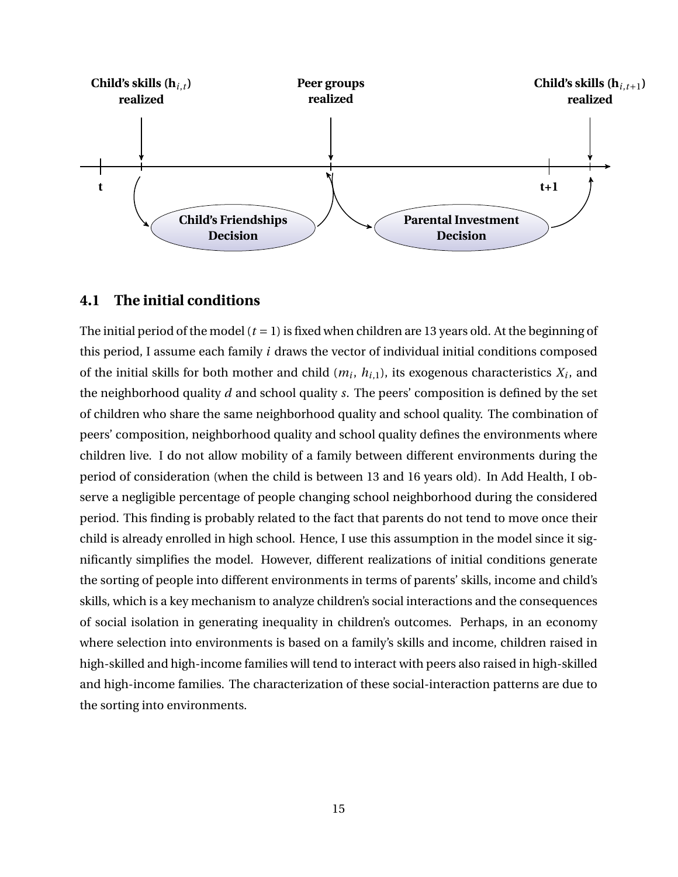

# **4.1 The initial conditions**

The initial period of the model  $(t = 1)$  is fixed when children are 13 years old. At the beginning of this period, I assume each family *i* draws the vector of individual initial conditions composed of the initial skills for both mother and child  $(m_i, h_{i,1})$ , its exogenous characteristics  $X_i$ , and the neighborhood quality *d* and school quality *s*. The peers' composition is defined by the set of children who share the same neighborhood quality and school quality. The combination of peers' composition, neighborhood quality and school quality defines the environments where children live. I do not allow mobility of a family between different environments during the period of consideration (when the child is between 13 and 16 years old). In Add Health, I observe a negligible percentage of people changing school neighborhood during the considered period. This finding is probably related to the fact that parents do not tend to move once their child is already enrolled in high school. Hence, I use this assumption in the model since it significantly simplifies the model. However, different realizations of initial conditions generate the sorting of people into different environments in terms of parents' skills, income and child's skills, which is a key mechanism to analyze children's social interactions and the consequences of social isolation in generating inequality in children's outcomes. Perhaps, in an economy where selection into environments is based on a family's skills and income, children raised in high-skilled and high-income families will tend to interact with peers also raised in high-skilled and high-income families. The characterization of these social-interaction patterns are due to the sorting into environments.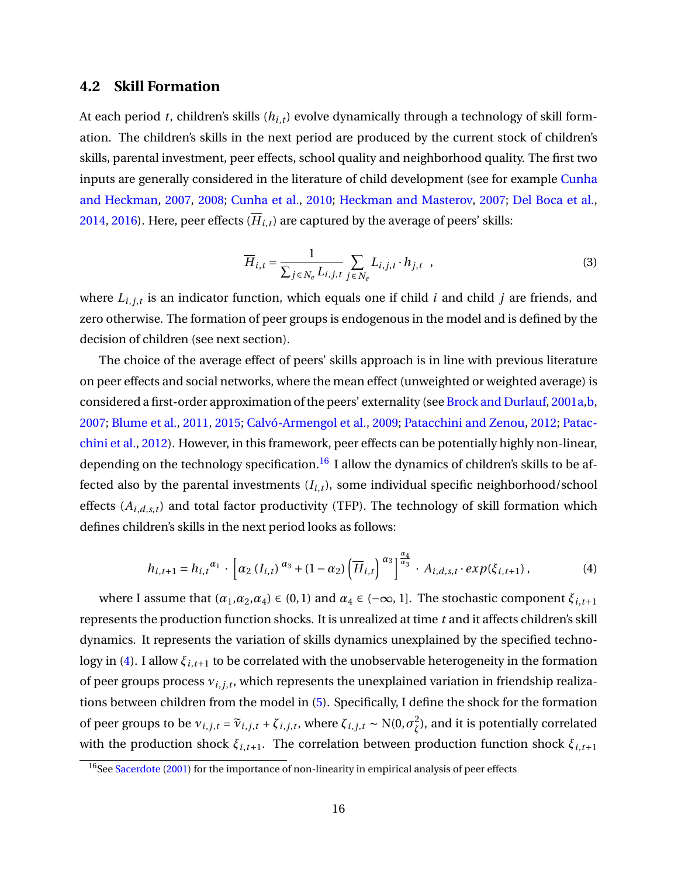# **4.2 Skill Formation**

At each period *t*, children's skills (*hi*,*t*) evolve dynamically through a technology of skill formation. The children's skills in the next period are produced by the current stock of children's skills, parental investment, peer effects, school quality and neighborhood quality. The first two inputs are generally considered in the literature of child development (see for example [Cunha](#page-50-9) [and Heckman,](#page-50-9) [2007,](#page-50-9) [2008;](#page-50-5) [Cunha et al.,](#page-50-4) [2010;](#page-50-4) [Heckman and Masterov,](#page-52-9) [2007;](#page-52-9) [Del Boca et al.,](#page-51-0) [2014,](#page-51-0) [2016\)](#page-51-7). Here, peer effects  $(\overline{H}_{i,t})$  are captured by the average of peers' skills:

$$
\overline{H}_{i,t} = \frac{1}{\sum_{j \in N_e} L_{i,j,t}} \sum_{j \in N_e} L_{i,j,t} \cdot h_{j,t} , \qquad (3)
$$

where *Li*,*j*,*<sup>t</sup>* is an indicator function, which equals one if child *i* and child *j* are friends, and zero otherwise. The formation of peer groups is endogenous in the model and is defined by the decision of children (see next section).

The choice of the average effect of peers' skills approach is in line with previous literature on peer effects and social networks, where the mean effect (unweighted or weighted average) is considered a first-order approximation of the peers' externality (see [Brock and Durlauf,](#page-49-4) [2001a](#page-49-4)[,b,](#page-49-5) [2007;](#page-49-6) [Blume et al.,](#page-49-7) [2011,](#page-49-7) [2015;](#page-49-8) [Calvó-Armengol et al.,](#page-49-9) [2009;](#page-49-9) [Patacchini and Zenou,](#page-53-7) [2012;](#page-53-7) [Patac](#page-53-8)[chini et al.,](#page-53-8) [2012\)](#page-53-8). However, in this framework, peer effects can be potentially highly non-linear, depending on the technology specification.<sup>[16](#page-17-0)</sup> I allow the dynamics of children's skills to be affected also by the parental investments  $(I_{i,t})$ , some individual specific neighborhood/school effects (*Ai*,*d*,*s*,*<sup>t</sup>* ) and total factor productivity (TFP). The technology of skill formation which defines children's skills in the next period looks as follows:

<span id="page-17-1"></span>
$$
h_{i,t+1} = h_{i,t}^{\alpha_1} \cdot \left[ \alpha_2 (I_{i,t})^{\alpha_3} + (1 - \alpha_2) \left( \overline{H}_{i,t} \right)^{\alpha_3} \right]^{\frac{\alpha_4}{\alpha_3}} \cdot A_{i,d,s,t} \cdot exp(\xi_{i,t+1}), \tag{4}
$$

where I assume that  $(\alpha_1, \alpha_2, \alpha_4) \in (0, 1)$  and  $\alpha_4 \in (-\infty, 1]$ . The stochastic component  $\xi_{i, t+1}$ represents the production function shocks. It is unrealized at time *t* and it affects children's skill dynamics. It represents the variation of skills dynamics unexplained by the specified techno-logy in [\(4\)](#page-17-1). I allow  $\xi_{i,t+1}$  to be correlated with the unobservable heterogeneity in the formation of peer groups process  $v_{i,j,t}$ , which represents the unexplained variation in friendship realizations between children from the model in [\(5\)](#page-18-0). Specifically, I define the shock for the formation of peer groups to be  $v_{i,j,t} = \tilde{v}_{i,j,t} + \zeta_{i,j,t}$ , where  $\zeta_{i,j,t} \sim N(0, \sigma_{\zeta}^2)$ *ζ* ), and it is potentially correlated with the production shock  $\xi_{i,t+1}$ . The correlation between production function shock  $\xi_{i,t+1}$ 

<span id="page-17-0"></span><sup>&</sup>lt;sup>16</sup>See [Sacerdote](#page-53-4) [\(2001\)](#page-53-4) for the importance of non-linearity in empirical analysis of peer effects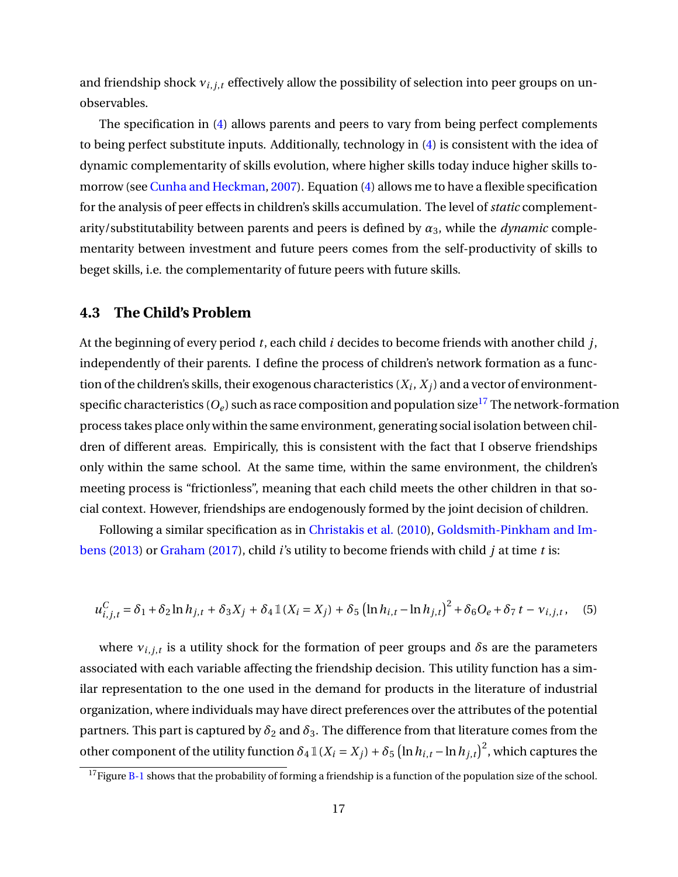and friendship shock  $v_{i,j,t}$  effectively allow the possibility of selection into peer groups on unobservables.

The specification in [\(4\)](#page-17-1) allows parents and peers to vary from being perfect complements to being perfect substitute inputs. Additionally, technology in [\(4\)](#page-17-1) is consistent with the idea of dynamic complementarity of skills evolution, where higher skills today induce higher skills tomorrow (see [Cunha and Heckman,](#page-50-9) [2007\)](#page-50-9). Equation [\(4\)](#page-17-1) allows me to have a flexible specification for the analysis of peer effects in children's skills accumulation. The level of *static* complementarity/substitutability between parents and peers is defined by  $\alpha_3$ , while the *dynamic* complementarity between investment and future peers comes from the self-productivity of skills to beget skills, i.e. the complementarity of future peers with future skills.

# <span id="page-18-2"></span>**4.3 The Child's Problem**

At the beginning of every period *t*, each child *i* decides to become friends with another child *j*, independently of their parents. I define the process of children's network formation as a function of the children's skills, their exogenous characteristics  $(X_i,X_j)$  and a vector of environmentspecific characteristics  $(O_e)$  such as race composition and population size<sup>[17](#page-18-1)</sup> The network-formation process takes place only within the same environment, generating social isolation between children of different areas. Empirically, this is consistent with the fact that I observe friendships only within the same school. At the same time, within the same environment, the children's meeting process is "frictionless", meaning that each child meets the other children in that social context. However, friendships are endogenously formed by the joint decision of children.

Following a similar specification as in [Christakis et al.](#page-50-6) [\(2010\)](#page-50-6), [Goldsmith-Pinkham and Im](#page-51-8)[bens](#page-51-8) [\(2013\)](#page-51-8) or [Graham](#page-51-5) [\(2017\)](#page-51-5), child *i*'s utility to become friends with child *j* at time *t* is:

<span id="page-18-0"></span>
$$
u_{i,j,t}^C = \delta_1 + \delta_2 \ln h_{j,t} + \delta_3 X_j + \delta_4 \mathbb{1}(X_i = X_j) + \delta_5 \left( \ln h_{i,t} - \ln h_{j,t} \right)^2 + \delta_6 O_e + \delta_7 t - v_{i,j,t}, \quad (5)
$$

where *νi*,*j*,*<sup>t</sup>* is a utility shock for the formation of peer groups and *δ*s are the parameters associated with each variable affecting the friendship decision. This utility function has a similar representation to the one used in the demand for products in the literature of industrial organization, where individuals may have direct preferences over the attributes of the potential partners. This part is captured by  $\delta_2$  and  $\delta_3$ . The difference from that literature comes from the other component of the utility function  $\delta_4 \, \mathbb{1}(X_i = X_j) + \delta_5 \, \big(\ln h_{i,t} - \ln h_{j,t}\big)^2$ , which captures the

<span id="page-18-1"></span> $17$  Figure [B-1](#page-78-0) shows that the probability of forming a friendship is a function of the population size of the school.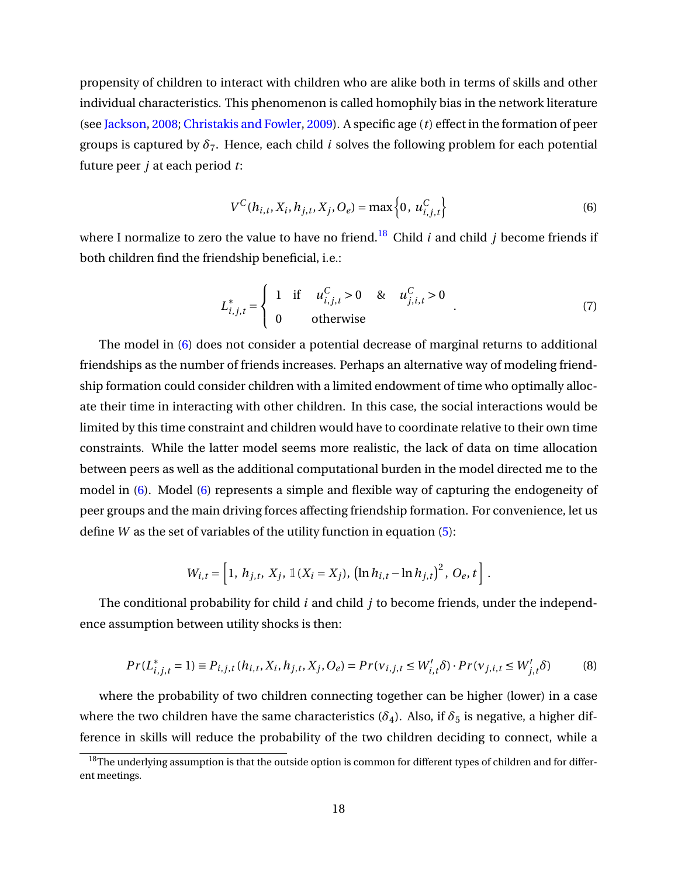propensity of children to interact with children who are alike both in terms of skills and other individual characteristics. This phenomenon is called homophily bias in the network literature (see [Jackson,](#page-52-10) [2008;](#page-52-10) [Christakis and Fowler,](#page-50-10) [2009\)](#page-50-10). A specific age (*t*) effect in the formation of peer groups is captured by  $\delta_7$ . Hence, each child *i* solves the following problem for each potential future peer *j* at each period *t*:

<span id="page-19-1"></span>
$$
V^{C}(h_{i,t}, X_i, h_{j,t}, X_j, O_e) = \max\left\{0, u_{i,j,t}^{C}\right\}
$$
 (6)

where I normalize to zero the value to have no friend.<sup>[18](#page-19-0)</sup> Child *i* and child *j* become friends if both children find the friendship beneficial, i.e.:

<span id="page-19-3"></span>
$$
L_{i,j,t}^{*} = \begin{cases} 1 & \text{if } u_{i,j,t}^{C} > 0 & \& u_{j,i,t}^{C} > 0 \\ 0 & \text{otherwise} \end{cases}
$$
 (7)

The model in [\(6\)](#page-19-1) does not consider a potential decrease of marginal returns to additional friendships as the number of friends increases. Perhaps an alternative way of modeling friendship formation could consider children with a limited endowment of time who optimally allocate their time in interacting with other children. In this case, the social interactions would be limited by this time constraint and children would have to coordinate relative to their own time constraints. While the latter model seems more realistic, the lack of data on time allocation between peers as well as the additional computational burden in the model directed me to the model in [\(6\)](#page-19-1). Model [\(6\)](#page-19-1) represents a simple and flexible way of capturing the endogeneity of peer groups and the main driving forces affecting friendship formation. For convenience, let us define *W* as the set of variables of the utility function in equation [\(5\)](#page-18-0):

$$
W_{i,t} = \left[1, h_{j,t}, X_j, \mathbb{1}(X_i = X_j), (\ln h_{i,t} - \ln h_{j,t})^2, O_e, t\right].
$$

The conditional probability for child *i* and child *j* to become friends, under the independence assumption between utility shocks is then:

<span id="page-19-2"></span>
$$
Pr(L_{i,j,t}^{*} = 1) \equiv P_{i,j,t} (h_{i,t}, X_i, h_{j,t}, X_j, O_e) = Pr(v_{i,j,t} \le W'_{i,t} \delta) \cdot Pr(v_{j,i,t} \le W'_{j,t} \delta)
$$
(8)

where the probability of two children connecting together can be higher (lower) in a case where the two children have the same characteristics ( $\delta_4$ ). Also, if  $\delta_5$  is negative, a higher difference in skills will reduce the probability of the two children deciding to connect, while a

<span id="page-19-0"></span><sup>&</sup>lt;sup>18</sup>The underlying assumption is that the outside option is common for different types of children and for different meetings.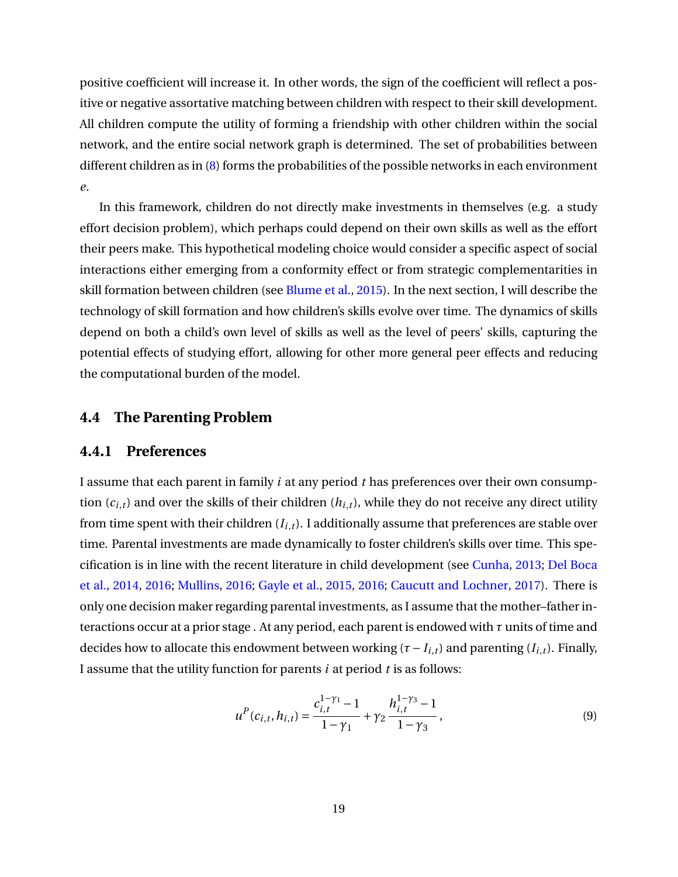positive coefficient will increase it. In other words, the sign of the coefficient will reflect a positive or negative assortative matching between children with respect to their skill development. All children compute the utility of forming a friendship with other children within the social network, and the entire social network graph is determined. The set of probabilities between different children as in [\(8\)](#page-19-2) forms the probabilities of the possible networks in each environment *e*.

In this framework, children do not directly make investments in themselves (e.g. a study effort decision problem), which perhaps could depend on their own skills as well as the effort their peers make. This hypothetical modeling choice would consider a specific aspect of social interactions either emerging from a conformity effect or from strategic complementarities in skill formation between children (see [Blume et al.,](#page-49-8) [2015\)](#page-49-8). In the next section, I will describe the technology of skill formation and how children's skills evolve over time. The dynamics of skills depend on both a child's own level of skills as well as the level of peers' skills, capturing the potential effects of studying effort, allowing for other more general peer effects and reducing the computational burden of the model.

# **4.4 The Parenting Problem**

# **4.4.1 Preferences**

I assume that each parent in family *i* at any period *t* has preferences over their own consumption  $(c_{i,t})$  and over the skills of their children  $(h_{i,t})$ , while they do not receive any direct utility from time spent with their children (*Ii*,*t*). I additionally assume that preferences are stable over time. Parental investments are made dynamically to foster children's skills over time. This specification is in line with the recent literature in child development (see [Cunha,](#page-50-11) [2013;](#page-50-11) [Del Boca](#page-51-0) [et al.,](#page-51-0) [2014,](#page-51-0) [2016;](#page-51-7) [Mullins,](#page-53-9) [2016;](#page-53-9) [Gayle et al.,](#page-51-9) [2015,](#page-51-9) [2016;](#page-51-10) [Caucutt and Lochner,](#page-49-12) [2017\)](#page-49-12). There is only one decision maker regarding parental investments, as I assume that the mother–father interactions occur at a prior stage . At any period, each parent is endowed with *τ* units of time and decides how to allocate this endowment between working ( $\tau$  −  $I_{i,t}$ ) and parenting ( $I_{i,t}$ ). Finally, I assume that the utility function for parents *i* at period *t* is as follows:

<span id="page-20-0"></span>
$$
u^{P}(c_{i,t}, h_{i,t}) = \frac{c_{i,t}^{1-\gamma_{1}} - 1}{1-\gamma_{1}} + \gamma_{2} \frac{h_{i,t}^{1-\gamma_{3}} - 1}{1-\gamma_{3}},
$$
\n(9)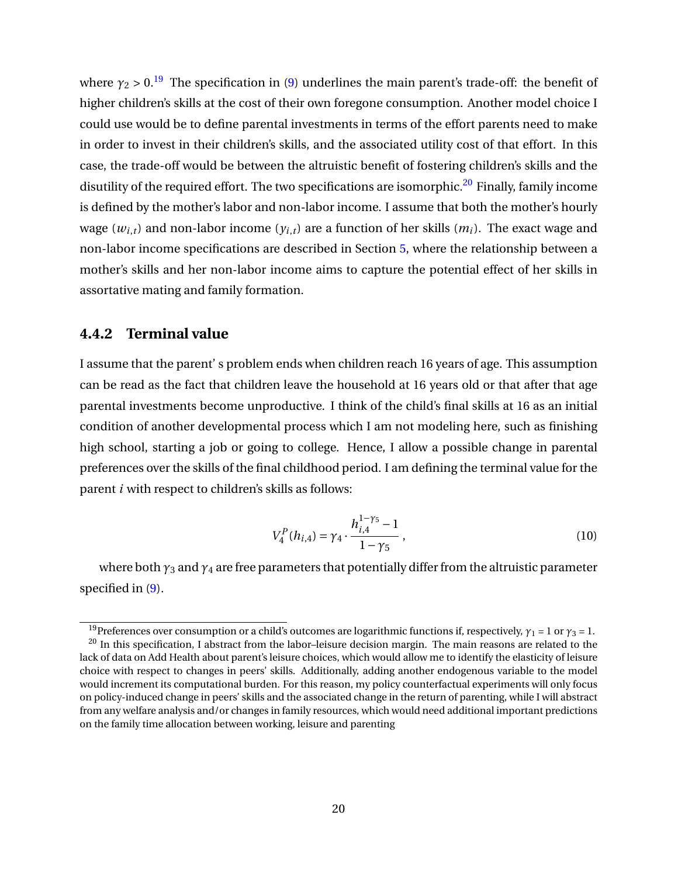where  $\gamma_2 > 0$ .<sup>[19](#page-21-0)</sup> The specification in [\(9\)](#page-20-0) underlines the main parent's trade-off: the benefit of higher children's skills at the cost of their own foregone consumption. Another model choice I could use would be to define parental investments in terms of the effort parents need to make in order to invest in their children's skills, and the associated utility cost of that effort. In this case, the trade-off would be between the altruistic benefit of fostering children's skills and the disutility of the required effort. The two specifications are isomorphic.<sup>[20](#page-21-1)</sup> Finally, family income is defined by the mother's labor and non-labor income. I assume that both the mother's hourly wage ( $w_{i,t}$ ) and non-labor income ( $y_{i,t}$ ) are a function of her skills ( $m_i$ ). The exact wage and non-labor income specifications are described in Section [5,](#page-26-0) where the relationship between a mother's skills and her non-labor income aims to capture the potential effect of her skills in assortative mating and family formation.

# **4.4.2 Terminal value**

I assume that the parent' s problem ends when children reach 16 years of age. This assumption can be read as the fact that children leave the household at 16 years old or that after that age parental investments become unproductive. I think of the child's final skills at 16 as an initial condition of another developmental process which I am not modeling here, such as finishing high school, starting a job or going to college. Hence, I allow a possible change in parental preferences over the skills of the final childhood period. I am defining the terminal value for the parent *i* with respect to children's skills as follows:

$$
V_4^P(h_{i,4}) = \gamma_4 \cdot \frac{h_{i,4}^{1-\gamma_5} - 1}{1-\gamma_5},
$$
\n(10)

where both  $\gamma_3$  and  $\gamma_4$  are free parameters that potentially differ from the altruistic parameter specified in [\(9\)](#page-20-0).

<span id="page-21-1"></span><span id="page-21-0"></span><sup>&</sup>lt;sup>19</sup>Preferences over consumption or a child's outcomes are logarithmic functions if, respectively,  $\gamma_1 = 1$  or  $\gamma_3 = 1$ . <sup>20</sup> In this specification, I abstract from the labor-leisure decision margin. The main reasons are related to the lack of data on Add Health about parent's leisure choices, which would allow me to identify the elasticity of leisure choice with respect to changes in peers' skills. Additionally, adding another endogenous variable to the model would increment its computational burden. For this reason, my policy counterfactual experiments will only focus on policy-induced change in peers' skills and the associated change in the return of parenting, while I will abstract from any welfare analysis and/or changes in family resources, which would need additional important predictions on the family time allocation between working, leisure and parenting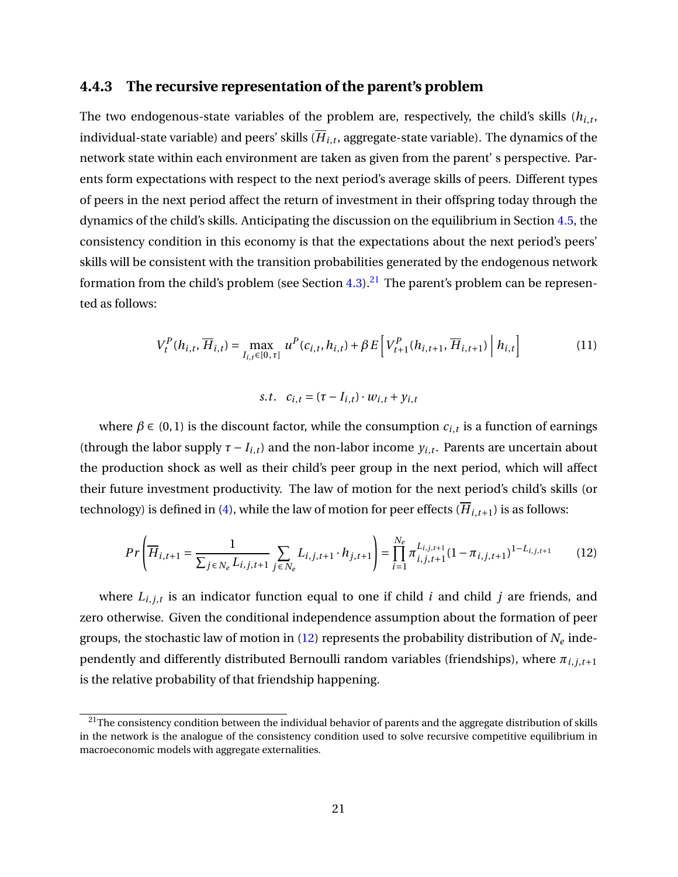## **4.4.3 The recursive representation of the parent's problem**

The two endogenous-state variables of the problem are, respectively, the child's skills (*hi*,*<sup>t</sup>* , individual-state variable) and peers' skills (*Hi*,*<sup>t</sup>* , aggregate-state variable). The dynamics of the network state within each environment are taken as given from the parent' s perspective. Parents form expectations with respect to the next period's average skills of peers. Different types of peers in the next period affect the return of investment in their offspring today through the dynamics of the child's skills. Anticipating the discussion on the equilibrium in Section [4.5,](#page-22-0) the consistency condition in this economy is that the expectations about the next period's peers' skills will be consistent with the transition probabilities generated by the endogenous network formation from the child's problem (see Section [4.3\)](#page-18-2).<sup>[21](#page-22-1)</sup> The parent's problem can be represented as follows:

<span id="page-22-3"></span>
$$
V_t^P(h_{i,t}, \overline{H}_{i,t}) = \max_{I_{i,t} \in [0,\tau]} u^P(c_{i,t}, h_{i,t}) + \beta E \left[ V_{t+1}^P(h_{i,t+1}, \overline{H}_{i,t+1}) \middle| h_{i,t} \right] \tag{11}
$$

*s*.*t*.  $c_{i,t} = (\tau - I_{i,t}) \cdot w_{i,t} + v_{i,t}$ 

where  $\beta \in (0, 1)$  is the discount factor, while the consumption  $c_{i,t}$  is a function of earnings (through the labor supply  $\tau - I_{i,t}$ ) and the non-labor income  $y_{i,t}$ . Parents are uncertain about the production shock as well as their child's peer group in the next period, which will affect their future investment productivity. The law of motion for the next period's child's skills (or technology) is defined in [\(4\)](#page-17-1), while the law of motion for peer effects ( $\overline{H}_{i,t+1}$ ) is as follows:

<span id="page-22-2"></span>
$$
Pr\left(\overline{H}_{i,t+1} = \frac{1}{\sum_{j \in N_e} L_{i,j,t+1}} \sum_{j \in N_e} L_{i,j,t+1} \cdot h_{j,t+1}\right) = \prod_{i=1}^{N_e} \pi_{i,j,t+1}^{L_{i,j,t+1}} (1 - \pi_{i,j,t+1})^{1 - L_{i,j,t+1}}
$$
(12)

where *Li*,*j*,*<sup>t</sup>* is an indicator function equal to one if child *i* and child *j* are friends, and zero otherwise. Given the conditional independence assumption about the formation of peer groups, the stochastic law of motion in  $(12)$  represents the probability distribution of  $N_e$  independently and differently distributed Bernoulli random variables (friendships), where *πi*,*j*,*t*+<sup>1</sup> is the relative probability of that friendship happening.

<span id="page-22-1"></span><span id="page-22-0"></span><sup>&</sup>lt;sup>21</sup>The consistency condition between the individual behavior of parents and the aggregate distribution of skills in the network is the analogue of the consistency condition used to solve recursive competitive equilibrium in macroeconomic models with aggregate externalities.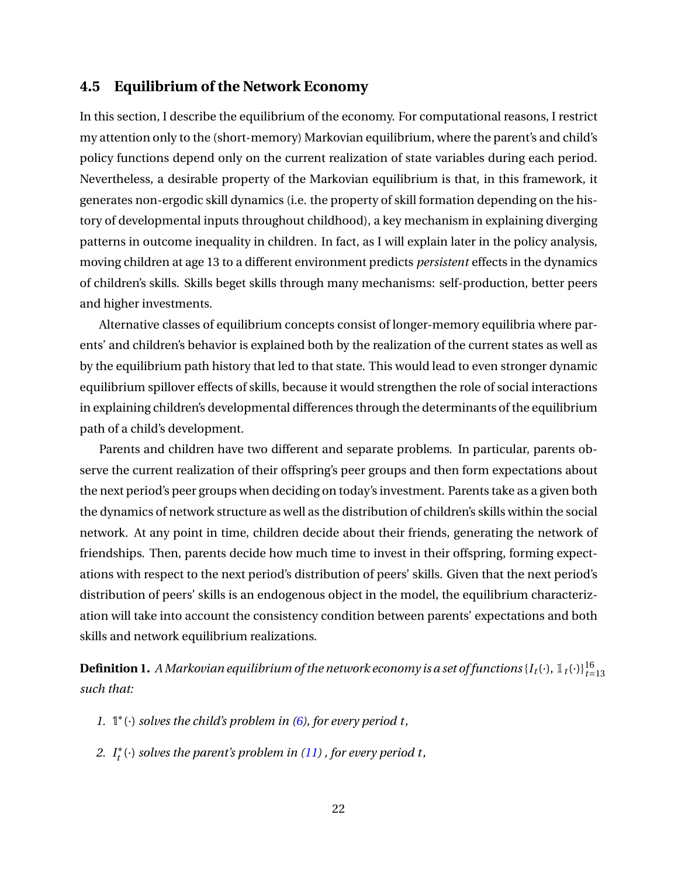## **4.5 Equilibrium of the Network Economy**

In this section, I describe the equilibrium of the economy. For computational reasons, I restrict my attention only to the (short-memory) Markovian equilibrium, where the parent's and child's policy functions depend only on the current realization of state variables during each period. Nevertheless, a desirable property of the Markovian equilibrium is that, in this framework, it generates non-ergodic skill dynamics (i.e. the property of skill formation depending on the history of developmental inputs throughout childhood), a key mechanism in explaining diverging patterns in outcome inequality in children. In fact, as I will explain later in the policy analysis, moving children at age 13 to a different environment predicts *persistent* effects in the dynamics of children's skills. Skills beget skills through many mechanisms: self-production, better peers and higher investments.

Alternative classes of equilibrium concepts consist of longer-memory equilibria where parents' and children's behavior is explained both by the realization of the current states as well as by the equilibrium path history that led to that state. This would lead to even stronger dynamic equilibrium spillover effects of skills, because it would strengthen the role of social interactions in explaining children's developmental differences through the determinants of the equilibrium path of a child's development.

Parents and children have two different and separate problems. In particular, parents observe the current realization of their offspring's peer groups and then form expectations about the next period's peer groups when deciding on today's investment. Parents take as a given both the dynamics of network structure as well as the distribution of children's skills within the social network. At any point in time, children decide about their friends, generating the network of friendships. Then, parents decide how much time to invest in their offspring, forming expectations with respect to the next period's distribution of peers' skills. Given that the next period's distribution of peers' skills is an endogenous object in the model, the equilibrium characterization will take into account the consistency condition between parents' expectations and both skills and network equilibrium realizations.

**Definition 1.** A Markovian equilibrium of the network economy is a set of functions  $\{I_t(\cdot), \mathbbm{1}_t(\cdot)\}_{t=13}^{16}$ *such that:*

- *1.* 1 ∗ (·) *solves the child's problem in [\(6\)](#page-19-1), for every period t,*
- *2. I* ∗ *t* (·) *solves the parent's problem in [\(11\)](#page-22-3) , for every period t,*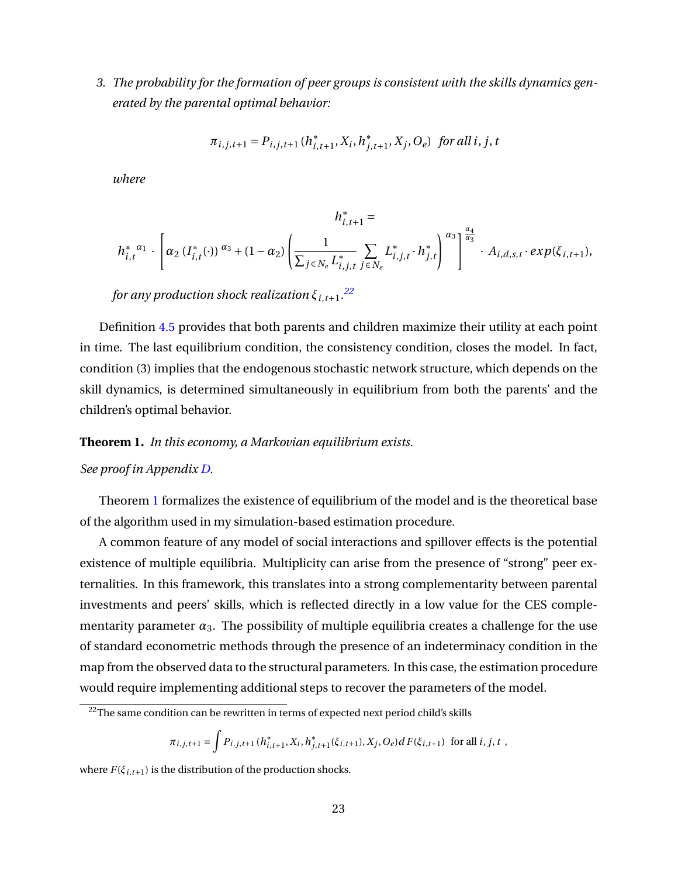<span id="page-24-1"></span>*3. The probability for the formation of peer groups is consistent with the skills dynamics generated by the parental optimal behavior:*

$$
\pi_{i,j,t+1} = P_{i,j,t+1} (h_{i,t+1}^*, X_i, h_{j,t+1}^*, X_j, O_e) \text{ for all } i, j, t
$$

*where*

$$
h_{i,t+1}^{*} =
$$
  

$$
h_{i,t}^{*} \alpha_{1} \cdot \left[ \alpha_{2} \left( I_{i,t}^{*}(\cdot) \right) \alpha_{3} + (1 - \alpha_{2}) \left( \frac{1}{\sum_{j \in N_{e}} L_{i,j,t}^{*}} \sum_{j \in N_{e}} L_{i,j,t}^{*} \cdot h_{j,t}^{*} \right) \alpha_{3} \right] \alpha_{3} \alpha_{4} \dots \alpha_{1},
$$
  

$$
A_{i,d,s,t} \cdot exp(\xi_{i,t+1}),
$$

*for any production shock realization ξi*,*t*+1*. [22](#page-24-0)*

Definition [4.5](#page-24-1) provides that both parents and children maximize their utility at each point in time. The last equilibrium condition, the consistency condition, closes the model. In fact, condition (3) implies that the endogenous stochastic network structure, which depends on the skill dynamics, is determined simultaneously in equilibrium from both the parents' and the children's optimal behavior.

#### <span id="page-24-2"></span>**Theorem 1.** *In this economy, a Markovian equilibrium exists.*

#### *See proof in Appendix [D.](#page-76-0)*

Theorem [1](#page-24-2) formalizes the existence of equilibrium of the model and is the theoretical base of the algorithm used in my simulation-based estimation procedure.

A common feature of any model of social interactions and spillover effects is the potential existence of multiple equilibria. Multiplicity can arise from the presence of "strong" peer externalities. In this framework, this translates into a strong complementarity between parental investments and peers' skills, which is reflected directly in a low value for the CES complementarity parameter  $\alpha_3$ . The possibility of multiple equilibria creates a challenge for the use of standard econometric methods through the presence of an indeterminacy condition in the map from the observed data to the structural parameters. In this case, the estimation procedure would require implementing additional steps to recover the parameters of the model.

$$
\pi_{i,j,t+1} = \int P_{i,j,t+1} (h_{i,t+1}^*, X_i, h_{j,t+1}^*(\xi_{i,t+1}), X_j, O_e) dF(\xi_{i,t+1}) \text{ for all } i, j, t ,
$$

where  $F(\xi_{i,t+1})$  is the distribution of the production shocks.

<span id="page-24-0"></span><sup>&</sup>lt;sup>22</sup>The same condition can be rewritten in terms of expected next period child's skills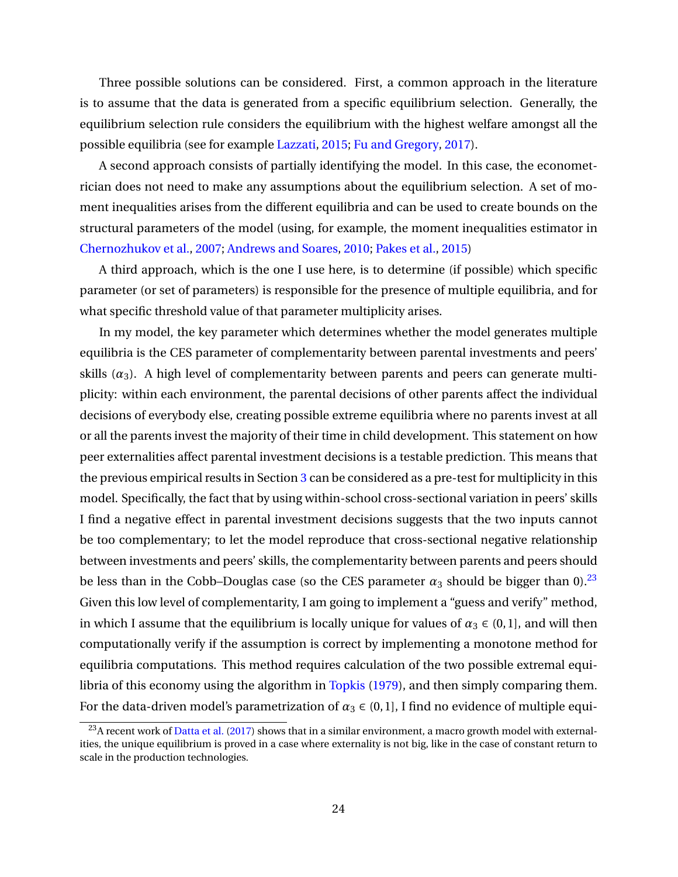Three possible solutions can be considered. First, a common approach in the literature is to assume that the data is generated from a specific equilibrium selection. Generally, the equilibrium selection rule considers the equilibrium with the highest welfare amongst all the possible equilibria (see for example [Lazzati,](#page-52-11) [2015;](#page-52-11) [Fu and Gregory,](#page-51-11) [2017\)](#page-51-11).

A second approach consists of partially identifying the model. In this case, the econometrician does not need to make any assumptions about the equilibrium selection. A set of moment inequalities arises from the different equilibria and can be used to create bounds on the structural parameters of the model (using, for example, the moment inequalities estimator in [Chernozhukov et al.,](#page-50-12) [2007;](#page-50-12) [Andrews and Soares,](#page-48-11) [2010;](#page-48-11) [Pakes et al.,](#page-53-10) [2015\)](#page-53-10)

A third approach, which is the one I use here, is to determine (if possible) which specific parameter (or set of parameters) is responsible for the presence of multiple equilibria, and for what specific threshold value of that parameter multiplicity arises.

In my model, the key parameter which determines whether the model generates multiple equilibria is the CES parameter of complementarity between parental investments and peers' skills  $(\alpha_3)$ . A high level of complementarity between parents and peers can generate multiplicity: within each environment, the parental decisions of other parents affect the individual decisions of everybody else, creating possible extreme equilibria where no parents invest at all or all the parents invest the majority of their time in child development. This statement on how peer externalities affect parental investment decisions is a testable prediction. This means that the previous empirical results in Section [3](#page-8-0) can be considered as a pre-test for multiplicity in this model. Specifically, the fact that by using within-school cross-sectional variation in peers' skills I find a negative effect in parental investment decisions suggests that the two inputs cannot be too complementary; to let the model reproduce that cross-sectional negative relationship between investments and peers' skills, the complementarity between parents and peers should be less than in the Cobb–Douglas case (so the CES parameter  $\alpha_3$  should be bigger than 0).<sup>[23](#page-25-0)</sup> Given this low level of complementarity, I am going to implement a "guess and verify" method, in which I assume that the equilibrium is locally unique for values of  $\alpha_3 \in (0,1]$ , and will then computationally verify if the assumption is correct by implementing a monotone method for equilibria computations. This method requires calculation of the two possible extremal equi-libria of this economy using the algorithm in [Topkis](#page-53-11) [\(1979\)](#page-53-11), and then simply comparing them. For the data-driven model's parametrization of  $\alpha_3 \in (0,1]$ , I find no evidence of multiple equi-

<span id="page-25-0"></span> $^{23}$ A recent work of [Datta et al.](#page-51-12) [\(2017\)](#page-51-12) shows that in a similar environment, a macro growth model with externalities, the unique equilibrium is proved in a case where externality is not big, like in the case of constant return to scale in the production technologies.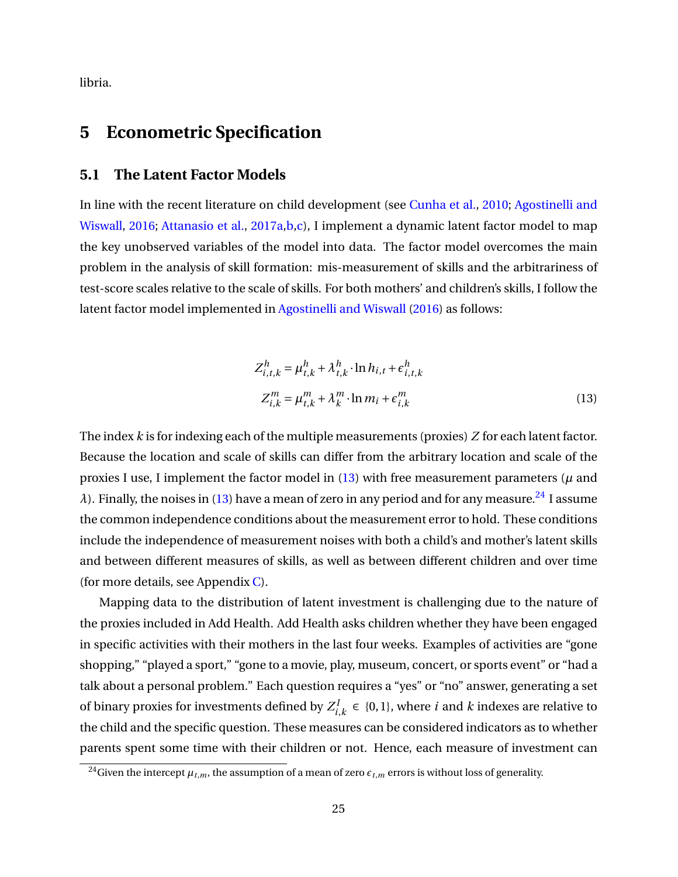libria.

# <span id="page-26-0"></span>**5 Econometric Specification**

#### <span id="page-26-1"></span>**5.1 The Latent Factor Models**

In line with the recent literature on child development (see [Cunha et al.,](#page-50-4) [2010;](#page-50-4) [Agostinelli and](#page-48-0) [Wiswall,](#page-48-0) [2016;](#page-48-0) [Attanasio et al.,](#page-48-8) [2017a,](#page-48-8)[b](#page-48-9)[,c\)](#page-48-10), I implement a dynamic latent factor model to map the key unobserved variables of the model into data. The factor model overcomes the main problem in the analysis of skill formation: mis-measurement of skills and the arbitrariness of test-score scales relative to the scale of skills. For both mothers' and children's skills, I follow the latent factor model implemented in [Agostinelli and Wiswall](#page-48-0) [\(2016\)](#page-48-0) as follows:

<span id="page-26-2"></span>
$$
Z_{i,t,k}^h = \mu_{t,k}^h + \lambda_{t,k}^h \cdot \ln h_{i,t} + \epsilon_{i,t,k}^h
$$
  

$$
Z_{i,k}^m = \mu_{t,k}^m + \lambda_k^m \cdot \ln m_i + \epsilon_{i,k}^m
$$
 (13)

The index *k* is for indexing each of the multiple measurements (proxies) *Z* for each latent factor. Because the location and scale of skills can differ from the arbitrary location and scale of the proxies I use, I implement the factor model in  $(13)$  with free measurement parameters ( $\mu$  and *λ*). Finally, the noises in [\(13\)](#page-26-2) have a mean of zero in any period and for any measure.<sup>[24](#page-26-3)</sup> I assume the common independence conditions about the measurement error to hold. These conditions include the independence of measurement noises with both a child's and mother's latent skills and between different measures of skills, as well as between different children and over time (for more details, see Appendix [C\)](#page-76-0).

Mapping data to the distribution of latent investment is challenging due to the nature of the proxies included in Add Health. Add Health asks children whether they have been engaged in specific activities with their mothers in the last four weeks. Examples of activities are "gone shopping," "played a sport," "gone to a movie, play, museum, concert, or sports event" or "had a talk about a personal problem." Each question requires a "yes" or "no" answer, generating a set of binary proxies for investments defined by  $Z_i^1$  $i<sub>i,k</sub>$  ∈ {0, 1}, where *i* and *k* indexes are relative to the child and the specific question. These measures can be considered indicators as to whether parents spent some time with their children or not. Hence, each measure of investment can

<span id="page-26-3"></span><sup>&</sup>lt;sup>24</sup>Given the intercept  $\mu_{t,m}$ , the assumption of a mean of zero  $\epsilon_{t,m}$  errors is without loss of generality.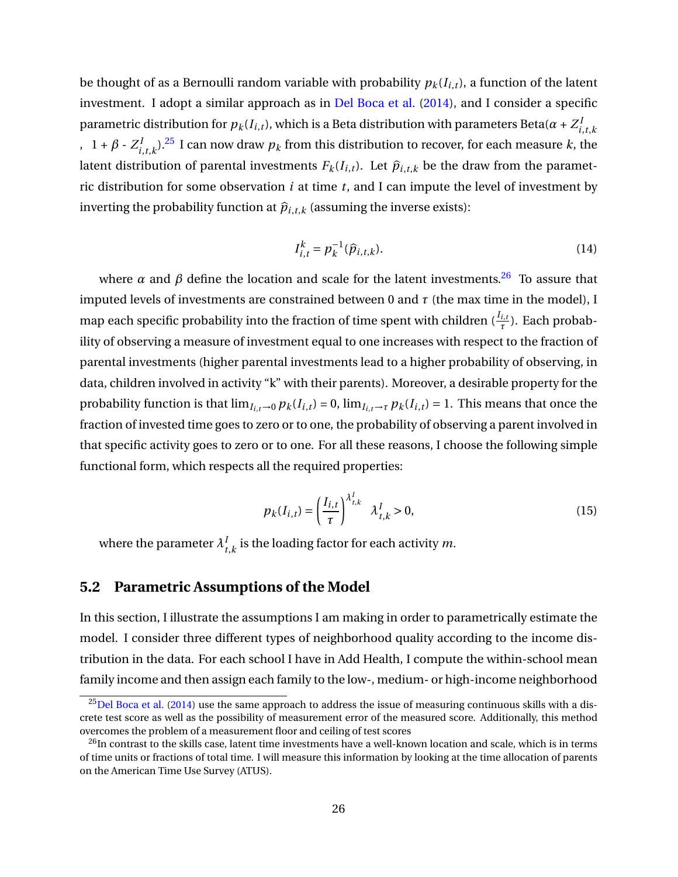be thought of as a Bernoulli random variable with probability  $p_k(I_{i,t})$ , a function of the latent investment. I adopt a similar approach as in [Del Boca et al.](#page-51-0) [\(2014\)](#page-51-0), and I consider a specific parametric distribution for  $p_k(I_{i,t})$ , which is a Beta distribution with parameters Beta( $\alpha$  +  $Z_i^I$ *i*,*t*,*k*  $, 1 + \beta \cdot Z_i^1$  $\int_{i,t,k}^{I}$ ).<sup>[25](#page-27-0)</sup> I can now draw  $p_k$  from this distribution to recover, for each measure  $k$ , the latent distribution of parental investments  $F_k(I_{i,t})$ . Let  $\hat{p}_{i,t,k}$  be the draw from the parametric distribution for some observation *i* at time *t*, and I can impute the level of investment by inverting the probability function at  $\hat{p}_{i,t,k}$  (assuming the inverse exists):

$$
I_{i,t}^k = p_k^{-1}(\hat{p}_{i,t,k}).
$$
\n(14)

where  $\alpha$  and  $\beta$  define the location and scale for the latent investments.<sup>[26](#page-27-1)</sup> To assure that imputed levels of investments are constrained between 0 and  $\tau$  (the max time in the model), I map each specific probability into the fraction of time spent with children  $(\frac{I_{i,t}}{\tau})$ . Each probability of observing a measure of investment equal to one increases with respect to the fraction of parental investments (higher parental investments lead to a higher probability of observing, in data, children involved in activity "k" with their parents). Moreover, a desirable property for the probability function is that  $\lim_{I_{i,t}\to 0} p_k(I_{i,t}) = 0$ ,  $\lim_{I_{i,t}\to \tau} p_k(I_{i,t}) = 1$ . This means that once the fraction of invested time goes to zero or to one, the probability of observing a parent involved in that specific activity goes to zero or to one. For all these reasons, I choose the following simple functional form, which respects all the required properties:

$$
p_k(I_{i,t}) = \left(\frac{I_{i,t}}{\tau}\right)^{\lambda_{t,k}^I} \lambda_{t,k}^I > 0,
$$
\n(15)

where the parameter  $\lambda_t^I$  $t_{t,k}$  is the loading factor for each activity  $m$ .

# **5.2 Parametric Assumptions of the Model**

In this section, I illustrate the assumptions I am making in order to parametrically estimate the model. I consider three different types of neighborhood quality according to the income distribution in the data. For each school I have in Add Health, I compute the within-school mean family income and then assign each family to the low-, medium- or high-income neighborhood

<span id="page-27-0"></span> $^{25}$ [Del Boca et al.](#page-51-0) [\(2014\)](#page-51-0) use the same approach to address the issue of measuring continuous skills with a discrete test score as well as the possibility of measurement error of the measured score. Additionally, this method overcomes the problem of a measurement floor and ceiling of test scores

<span id="page-27-1"></span> $^{26}$ In contrast to the skills case, latent time investments have a well-known location and scale, which is in terms of time units or fractions of total time. I will measure this information by looking at the time allocation of parents on the American Time Use Survey (ATUS).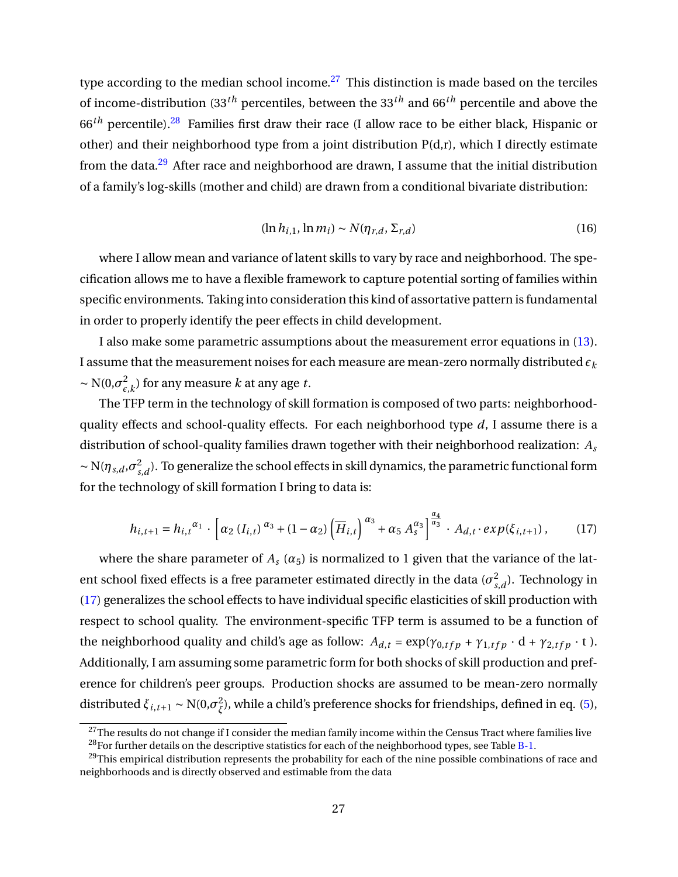type according to the median school income.<sup>[27](#page-28-0)</sup> This distinction is made based on the terciles of income-distribution (33*th* percentiles, between the 33*th* and 66*th* percentile and above the 66*th* percentile).[28](#page-28-1) Families first draw their race (I allow race to be either black, Hispanic or other) and their neighborhood type from a joint distribution P(d,r), which I directly estimate from the data.<sup>[29](#page-28-2)</sup> After race and neighborhood are drawn, I assume that the initial distribution of a family's log-skills (mother and child) are drawn from a conditional bivariate distribution:

$$
(\ln h_{i,1}, \ln m_i) \sim N(\eta_{r,d}, \Sigma_{r,d})
$$
\n(16)

where I allow mean and variance of latent skills to vary by race and neighborhood. The specification allows me to have a flexible framework to capture potential sorting of families within specific environments. Taking into consideration this kind of assortative pattern is fundamental in order to properly identify the peer effects in child development.

I also make some parametric assumptions about the measurement error equations in [\(13\)](#page-26-2). I assume that the measurement noises for each measure are mean-zero normally distributed  $\epsilon_k$  $\sim N(0,\sigma_c^2)$  $\mathcal{E}_{\epsilon,k}^2$ ) for any measure *k* at any age *t*.

The TFP term in the technology of skill formation is composed of two parts: neighborhoodquality effects and school-quality effects. For each neighborhood type *d*, I assume there is a distribution of school-quality families drawn together with their neighborhood realization: *A<sup>s</sup>*  $\sim N(\eta_{s,d}, \sigma_s^2)$  $\sigma_{s,d}^2$ ). To generalize the school effects in skill dynamics, the parametric functional form for the technology of skill formation I bring to data is:

<span id="page-28-3"></span>
$$
h_{i,t+1} = h_{i,t}^{\alpha_1} \cdot \left[ \alpha_2 \left( I_{i,t} \right)^{\alpha_3} + (1 - \alpha_2) \left( \overline{H}_{i,t} \right)^{\alpha_3} + \alpha_5 \, A_s^{\alpha_3} \right]^{\frac{\alpha_4}{\alpha_3}} \cdot A_{d,t} \cdot exp(\xi_{i,t+1}), \tag{17}
$$

where the share parameter of  $A_s(\alpha_5)$  is normalized to 1 given that the variance of the latent school fixed effects is a free parameter estimated directly in the data ( $\sigma_s^2$  $\int_{s,d}^2$ ). Technology in [\(17\)](#page-28-3) generalizes the school effects to have individual specific elasticities of skill production with respect to school quality. The environment-specific TFP term is assumed to be a function of the neighborhood quality and child's age as follow:  $A_{d,t} = \exp(\gamma_{0,tfp} + \gamma_{1,tfp} \cdot d + \gamma_{2,tfp} \cdot t)$ . Additionally, I am assuming some parametric form for both shocks of skill production and preference for children's peer groups. Production shocks are assumed to be mean-zero normally distributed  $\xi_{i,t+1} \sim \text{N}(0, \sigma_{\xi}^2)$ *ξ* ), while a child's preference shocks for friendships, defined in eq. [\(5\)](#page-18-0),

<span id="page-28-0"></span> $^{27}$ The results do not change if I consider the median family income within the Census Tract where families live

<span id="page-28-2"></span><span id="page-28-1"></span> $^{28}$  For further details on the descriptive statistics for each of the neighborhood types, see Table [B-1.](#page-87-0)

<sup>&</sup>lt;sup>29</sup>This empirical distribution represents the probability for each of the nine possible combinations of race and neighborhoods and is directly observed and estimable from the data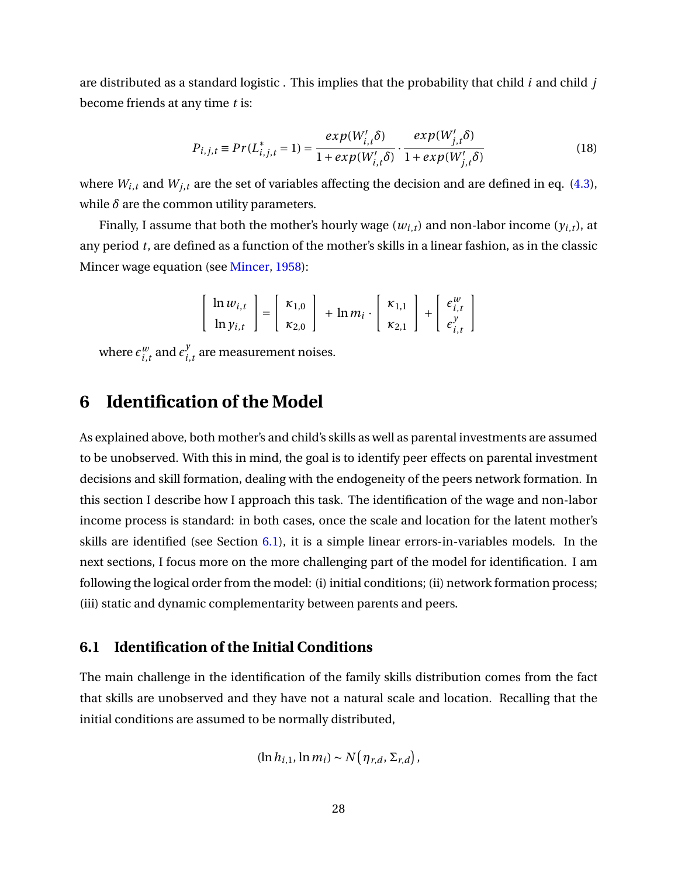are distributed as a standard logistic . This implies that the probability that child *i* and child *j* become friends at any time *t* is:

$$
P_{i,j,t} \equiv Pr(L_{i,j,t}^* = 1) = \frac{exp(W_{i,t}'\delta)}{1 + exp(W_{i,t}'\delta)} \cdot \frac{exp(W_{j,t}'\delta)}{1 + exp(W_{j,t}'\delta)}
$$
(18)

where  $W_{i,t}$  and  $W_{j,t}$  are the set of variables affecting the decision and are defined in eq. [\(4.3\)](#page-19-3), while  $\delta$  are the common utility parameters.

Finally, I assume that both the mother's hourly wage  $(w_{i,t})$  and non-labor income  $(y_{i,t})$ , at any period *t*, are defined as a function of the mother's skills in a linear fashion, as in the classic Mincer wage equation (see [Mincer,](#page-53-12) [1958\)](#page-53-12):

$$
\begin{bmatrix} \ln w_{i,t} \\ \ln y_{i,t} \end{bmatrix} = \begin{bmatrix} \kappa_{1,0} \\ \kappa_{2,0} \end{bmatrix} + \ln m_i \cdot \begin{bmatrix} \kappa_{1,1} \\ \kappa_{2,1} \end{bmatrix} + \begin{bmatrix} \epsilon_{i,t}^w \\ \epsilon_{i,t}^y \end{bmatrix}
$$

where  $\epsilon_i^w$  $\frac{w}{i,t}$  and  $\epsilon_i^y$  $\sum_{i,t}^{y}$  are measurement noises.

# <span id="page-29-0"></span>**6 Identification of the Model**

As explained above, both mother's and child's skills as well as parental investments are assumed to be unobserved. With this in mind, the goal is to identify peer effects on parental investment decisions and skill formation, dealing with the endogeneity of the peers network formation. In this section I describe how I approach this task. The identification of the wage and non-labor income process is standard: in both cases, once the scale and location for the latent mother's skills are identified (see Section [6.1\)](#page-29-1), it is a simple linear errors-in-variables models. In the next sections, I focus more on the more challenging part of the model for identification. I am following the logical order from the model: (i) initial conditions; (ii) network formation process; (iii) static and dynamic complementarity between parents and peers.

# <span id="page-29-1"></span>**6.1 Identification of the Initial Conditions**

The main challenge in the identification of the family skills distribution comes from the fact that skills are unobserved and they have not a natural scale and location. Recalling that the initial conditions are assumed to be normally distributed,

$$
(\ln h_{i,1}, \ln m_i) \sim N(\eta_{r,d}, \Sigma_{r,d}),
$$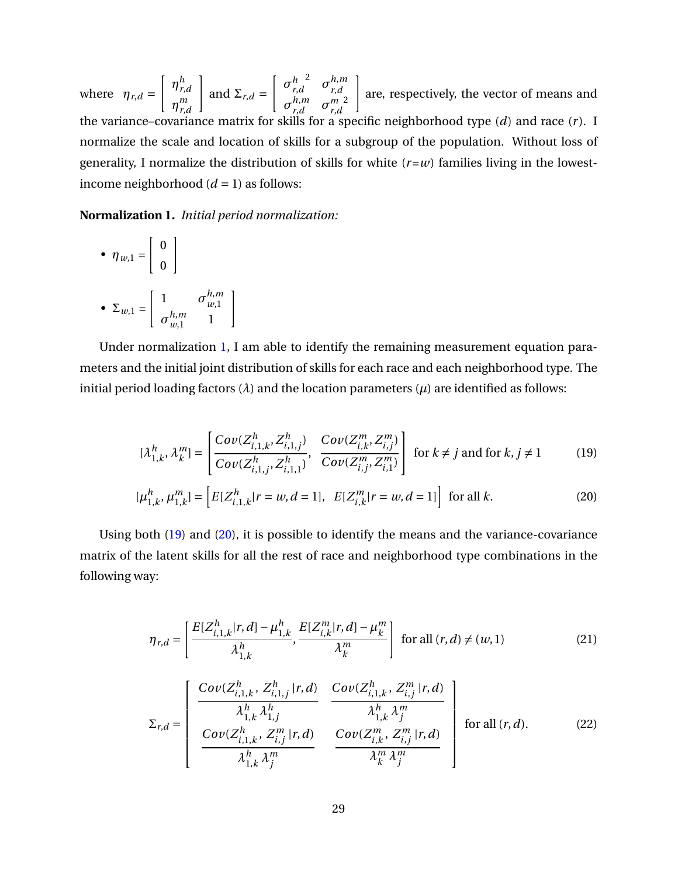where  $\eta_{r,d}$  =  $\int$   $\eta_r^h$ *r*,*d η m r*,*d*  $\mathbf{I}$ and  $\Sigma_{r,d}$  =  $\int \sigma_r^h$ *r*,*d* 2  $\sigma_{rd}^{h,m}$ *r*,*d σ h*,*m*  $n,m$  *σ*<sup>*m*</sup> *r*,*d r*,*d* 2  $\mathbf{I}$ are, respectively, the vector of means and the variance–covariance matrix for skills for a specific neighborhood type (*d*) and race (*r* ). I normalize the scale and location of skills for a subgroup of the population. Without loss of generality, I normalize the distribution of skills for white  $(r=w)$  families living in the lowestincome neighborhood  $(d = 1)$  as follows:

<span id="page-30-0"></span>**Normalization 1.** *Initial period normalization:*

<span id="page-30-2"></span><span id="page-30-1"></span> $\mathbf{I}$ 

• 
$$
\eta_{w,1} = \begin{bmatrix} 0 \\ 0 \end{bmatrix}
$$
  
\n•  $\Sigma_{w,1} = \begin{bmatrix} 1 & \sigma_{w,1}^{h,m} \\ \sigma_{w,1}^{h,m} & 1 \end{bmatrix}$ 

Under normalization [1,](#page-30-0) I am able to identify the remaining measurement equation parameters and the initial joint distribution of skills for each race and each neighborhood type. The initial period loading factors  $(\lambda)$  and the location parameters  $(\mu)$  are identified as follows:

$$
[\lambda_{1,k}^h, \lambda_k^m] = \begin{bmatrix} Cov(Z_{i,1,k}^h, Z_{i,1,j}^h) & Cov(Z_{i,k}^m, Z_{i,j}^m) \\ Cov(Z_{i,1,j}^h, Z_{i,1,l}^h) & Cov(Z_{i,j}^m, Z_{i,1}^m) \end{bmatrix} \text{ for } k \neq j \text{ and for } k, j \neq 1
$$
 (19)

$$
[\mu_{1,k}^h, \mu_{1,k}^m] = \left[ E[Z_{i,1,k}^h | r = w, d = 1], E[Z_{i,k}^m | r = w, d = 1] \right] \text{ for all } k.
$$
 (20)

Using both [\(19\)](#page-30-1) and [\(20\)](#page-30-2), it is possible to identify the means and the variance-covariance matrix of the latent skills for all the rest of race and neighborhood type combinations in the following way:

$$
\eta_{r,d} = \left[ \frac{E[Z_{i,1,k}^h | r, d] - \mu_{1,k}^h}{\lambda_{1,k}^h}, \frac{E[Z_{i,k}^m | r, d] - \mu_k^m}{\lambda_k^m} \right] \text{ for all } (r, d) \neq (w, 1)
$$
 (21)

$$
\Sigma_{r,d} = \begin{bmatrix} Cov(Z_{i,1,k}^h, Z_{i,1,j}^h | r, d) & Cov(Z_{i,1,k}^h, Z_{i,j}^m | r, d) \\ \frac{\lambda_{1,k}^h \lambda_{1,j}^h}{\lambda_{1,k}^h \lambda_{1,j}^m} & \frac{\lambda_{1,k}^h \lambda_j^m}{\lambda_{1,k}^h \lambda_j^m} \\ \frac{Cov(Z_{i,1,k}^h, Z_{i,j}^m | r, d)}{\lambda_{1,k}^h \lambda_j^m} & \frac{Cov(Z_{i,k}^m, Z_{i,j}^m | r, d)}{\lambda_k^m \lambda_j^m} \end{bmatrix}
$$
 for all  $(r, d)$ . (22)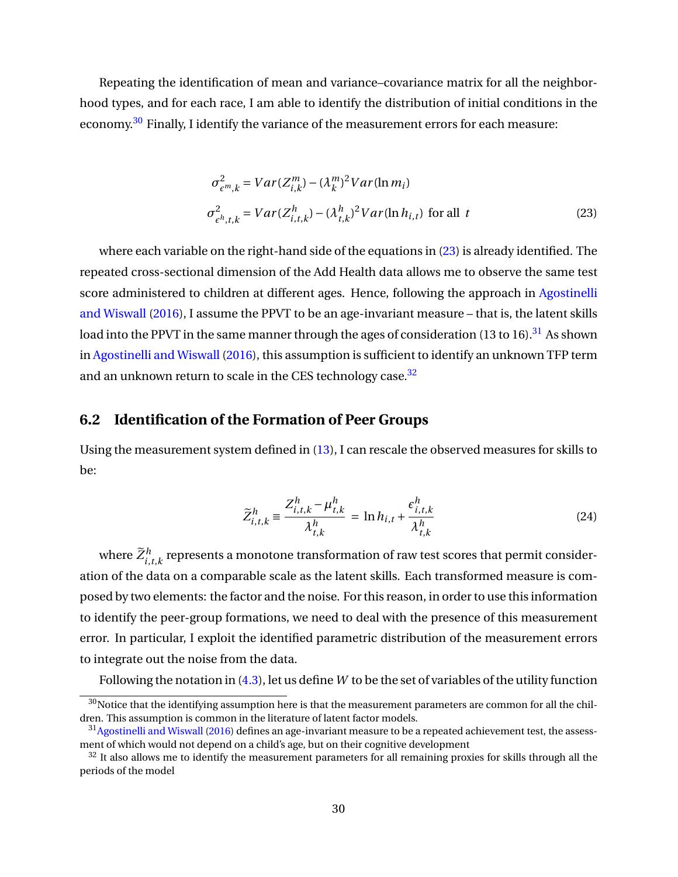Repeating the identification of mean and variance–covariance matrix for all the neighborhood types, and for each race, I am able to identify the distribution of initial conditions in the economy.<sup>[30](#page-31-0)</sup> Finally, I identify the variance of the measurement errors for each measure:

<span id="page-31-1"></span>
$$
\sigma_{\epsilon^m,k}^2 = Var(Z_{i,k}^m) - (\lambda_k^m)^2 Var(\ln m_i)
$$
  

$$
\sigma_{\epsilon^h,t,k}^2 = Var(Z_{i,t,k}^h) - (\lambda_{t,k}^h)^2 Var(\ln h_{i,t})
$$
 for all  $t$  (23)

where each variable on the right-hand side of the equations in [\(23\)](#page-31-1) is already identified. The repeated cross-sectional dimension of the Add Health data allows me to observe the same test score administered to children at different ages. Hence, following the approach in [Agostinelli](#page-48-0) [and Wiswall](#page-48-0) [\(2016\)](#page-48-0), I assume the PPVT to be an age-invariant measure – that is, the latent skills load into the PPVT in the same manner through the ages of consideration (13 to 16).<sup>[31](#page-31-2)</sup> As shown in [Agostinelli and Wiswall](#page-48-0) [\(2016\)](#page-48-0), this assumption is sufficient to identify an unknown TFP term and an unknown return to scale in the CES technology case.<sup>[32](#page-31-3)</sup>

# **6.2 Identification of the Formation of Peer Groups**

Using the measurement system defined in [\(13\)](#page-26-2), I can rescale the observed measures for skills to be:

$$
\widetilde{Z}_{i,t,k}^h \equiv \frac{Z_{i,t,k}^h - \mu_{t,k}^h}{\lambda_{t,k}^h} = \ln h_{i,t} + \frac{\epsilon_{i,t,k}^h}{\lambda_{t,k}^h}
$$
\n(24)

where  $\widetilde{Z}^h_{i,t,k}$  represents a monotone transformation of raw test scores that permit consideration of the data on a comparable scale as the latent skills. Each transformed measure is composed by two elements: the factor and the noise. For this reason, in order to use this information to identify the peer-group formations, we need to deal with the presence of this measurement error. In particular, I exploit the identified parametric distribution of the measurement errors to integrate out the noise from the data.

Following the notation in [\(4.3\)](#page-19-3), let us define*W* to be the set of variables of the utility function

<span id="page-31-0"></span> $30$ Notice that the identifying assumption here is that the measurement parameters are common for all the children. This assumption is common in the literature of latent factor models.

<span id="page-31-2"></span><sup>&</sup>lt;sup>31</sup> [Agostinelli and Wiswall](#page-48-0) [\(2016\)](#page-48-0) defines an age-invariant measure to be a repeated achievement test, the assessment of which would not depend on a child's age, but on their cognitive development

<span id="page-31-3"></span><sup>&</sup>lt;sup>32</sup> It also allows me to identify the measurement parameters for all remaining proxies for skills through all the periods of the model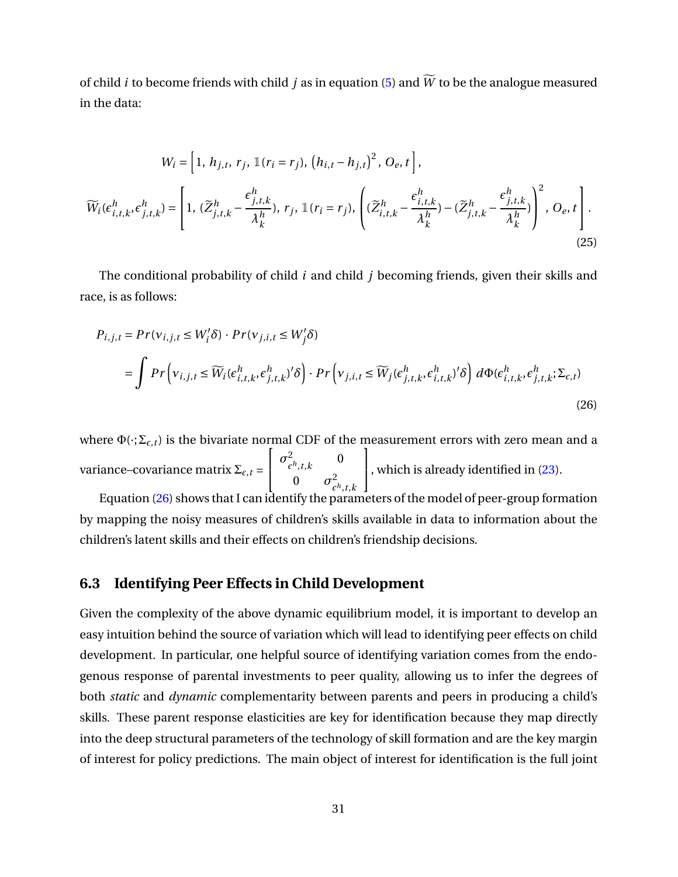of child *i* to become friends with child *j* as in equation [\(5\)](#page-18-0) and  $\widetilde{W}$  to be the analogue measured in the data:

$$
W_i = \left[1, h_{j,t}, r_j, \mathbb{1}(r_i = r_j), (h_{i,t} - h_{j,t})^2, O_e, t\right],
$$
  

$$
\widetilde{W}_i(\epsilon_{i,t,k}^h, \epsilon_{j,t,k}^h) = \left[1, (\widetilde{Z}_{j,t,k}^h - \frac{\epsilon_{j,t,k}^h}{\lambda_k^h}), r_j, \mathbb{1}(r_i = r_j), \left((\widetilde{Z}_{i,t,k}^h - \frac{\epsilon_{i,t,k}^h}{\lambda_k^h}) - (\widetilde{Z}_{j,t,k}^h - \frac{\epsilon_{j,t,k}^h}{\lambda_k^h})\right)^2, O_e, t\right].
$$
\n(25)

The conditional probability of child *i* and child *j* becoming friends, given their skills and race, is as follows:

<span id="page-32-0"></span>
$$
P_{i,j,t} = Pr(v_{i,j,t} \le W'_i \delta) \cdot Pr(v_{j,i,t} \le W'_j \delta)
$$
  
= 
$$
\int Pr\left(v_{i,j,t} \le \widetilde{W}_i(\epsilon_{i,t,k}^h, \epsilon_{j,t,k}^h)'\delta\right) \cdot Pr\left(v_{j,i,t} \le \widetilde{W}_j(\epsilon_{j,t,k}^h, \epsilon_{i,t,k}^h)'\delta\right) d\Phi(\epsilon_{i,t,k}^h, \epsilon_{j,t,k}^h; \Sigma_{\epsilon,t})
$$
(26)

where  $\Phi(\cdot;\Sigma_{\varepsilon,t})$  is the bivariate normal CDF of the measurement errors with zero mean and a variance–covariance matrix  $\Sigma_{\epsilon,\,t}$  =  $\sqrt{ }$  $\mathbf{I}$  $\sigma^2$  $\frac{2}{\epsilon^h,t,k}$ 0 0  $\sigma^2$  $\varepsilon^{h}$ ,*t*,*k* 1 , which is already identified in [\(23\)](#page-31-1).

Equation [\(26\)](#page-32-0) shows that I can identify the parameters of the model of peer-group formation by mapping the noisy measures of children's skills available in data to information about the children's latent skills and their effects on children's friendship decisions.

# **6.3 Identifying Peer Effects in Child Development**

Given the complexity of the above dynamic equilibrium model, it is important to develop an easy intuition behind the source of variation which will lead to identifying peer effects on child development. In particular, one helpful source of identifying variation comes from the endogenous response of parental investments to peer quality, allowing us to infer the degrees of both *static* and *dynamic* complementarity between parents and peers in producing a child's skills. These parent response elasticities are key for identification because they map directly into the deep structural parameters of the technology of skill formation and are the key margin of interest for policy predictions. The main object of interest for identification is the full joint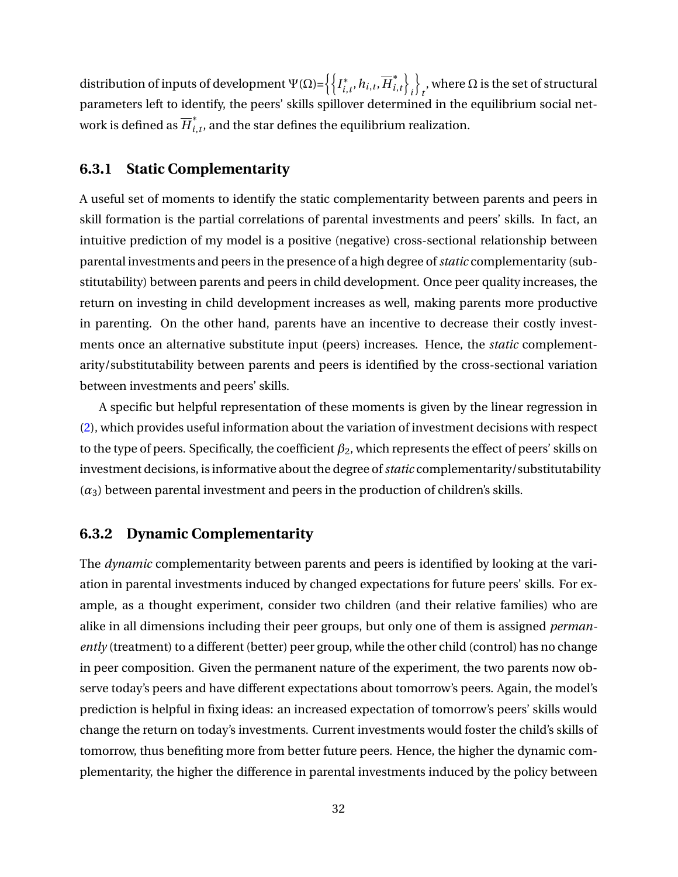distribution of inputs of development  $\Psi(\Omega)$ = $\left\{ \right\} I_{i}^{*}$  $\overline{h}_{i,t}^*$ ,  $h_{i,t}$ ,  $\overline{H}_{i,t}^*$  $\left\{\begin{array}{c} * \\ i, t \end{array}\right\}$ *i* o , where  $\Omega$  is the set of structural parameters left to identify, the peers' skills spillover determined in the equilibrium social network is defined as  $\overline{H}^*_i$  $\hat{f}_{i,t}$ , and the star defines the equilibrium realization.

# **6.3.1 Static Complementarity**

A useful set of moments to identify the static complementarity between parents and peers in skill formation is the partial correlations of parental investments and peers' skills. In fact, an intuitive prediction of my model is a positive (negative) cross-sectional relationship between parental investments and peers in the presence of a high degree of*static* complementarity (substitutability) between parents and peers in child development. Once peer quality increases, the return on investing in child development increases as well, making parents more productive in parenting. On the other hand, parents have an incentive to decrease their costly investments once an alternative substitute input (peers) increases. Hence, the *static* complementarity/substitutability between parents and peers is identified by the cross-sectional variation between investments and peers' skills.

A specific but helpful representation of these moments is given by the linear regression in [\(2\)](#page-12-0), which provides useful information about the variation of investment decisions with respect to the type of peers. Specifically, the coefficient *β*2, which represents the effect of peers' skills on investment decisions, is informative about the degree of*static* complementarity/substitutability  $(\alpha_3)$  between parental investment and peers in the production of children's skills.

# **6.3.2 Dynamic Complementarity**

The *dynamic* complementarity between parents and peers is identified by looking at the variation in parental investments induced by changed expectations for future peers' skills. For example, as a thought experiment, consider two children (and their relative families) who are alike in all dimensions including their peer groups, but only one of them is assigned *permanently* (treatment) to a different (better) peer group, while the other child (control) has no change in peer composition. Given the permanent nature of the experiment, the two parents now observe today's peers and have different expectations about tomorrow's peers. Again, the model's prediction is helpful in fixing ideas: an increased expectation of tomorrow's peers' skills would change the return on today's investments. Current investments would foster the child's skills of tomorrow, thus benefiting more from better future peers. Hence, the higher the dynamic complementarity, the higher the difference in parental investments induced by the policy between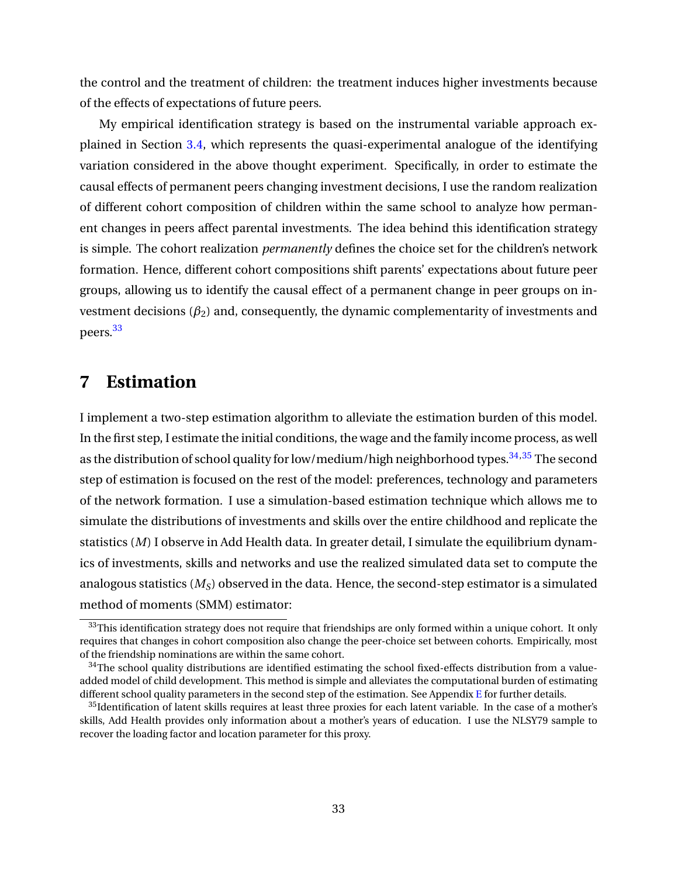the control and the treatment of children: the treatment induces higher investments because of the effects of expectations of future peers.

My empirical identification strategy is based on the instrumental variable approach explained in Section [3.4,](#page-11-2) which represents the quasi-experimental analogue of the identifying variation considered in the above thought experiment. Specifically, in order to estimate the causal effects of permanent peers changing investment decisions, I use the random realization of different cohort composition of children within the same school to analyze how permanent changes in peers affect parental investments. The idea behind this identification strategy is simple. The cohort realization *permanently* defines the choice set for the children's network formation. Hence, different cohort compositions shift parents' expectations about future peer groups, allowing us to identify the causal effect of a permanent change in peer groups on investment decisions  $(\beta_2)$  and, consequently, the dynamic complementarity of investments and peers.[33](#page-34-1)

# <span id="page-34-0"></span>**7 Estimation**

I implement a two-step estimation algorithm to alleviate the estimation burden of this model. In the first step, I estimate the initial conditions, the wage and the family income process, as well as the distribution of school quality for low/medium/high neighborhood types.<sup>[34,](#page-34-2)[35](#page-34-3)</sup> The second step of estimation is focused on the rest of the model: preferences, technology and parameters of the network formation. I use a simulation-based estimation technique which allows me to simulate the distributions of investments and skills over the entire childhood and replicate the statistics (*M*) I observe in Add Health data. In greater detail, I simulate the equilibrium dynamics of investments, skills and networks and use the realized simulated data set to compute the analogous statistics (*MS*) observed in the data. Hence, the second-step estimator is a simulated method of moments (SMM) estimator:

<span id="page-34-1"></span><sup>&</sup>lt;sup>33</sup>This identification strategy does not require that friendships are only formed within a unique cohort. It only requires that changes in cohort composition also change the peer-choice set between cohorts. Empirically, most of the friendship nominations are within the same cohort.

<span id="page-34-2"></span> $34$ The school quality distributions are identified estimating the school fixed-effects distribution from a valueadded model of child development. This method is simple and alleviates the computational burden of estimating different school quality parameters in the second step of the estimation. See Appendix [E](#page-76-0) for further details.

<span id="page-34-3"></span><sup>&</sup>lt;sup>35</sup>Identification of latent skills requires at least three proxies for each latent variable. In the case of a mother's skills, Add Health provides only information about a mother's years of education. I use the NLSY79 sample to recover the loading factor and location parameter for this proxy.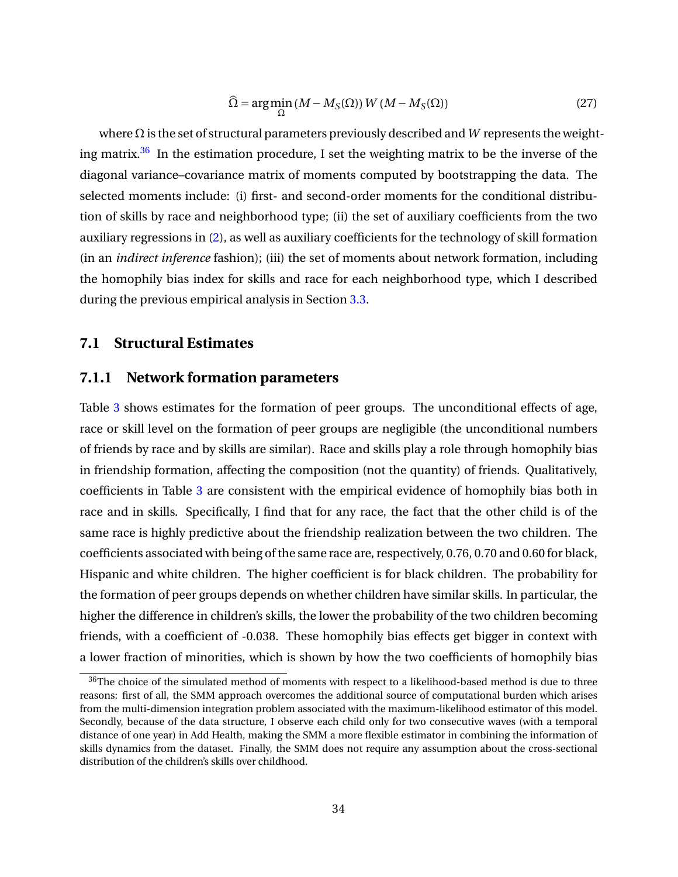$$
\widehat{\Omega} = \arg\min_{\Omega} (M - M_S(\Omega)) W (M - M_S(\Omega))
$$
\n(27)

where Ω is the set of structural parameters previously described and*W* represents the weight-ing matrix.<sup>[36](#page-35-0)</sup> In the estimation procedure, I set the weighting matrix to be the inverse of the diagonal variance–covariance matrix of moments computed by bootstrapping the data. The selected moments include: (i) first- and second-order moments for the conditional distribution of skills by race and neighborhood type; (ii) the set of auxiliary coefficients from the two auxiliary regressions in [\(2\)](#page-12-0), as well as auxiliary coefficients for the technology of skill formation (in an *indirect inference* fashion); (iii) the set of moments about network formation, including the homophily bias index for skills and race for each neighborhood type, which I described during the previous empirical analysis in Section [3.3.](#page-10-4)

## **7.1 Structural Estimates**

## **7.1.1 Network formation parameters**

Table [3](#page-56-0) shows estimates for the formation of peer groups. The unconditional effects of age, race or skill level on the formation of peer groups are negligible (the unconditional numbers of friends by race and by skills are similar). Race and skills play a role through homophily bias in friendship formation, affecting the composition (not the quantity) of friends. Qualitatively, coefficients in Table [3](#page-56-0) are consistent with the empirical evidence of homophily bias both in race and in skills. Specifically, I find that for any race, the fact that the other child is of the same race is highly predictive about the friendship realization between the two children. The coefficients associated with being of the same race are, respectively, 0.76, 0.70 and 0.60 for black, Hispanic and white children. The higher coefficient is for black children. The probability for the formation of peer groups depends on whether children have similar skills. In particular, the higher the difference in children's skills, the lower the probability of the two children becoming friends, with a coefficient of -0.038. These homophily bias effects get bigger in context with a lower fraction of minorities, which is shown by how the two coefficients of homophily bias

<span id="page-35-0"></span><sup>&</sup>lt;sup>36</sup>The choice of the simulated method of moments with respect to a likelihood-based method is due to three reasons: first of all, the SMM approach overcomes the additional source of computational burden which arises from the multi-dimension integration problem associated with the maximum-likelihood estimator of this model. Secondly, because of the data structure, I observe each child only for two consecutive waves (with a temporal distance of one year) in Add Health, making the SMM a more flexible estimator in combining the information of skills dynamics from the dataset. Finally, the SMM does not require any assumption about the cross-sectional distribution of the children's skills over childhood.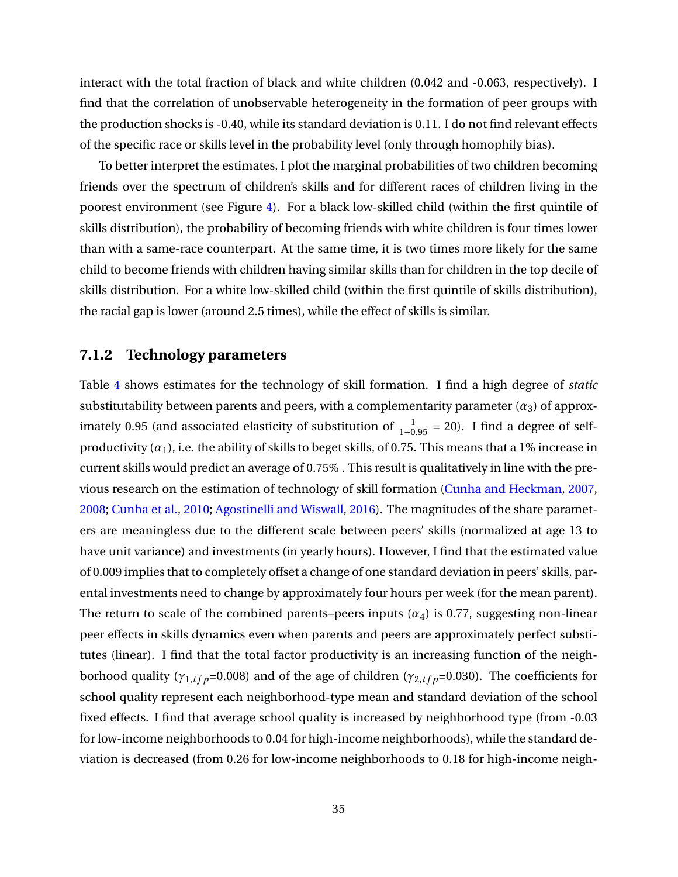interact with the total fraction of black and white children (0.042 and -0.063, respectively). I find that the correlation of unobservable heterogeneity in the formation of peer groups with the production shocks is -0.40, while its standard deviation is 0.11. I do not find relevant effects of the specific race or skills level in the probability level (only through homophily bias).

To better interpret the estimates, I plot the marginal probabilities of two children becoming friends over the spectrum of children's skills and for different races of children living in the poorest environment (see Figure [4\)](#page-69-0). For a black low-skilled child (within the first quintile of skills distribution), the probability of becoming friends with white children is four times lower than with a same-race counterpart. At the same time, it is two times more likely for the same child to become friends with children having similar skills than for children in the top decile of skills distribution. For a white low-skilled child (within the first quintile of skills distribution), the racial gap is lower (around 2.5 times), while the effect of skills is similar.

#### **7.1.2 Technology parameters**

Table [4](#page-57-0) shows estimates for the technology of skill formation. I find a high degree of *static* substitutability between parents and peers, with a complementarity parameter  $(\alpha_3)$  of approximately 0.95 (and associated elasticity of substitution of  $\frac{1}{1-0.95}$  = 20). I find a degree of selfproductivity  $(\alpha_1)$ , i.e. the ability of skills to beget skills, of 0.75. This means that a 1% increase in current skills would predict an average of 0.75% . This result is qualitatively in line with the previous research on the estimation of technology of skill formation [\(Cunha and Heckman,](#page-50-0) [2007,](#page-50-0) [2008;](#page-50-1) [Cunha et al.,](#page-50-2) [2010;](#page-50-2) [Agostinelli and Wiswall,](#page-48-0) [2016\)](#page-48-0). The magnitudes of the share parameters are meaningless due to the different scale between peers' skills (normalized at age 13 to have unit variance) and investments (in yearly hours). However, I find that the estimated value of 0.009 implies that to completely offset a change of one standard deviation in peers' skills, parental investments need to change by approximately four hours per week (for the mean parent). The return to scale of the combined parents–peers inputs  $(\alpha_4)$  is 0.77, suggesting non-linear peer effects in skills dynamics even when parents and peers are approximately perfect substitutes (linear). I find that the total factor productivity is an increasing function of the neighborhood quality ( $\gamma_{1,tfp}$ =0.008) and of the age of children ( $\gamma_{2,tfp}$ =0.030). The coefficients for school quality represent each neighborhood-type mean and standard deviation of the school fixed effects. I find that average school quality is increased by neighborhood type (from -0.03 for low-income neighborhoods to 0.04 for high-income neighborhoods), while the standard deviation is decreased (from 0.26 for low-income neighborhoods to 0.18 for high-income neigh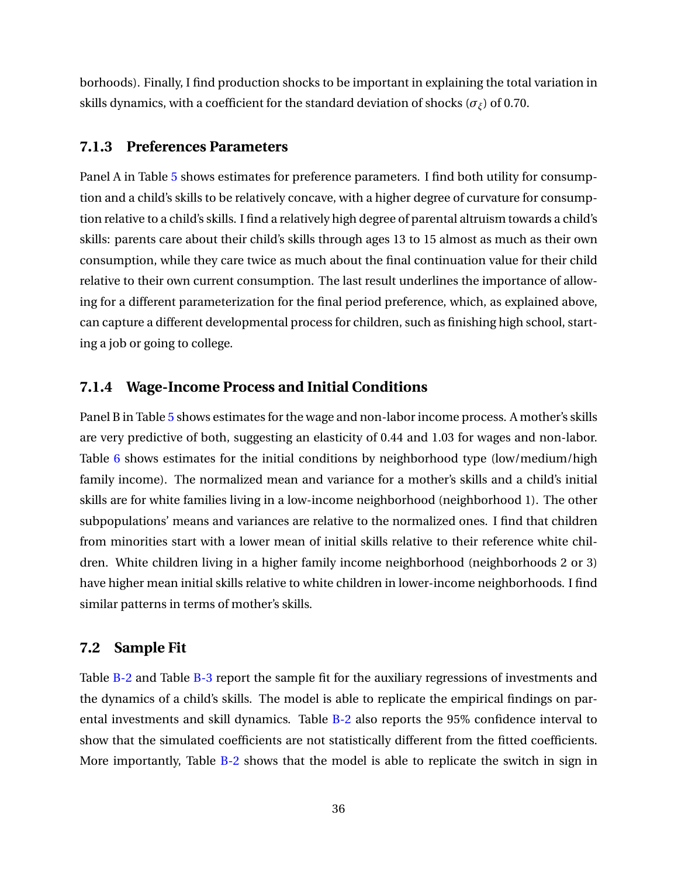borhoods). Finally, I find production shocks to be important in explaining the total variation in skills dynamics, with a coefficient for the standard deviation of shocks ( $\sigma$ *<sub>ξ</sub>*) of 0.70.

#### **7.1.3 Preferences Parameters**

Panel A in Table [5](#page-58-0) shows estimates for preference parameters. I find both utility for consumption and a child's skills to be relatively concave, with a higher degree of curvature for consumption relative to a child's skills. I find a relatively high degree of parental altruism towards a child's skills: parents care about their child's skills through ages 13 to 15 almost as much as their own consumption, while they care twice as much about the final continuation value for their child relative to their own current consumption. The last result underlines the importance of allowing for a different parameterization for the final period preference, which, as explained above, can capture a different developmental process for children, such as finishing high school, starting a job or going to college.

#### **7.1.4 Wage-Income Process and Initial Conditions**

Panel B in Table [5](#page-58-0) shows estimates for the wage and non-labor income process. A mother's skills are very predictive of both, suggesting an elasticity of 0.44 and 1.03 for wages and non-labor. Table [6](#page-59-0) shows estimates for the initial conditions by neighborhood type (low/medium/high family income). The normalized mean and variance for a mother's skills and a child's initial skills are for white families living in a low-income neighborhood (neighborhood 1). The other subpopulations' means and variances are relative to the normalized ones. I find that children from minorities start with a lower mean of initial skills relative to their reference white children. White children living in a higher family income neighborhood (neighborhoods 2 or 3) have higher mean initial skills relative to white children in lower-income neighborhoods. I find similar patterns in terms of mother's skills.

#### **7.2 Sample Fit**

Table [B-2](#page-88-0) and Table [B-3](#page-89-0) report the sample fit for the auxiliary regressions of investments and the dynamics of a child's skills. The model is able to replicate the empirical findings on parental investments and skill dynamics. Table [B-2](#page-88-0) also reports the 95% confidence interval to show that the simulated coefficients are not statistically different from the fitted coefficients. More importantly, Table [B-2](#page-88-0) shows that the model is able to replicate the switch in sign in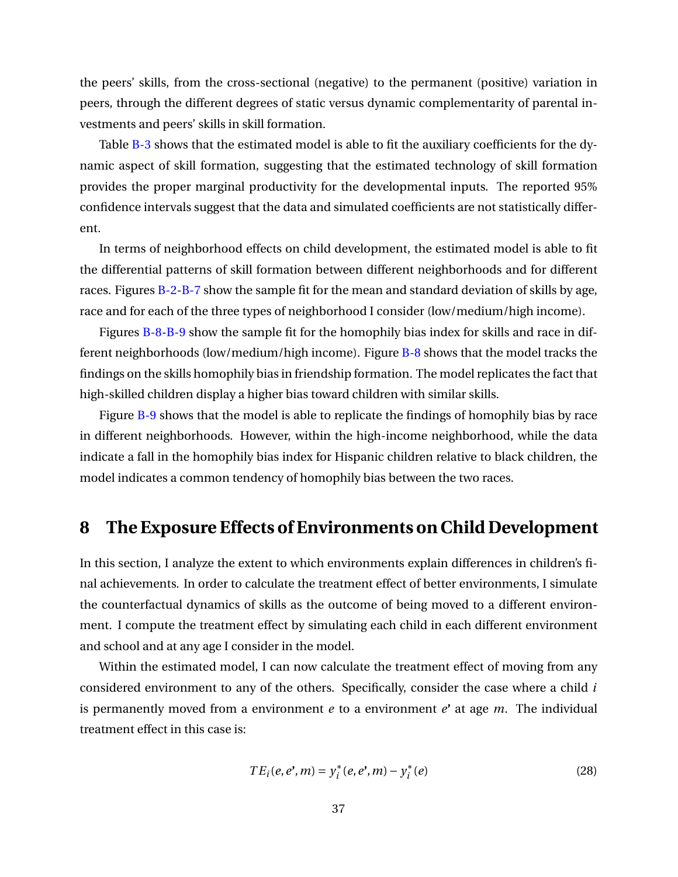the peers' skills, from the cross-sectional (negative) to the permanent (positive) variation in peers, through the different degrees of static versus dynamic complementarity of parental investments and peers' skills in skill formation.

Table [B-3](#page-89-0) shows that the estimated model is able to fit the auxiliary coefficients for the dynamic aspect of skill formation, suggesting that the estimated technology of skill formation provides the proper marginal productivity for the developmental inputs. The reported 95% confidence intervals suggest that the data and simulated coefficients are not statistically different.

In terms of neighborhood effects on child development, the estimated model is able to fit the differential patterns of skill formation between different neighborhoods and for different races. Figures [B-2-](#page-79-0)[B-7](#page-84-0) show the sample fit for the mean and standard deviation of skills by age, race and for each of the three types of neighborhood I consider (low/medium/high income).

Figures [B-8](#page-85-0)[-B-9](#page-86-0) show the sample fit for the homophily bias index for skills and race in different neighborhoods (low/medium/high income). Figure [B-8](#page-85-0) shows that the model tracks the findings on the skills homophily bias in friendship formation. The model replicates the fact that high-skilled children display a higher bias toward children with similar skills.

Figure [B-9](#page-86-0) shows that the model is able to replicate the findings of homophily bias by race in different neighborhoods. However, within the high-income neighborhood, while the data indicate a fall in the homophily bias index for Hispanic children relative to black children, the model indicates a common tendency of homophily bias between the two races.

### **8 The Exposure Effects of Environments on Child Development**

In this section, I analyze the extent to which environments explain differences in children's final achievements. In order to calculate the treatment effect of better environments, I simulate the counterfactual dynamics of skills as the outcome of being moved to a different environment. I compute the treatment effect by simulating each child in each different environment and school and at any age I consider in the model.

Within the estimated model, I can now calculate the treatment effect of moving from any considered environment to any of the others. Specifically, consider the case where a child *i* is permanently moved from a environment *e* to a environment *e*' at age *m*. The individual treatment effect in this case is:

$$
TE_i(e, e', m) = y_i^*(e, e', m) - y_i^*(e)
$$
\n(28)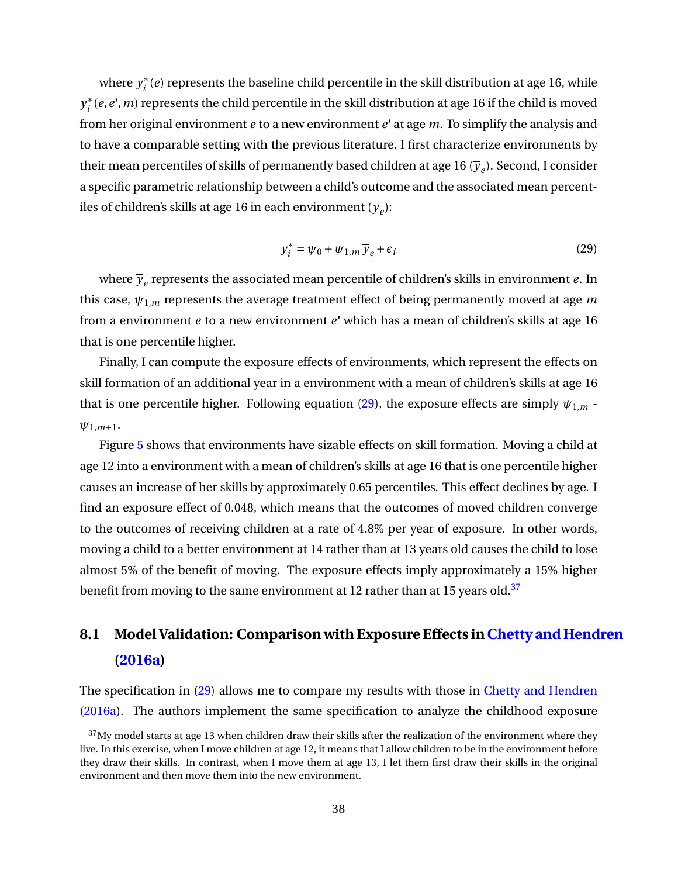where  $y_i^*$  $\hat{i}$  (*e*) represents the baseline child percentile in the skill distribution at age 16, while *y* ∗ *i* (*e*,*e***'**,*m*) represents the child percentile in the skill distribution at age 16 if the child is moved from her original environment *e* to a new environment *e***'** at age *m*. To simplify the analysis and to have a comparable setting with the previous literature, I first characterize environments by their mean percentiles of skills of permanently based children at age 16  $(\overline{\mathcal{Y}}_{e})$ . Second, I consider a specific parametric relationship between a child's outcome and the associated mean percentiles of children's skills at age 16 in each environment (*y<sup>e</sup>* ):

<span id="page-39-0"></span>
$$
y_i^* = \psi_0 + \psi_{1,m} \overline{y}_e + \epsilon_i
$$
 (29)

where  $\overline{\mathbf{y}}_{e}$  represents the associated mean percentile of children's skills in environment  $e$ . In this case, *ψ*1,*<sup>m</sup>* represents the average treatment effect of being permanently moved at age *m* from a environment *e* to a new environment *e***'** which has a mean of children's skills at age 16 that is one percentile higher.

Finally, I can compute the exposure effects of environments, which represent the effects on skill formation of an additional year in a environment with a mean of children's skills at age 16 that is one percentile higher. Following equation [\(29\)](#page-39-0), the exposure effects are simply  $\psi_{1,m}$  *ψ*1,*m*+1.

Figure [5](#page-70-0) shows that environments have sizable effects on skill formation. Moving a child at age 12 into a environment with a mean of children's skills at age 16 that is one percentile higher causes an increase of her skills by approximately 0.65 percentiles. This effect declines by age. I find an exposure effect of 0.048, which means that the outcomes of moved children converge to the outcomes of receiving children at a rate of 4.8% per year of exposure. In other words, moving a child to a better environment at 14 rather than at 13 years old causes the child to lose almost 5% of the benefit of moving. The exposure effects imply approximately a 15% higher benefit from moving to the same environment at 12 rather than at 15 years old.<sup>[37](#page-39-1)</sup>

# **8.1 Model Validation: Comparison with Exposure Effects in[Chetty and Hendren](#page-50-3) [\(2016a\)](#page-50-3)**

The specification in [\(29\)](#page-39-0) allows me to compare my results with those in [Chetty and Hendren](#page-50-3) [\(2016a\)](#page-50-3). The authors implement the same specification to analyze the childhood exposure

<span id="page-39-1"></span> $37$ My model starts at age 13 when children draw their skills after the realization of the environment where they live. In this exercise, when I move children at age 12, it means that I allow children to be in the environment before they draw their skills. In contrast, when I move them at age 13, I let them first draw their skills in the original environment and then move them into the new environment.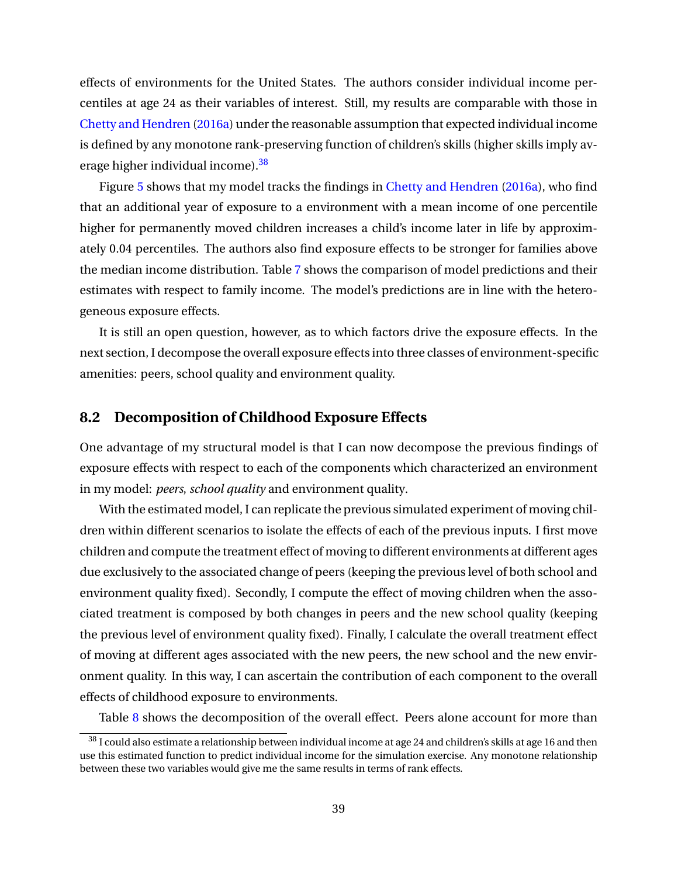effects of environments for the United States. The authors consider individual income percentiles at age 24 as their variables of interest. Still, my results are comparable with those in [Chetty and Hendren](#page-50-3) [\(2016a\)](#page-50-3) under the reasonable assumption that expected individual income is defined by any monotone rank-preserving function of children's skills (higher skills imply average higher individual income).[38](#page-40-0)

Figure [5](#page-70-0) shows that my model tracks the findings in [Chetty and Hendren](#page-50-3) [\(2016a\)](#page-50-3), who find that an additional year of exposure to a environment with a mean income of one percentile higher for permanently moved children increases a child's income later in life by approximately 0.04 percentiles. The authors also find exposure effects to be stronger for families above the median income distribution. Table [7](#page-60-0) shows the comparison of model predictions and their estimates with respect to family income. The model's predictions are in line with the heterogeneous exposure effects.

It is still an open question, however, as to which factors drive the exposure effects. In the next section, I decompose the overall exposure effects into three classes of environment-specific amenities: peers, school quality and environment quality.

### **8.2 Decomposition of Childhood Exposure Effects**

One advantage of my structural model is that I can now decompose the previous findings of exposure effects with respect to each of the components which characterized an environment in my model: *peers*, *school quality* and environment quality.

With the estimated model, I can replicate the previous simulated experiment of moving children within different scenarios to isolate the effects of each of the previous inputs. I first move children and compute the treatment effect of moving to different environments at different ages due exclusively to the associated change of peers (keeping the previous level of both school and environment quality fixed). Secondly, I compute the effect of moving children when the associated treatment is composed by both changes in peers and the new school quality (keeping the previous level of environment quality fixed). Finally, I calculate the overall treatment effect of moving at different ages associated with the new peers, the new school and the new environment quality. In this way, I can ascertain the contribution of each component to the overall effects of childhood exposure to environments.

Table [8](#page-61-0) shows the decomposition of the overall effect. Peers alone account for more than

<span id="page-40-0"></span> $^{38}$  I could also estimate a relationship between individual income at age 24 and children's skills at age 16 and then use this estimated function to predict individual income for the simulation exercise. Any monotone relationship between these two variables would give me the same results in terms of rank effects.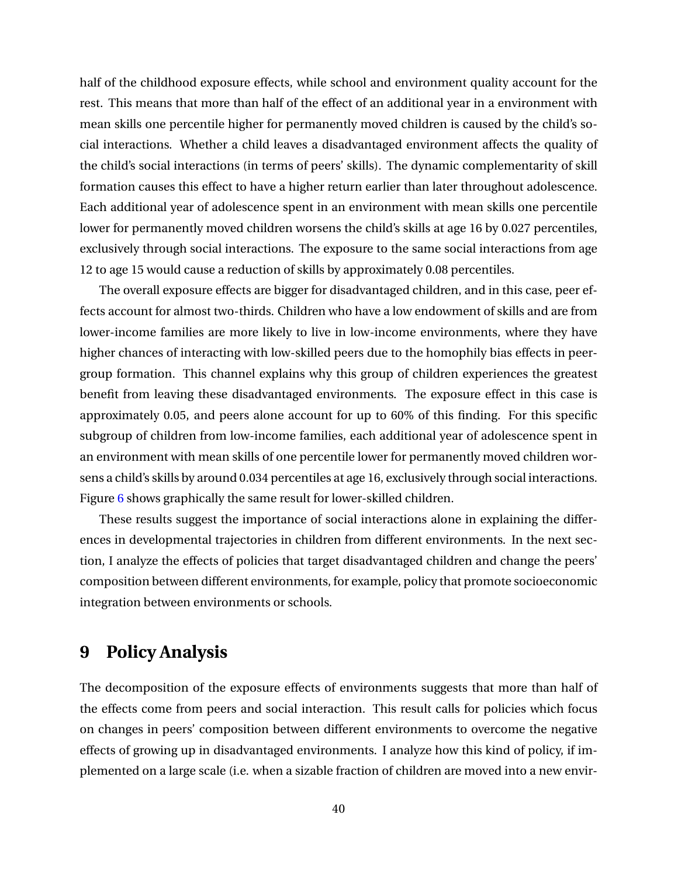half of the childhood exposure effects, while school and environment quality account for the rest. This means that more than half of the effect of an additional year in a environment with mean skills one percentile higher for permanently moved children is caused by the child's social interactions. Whether a child leaves a disadvantaged environment affects the quality of the child's social interactions (in terms of peers' skills). The dynamic complementarity of skill formation causes this effect to have a higher return earlier than later throughout adolescence. Each additional year of adolescence spent in an environment with mean skills one percentile lower for permanently moved children worsens the child's skills at age 16 by 0.027 percentiles, exclusively through social interactions. The exposure to the same social interactions from age 12 to age 15 would cause a reduction of skills by approximately 0.08 percentiles.

The overall exposure effects are bigger for disadvantaged children, and in this case, peer effects account for almost two-thirds. Children who have a low endowment of skills and are from lower-income families are more likely to live in low-income environments, where they have higher chances of interacting with low-skilled peers due to the homophily bias effects in peergroup formation. This channel explains why this group of children experiences the greatest benefit from leaving these disadvantaged environments. The exposure effect in this case is approximately 0.05, and peers alone account for up to 60% of this finding. For this specific subgroup of children from low-income families, each additional year of adolescence spent in an environment with mean skills of one percentile lower for permanently moved children worsens a child's skills by around 0.034 percentiles at age 16, exclusively through social interactions. Figure [6](#page-71-0) shows graphically the same result for lower-skilled children.

These results suggest the importance of social interactions alone in explaining the differences in developmental trajectories in children from different environments. In the next section, I analyze the effects of policies that target disadvantaged children and change the peers' composition between different environments, for example, policy that promote socioeconomic integration between environments or schools.

### **9 Policy Analysis**

The decomposition of the exposure effects of environments suggests that more than half of the effects come from peers and social interaction. This result calls for policies which focus on changes in peers' composition between different environments to overcome the negative effects of growing up in disadvantaged environments. I analyze how this kind of policy, if implemented on a large scale (i.e. when a sizable fraction of children are moved into a new envir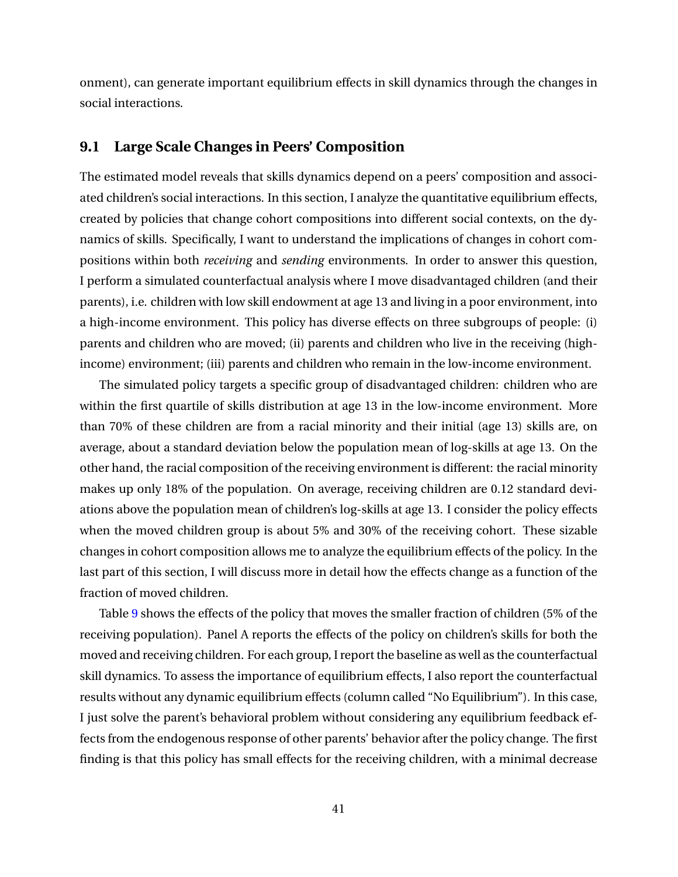onment), can generate important equilibrium effects in skill dynamics through the changes in social interactions.

#### **9.1 Large Scale Changes in Peers' Composition**

The estimated model reveals that skills dynamics depend on a peers' composition and associated children's social interactions. In this section, I analyze the quantitative equilibrium effects, created by policies that change cohort compositions into different social contexts, on the dynamics of skills. Specifically, I want to understand the implications of changes in cohort compositions within both *receiving* and *sending* environments. In order to answer this question, I perform a simulated counterfactual analysis where I move disadvantaged children (and their parents), i.e. children with low skill endowment at age 13 and living in a poor environment, into a high-income environment. This policy has diverse effects on three subgroups of people: (i) parents and children who are moved; (ii) parents and children who live in the receiving (highincome) environment; (iii) parents and children who remain in the low-income environment.

The simulated policy targets a specific group of disadvantaged children: children who are within the first quartile of skills distribution at age 13 in the low-income environment. More than 70% of these children are from a racial minority and their initial (age 13) skills are, on average, about a standard deviation below the population mean of log-skills at age 13. On the other hand, the racial composition of the receiving environment is different: the racial minority makes up only 18% of the population. On average, receiving children are 0.12 standard deviations above the population mean of children's log-skills at age 13. I consider the policy effects when the moved children group is about 5% and 30% of the receiving cohort. These sizable changes in cohort composition allows me to analyze the equilibrium effects of the policy. In the last part of this section, I will discuss more in detail how the effects change as a function of the fraction of moved children.

Table [9](#page-62-0) shows the effects of the policy that moves the smaller fraction of children (5% of the receiving population). Panel A reports the effects of the policy on children's skills for both the moved and receiving children. For each group, I report the baseline as well as the counterfactual skill dynamics. To assess the importance of equilibrium effects, I also report the counterfactual results without any dynamic equilibrium effects (column called "No Equilibrium"). In this case, I just solve the parent's behavioral problem without considering any equilibrium feedback effects from the endogenous response of other parents' behavior after the policy change. The first finding is that this policy has small effects for the receiving children, with a minimal decrease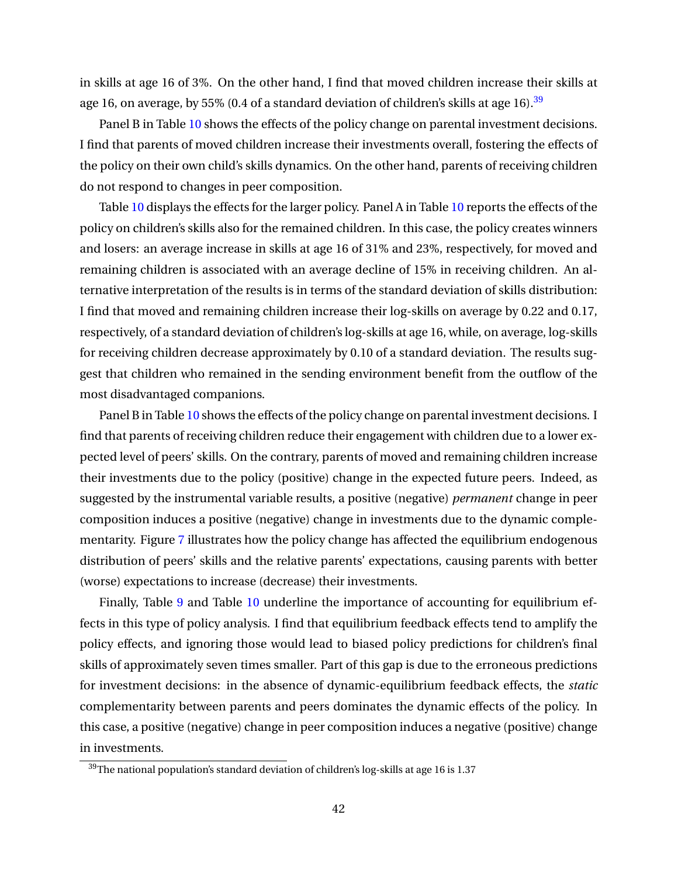in skills at age 16 of 3%. On the other hand, I find that moved children increase their skills at age 16, on average, by 55% (0.4 of a standard deviation of children's skills at age 16).<sup>[39](#page-43-0)</sup>

Panel B in Table [10](#page-63-0) shows the effects of the policy change on parental investment decisions. I find that parents of moved children increase their investments overall, fostering the effects of the policy on their own child's skills dynamics. On the other hand, parents of receiving children do not respond to changes in peer composition.

Table [10](#page-63-0) displays the effects for the larger policy. Panel A in Table [10](#page-63-0) reports the effects of the policy on children's skills also for the remained children. In this case, the policy creates winners and losers: an average increase in skills at age 16 of 31% and 23%, respectively, for moved and remaining children is associated with an average decline of 15% in receiving children. An alternative interpretation of the results is in terms of the standard deviation of skills distribution: I find that moved and remaining children increase their log-skills on average by 0.22 and 0.17, respectively, of a standard deviation of children's log-skills at age 16, while, on average, log-skills for receiving children decrease approximately by 0.10 of a standard deviation. The results suggest that children who remained in the sending environment benefit from the outflow of the most disadvantaged companions.

Panel B in Table [10](#page-63-0) shows the effects of the policy change on parental investment decisions. I find that parents of receiving children reduce their engagement with children due to a lower expected level of peers' skills. On the contrary, parents of moved and remaining children increase their investments due to the policy (positive) change in the expected future peers. Indeed, as suggested by the instrumental variable results, a positive (negative) *permanent* change in peer composition induces a positive (negative) change in investments due to the dynamic complementarity. Figure [7](#page-72-0) illustrates how the policy change has affected the equilibrium endogenous distribution of peers' skills and the relative parents' expectations, causing parents with better (worse) expectations to increase (decrease) their investments.

Finally, Table [9](#page-62-0) and Table [10](#page-63-0) underline the importance of accounting for equilibrium effects in this type of policy analysis. I find that equilibrium feedback effects tend to amplify the policy effects, and ignoring those would lead to biased policy predictions for children's final skills of approximately seven times smaller. Part of this gap is due to the erroneous predictions for investment decisions: in the absence of dynamic-equilibrium feedback effects, the *static* complementarity between parents and peers dominates the dynamic effects of the policy. In this case, a positive (negative) change in peer composition induces a negative (positive) change in investments.

<span id="page-43-0"></span> $39$ The national population's standard deviation of children's log-skills at age 16 is 1.37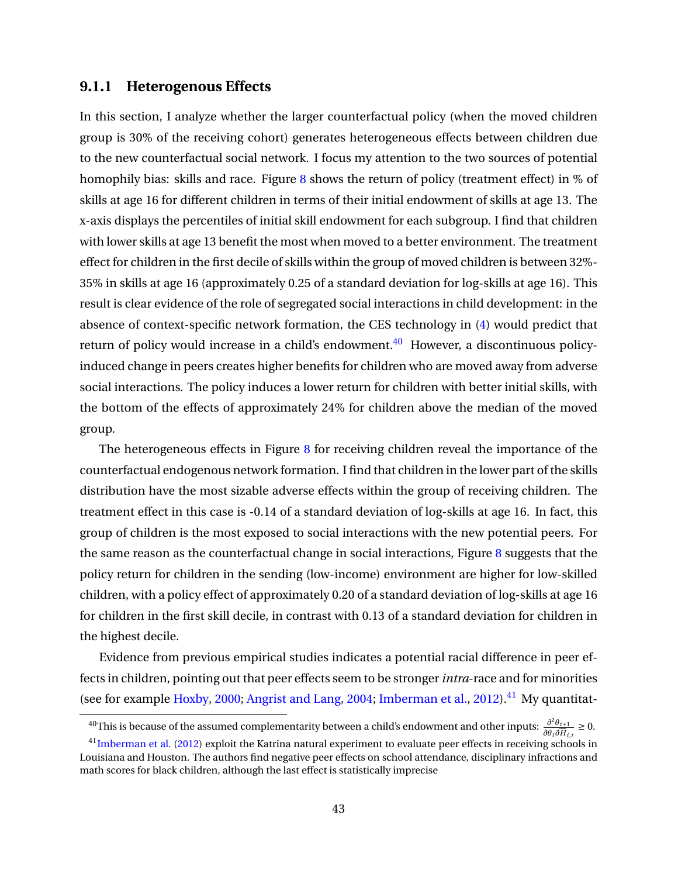#### **9.1.1 Heterogenous Effects**

In this section, I analyze whether the larger counterfactual policy (when the moved children group is 30% of the receiving cohort) generates heterogeneous effects between children due to the new counterfactual social network. I focus my attention to the two sources of potential homophily bias: skills and race. Figure  $8$  shows the return of policy (treatment effect) in % of skills at age 16 for different children in terms of their initial endowment of skills at age 13. The x-axis displays the percentiles of initial skill endowment for each subgroup. I find that children with lower skills at age 13 benefit the most when moved to a better environment. The treatment effect for children in the first decile of skills within the group of moved children is between 32%- 35% in skills at age 16 (approximately 0.25 of a standard deviation for log-skills at age 16). This result is clear evidence of the role of segregated social interactions in child development: in the absence of context-specific network formation, the CES technology in [\(4\)](#page-17-0) would predict that return of policy would increase in a child's endowment. $40$  However, a discontinuous policyinduced change in peers creates higher benefits for children who are moved away from adverse social interactions. The policy induces a lower return for children with better initial skills, with the bottom of the effects of approximately 24% for children above the median of the moved group.

The heterogeneous effects in Figure  $8$  for receiving children reveal the importance of the counterfactual endogenous network formation. I find that children in the lower part of the skills distribution have the most sizable adverse effects within the group of receiving children. The treatment effect in this case is -0.14 of a standard deviation of log-skills at age 16. In fact, this group of children is the most exposed to social interactions with the new potential peers. For the same reason as the counterfactual change in social interactions, Figure  $8$  suggests that the policy return for children in the sending (low-income) environment are higher for low-skilled children, with a policy effect of approximately 0.20 of a standard deviation of log-skills at age 16 for children in the first skill decile, in contrast with 0.13 of a standard deviation for children in the highest decile.

Evidence from previous empirical studies indicates a potential racial difference in peer effects in children, pointing out that peer effects seem to be stronger*intra*-race and for minorities (see for example [Hoxby,](#page-52-0) [2000;](#page-52-0) [Angrist and Lang,](#page-48-1) [2004;](#page-48-1) [Imberman et al.,](#page-52-1) [2012\)](#page-52-1).<sup>[41](#page-44-1)</sup> My quantitat-

<span id="page-44-0"></span><sup>40</sup>This is because of the assumed complementarity between a child's endowment and other inputs: *<sup>∂</sup>* <sup>2</sup>*θt*+<sup>1</sup>  $\frac{\partial^2 \theta_{t+1}}{\partial \theta_t \partial \overline{H}_{i,t}} \geq 0.$ 

<span id="page-44-1"></span><sup>&</sup>lt;sup>41</sup>[Imberman et al.](#page-52-1) [\(2012\)](#page-52-1) exploit the Katrina natural experiment to evaluate peer effects in receiving schools in Louisiana and Houston. The authors find negative peer effects on school attendance, disciplinary infractions and math scores for black children, although the last effect is statistically imprecise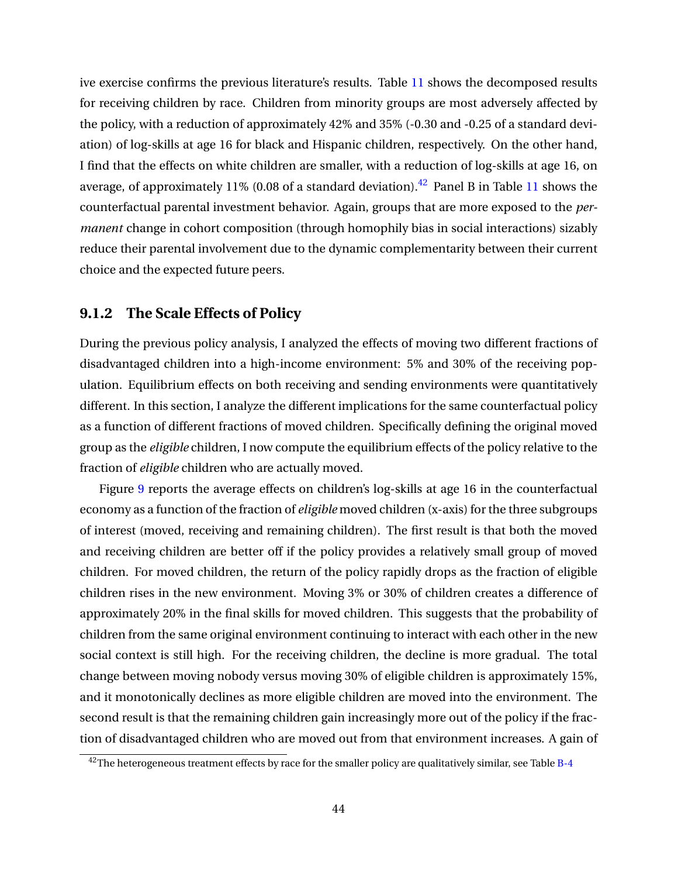ive exercise confirms the previous literature's results. Table [11](#page-64-0) shows the decomposed results for receiving children by race. Children from minority groups are most adversely affected by the policy, with a reduction of approximately 42% and 35% (-0.30 and -0.25 of a standard deviation) of log-skills at age 16 for black and Hispanic children, respectively. On the other hand, I find that the effects on white children are smaller, with a reduction of log-skills at age 16, on average, of approximately 11% (0.08 of a standard deviation).<sup>[42](#page-45-0)</sup> Panel B in Table [11](#page-64-0) shows the counterfactual parental investment behavior. Again, groups that are more exposed to the *permanent* change in cohort composition (through homophily bias in social interactions) sizably reduce their parental involvement due to the dynamic complementarity between their current choice and the expected future peers.

#### **9.1.2 The Scale Effects of Policy**

During the previous policy analysis, I analyzed the effects of moving two different fractions of disadvantaged children into a high-income environment: 5% and 30% of the receiving population. Equilibrium effects on both receiving and sending environments were quantitatively different. In this section, I analyze the different implications for the same counterfactual policy as a function of different fractions of moved children. Specifically defining the original moved group as the *eligible* children, I now compute the equilibrium effects of the policy relative to the fraction of *eligible* children who are actually moved.

Figure [9](#page-74-0) reports the average effects on children's log-skills at age 16 in the counterfactual economy as a function of the fraction of *eligible* moved children (x-axis) for the three subgroups of interest (moved, receiving and remaining children). The first result is that both the moved and receiving children are better off if the policy provides a relatively small group of moved children. For moved children, the return of the policy rapidly drops as the fraction of eligible children rises in the new environment. Moving 3% or 30% of children creates a difference of approximately 20% in the final skills for moved children. This suggests that the probability of children from the same original environment continuing to interact with each other in the new social context is still high. For the receiving children, the decline is more gradual. The total change between moving nobody versus moving 30% of eligible children is approximately 15%, and it monotonically declines as more eligible children are moved into the environment. The second result is that the remaining children gain increasingly more out of the policy if the fraction of disadvantaged children who are moved out from that environment increases. A gain of

<span id="page-45-0"></span> $42$ The heterogeneous treatment effects by race for the smaller policy are qualitatively similar, see Table [B-4](#page-90-0)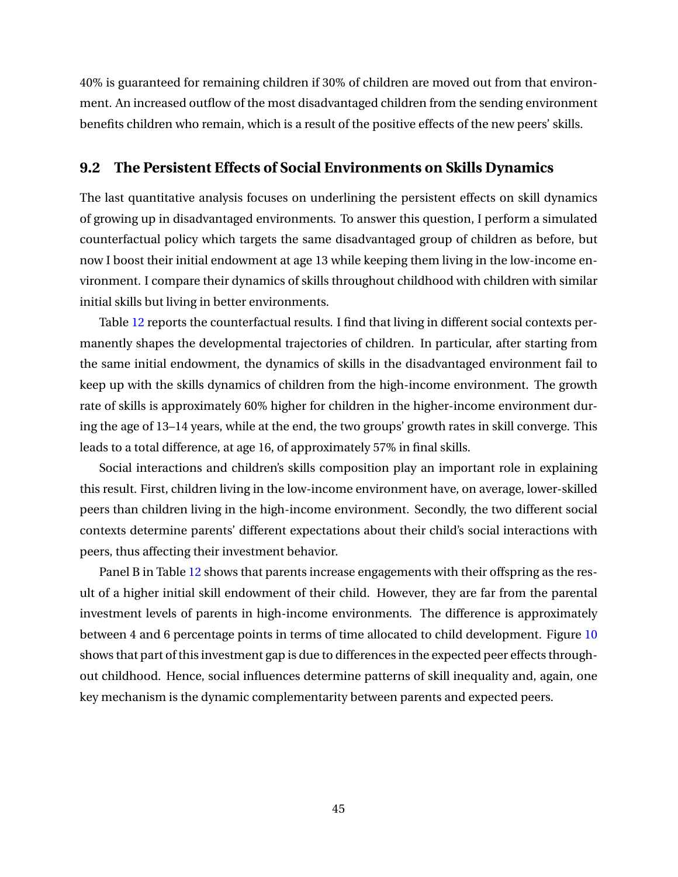40% is guaranteed for remaining children if 30% of children are moved out from that environment. An increased outflow of the most disadvantaged children from the sending environment benefits children who remain, which is a result of the positive effects of the new peers' skills.

#### **9.2 The Persistent Effects of Social Environments on Skills Dynamics**

The last quantitative analysis focuses on underlining the persistent effects on skill dynamics of growing up in disadvantaged environments. To answer this question, I perform a simulated counterfactual policy which targets the same disadvantaged group of children as before, but now I boost their initial endowment at age 13 while keeping them living in the low-income environment. I compare their dynamics of skills throughout childhood with children with similar initial skills but living in better environments.

Table [12](#page-65-0) reports the counterfactual results. I find that living in different social contexts permanently shapes the developmental trajectories of children. In particular, after starting from the same initial endowment, the dynamics of skills in the disadvantaged environment fail to keep up with the skills dynamics of children from the high-income environment. The growth rate of skills is approximately 60% higher for children in the higher-income environment during the age of 13–14 years, while at the end, the two groups' growth rates in skill converge. This leads to a total difference, at age 16, of approximately 57% in final skills.

Social interactions and children's skills composition play an important role in explaining this result. First, children living in the low-income environment have, on average, lower-skilled peers than children living in the high-income environment. Secondly, the two different social contexts determine parents' different expectations about their child's social interactions with peers, thus affecting their investment behavior.

Panel B in Table [12](#page-65-0) shows that parents increase engagements with their offspring as the result of a higher initial skill endowment of their child. However, they are far from the parental investment levels of parents in high-income environments. The difference is approximately between 4 and 6 percentage points in terms of time allocated to child development. Figure [10](#page-75-0) shows that part of this investment gap is due to differences in the expected peer effects throughout childhood. Hence, social influences determine patterns of skill inequality and, again, one key mechanism is the dynamic complementarity between parents and expected peers.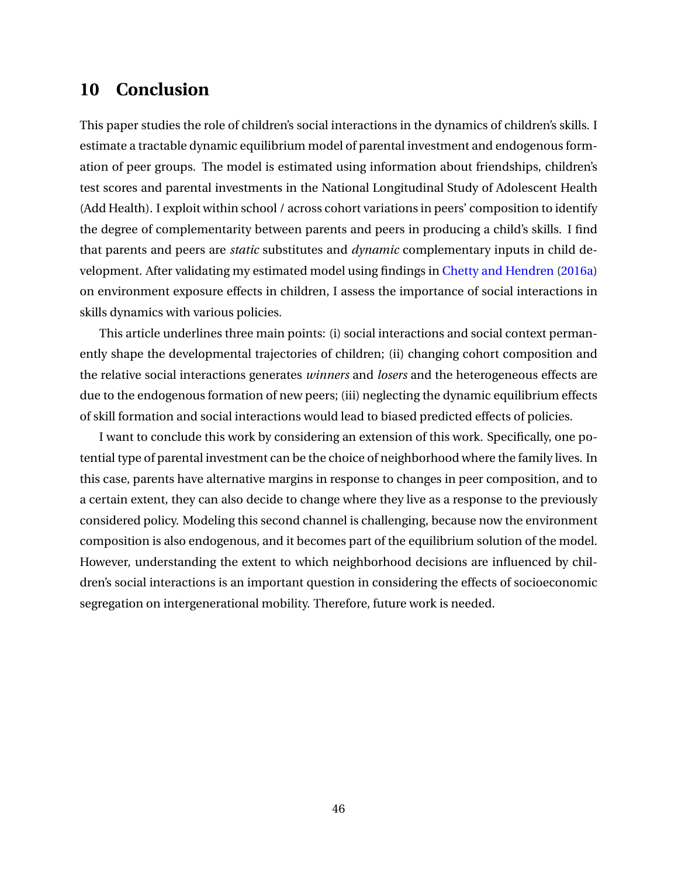## **10 Conclusion**

This paper studies the role of children's social interactions in the dynamics of children's skills. I estimate a tractable dynamic equilibrium model of parental investment and endogenous formation of peer groups. The model is estimated using information about friendships, children's test scores and parental investments in the National Longitudinal Study of Adolescent Health (Add Health). I exploit within school / across cohort variations in peers' composition to identify the degree of complementarity between parents and peers in producing a child's skills. I find that parents and peers are *static* substitutes and *dynamic* complementary inputs in child development. After validating my estimated model using findings in [Chetty and Hendren](#page-50-3) [\(2016a\)](#page-50-3) on environment exposure effects in children, I assess the importance of social interactions in skills dynamics with various policies.

This article underlines three main points: (i) social interactions and social context permanently shape the developmental trajectories of children; (ii) changing cohort composition and the relative social interactions generates *winners* and *losers* and the heterogeneous effects are due to the endogenous formation of new peers; (iii) neglecting the dynamic equilibrium effects of skill formation and social interactions would lead to biased predicted effects of policies.

I want to conclude this work by considering an extension of this work. Specifically, one potential type of parental investment can be the choice of neighborhood where the family lives. In this case, parents have alternative margins in response to changes in peer composition, and to a certain extent, they can also decide to change where they live as a response to the previously considered policy. Modeling this second channel is challenging, because now the environment composition is also endogenous, and it becomes part of the equilibrium solution of the model. However, understanding the extent to which neighborhood decisions are influenced by children's social interactions is an important question in considering the effects of socioeconomic segregation on intergenerational mobility. Therefore, future work is needed.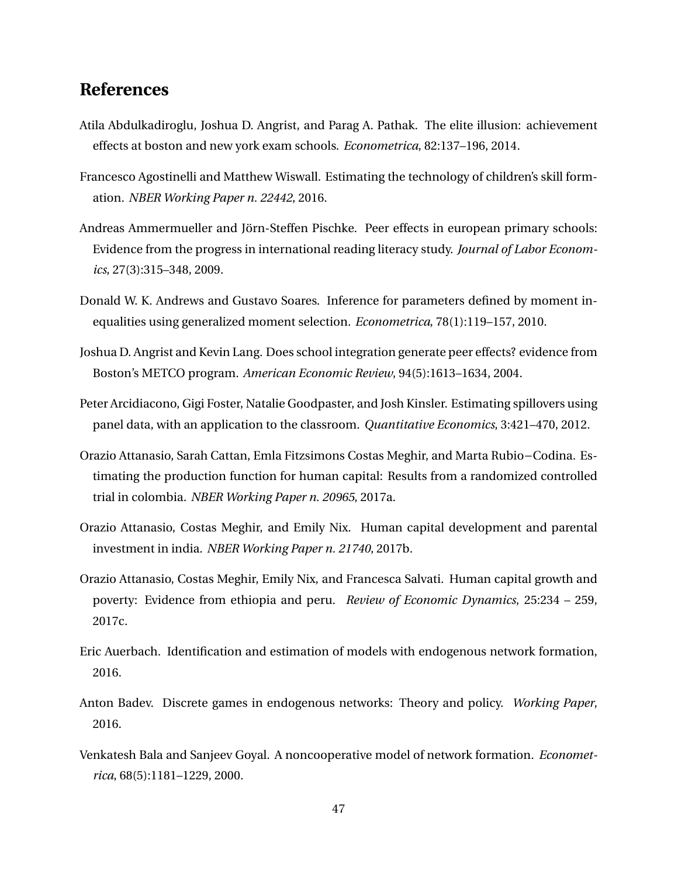## **References**

- Atila Abdulkadiroglu, Joshua D. Angrist, and Parag A. Pathak. The elite illusion: achievement effects at boston and new york exam schools. *Econometrica*, 82:137–196, 2014.
- <span id="page-48-0"></span>Francesco Agostinelli and Matthew Wiswall. Estimating the technology of children's skill formation. *NBER Working Paper n. 22442*, 2016.
- Andreas Ammermueller and Jörn-Steffen Pischke. Peer effects in european primary schools: Evidence from the progress in international reading literacy study. *Journal of Labor Economics*, 27(3):315–348, 2009.
- Donald W. K. Andrews and Gustavo Soares. Inference for parameters defined by moment inequalities using generalized moment selection. *Econometrica*, 78(1):119–157, 2010.
- <span id="page-48-1"></span>Joshua D. Angrist and Kevin Lang. Does school integration generate peer effects? evidence from Boston's METCO program. *American Economic Review*, 94(5):1613–1634, 2004.
- Peter Arcidiacono, Gigi Foster, Natalie Goodpaster, and Josh Kinsler. Estimating spillovers using panel data, with an application to the classroom. *Quantitative Economics*, 3:421–470, 2012.
- Orazio Attanasio, Sarah Cattan, Emla Fitzsimons Costas Meghir, and Marta Rubio−Codina. Estimating the production function for human capital: Results from a randomized controlled trial in colombia. *NBER Working Paper n. 20965*, 2017a.
- Orazio Attanasio, Costas Meghir, and Emily Nix. Human capital development and parental investment in india. *NBER Working Paper n. 21740*, 2017b.
- Orazio Attanasio, Costas Meghir, Emily Nix, and Francesca Salvati. Human capital growth and poverty: Evidence from ethiopia and peru. *Review of Economic Dynamics*, 25:234 – 259, 2017c.
- Eric Auerbach. Identification and estimation of models with endogenous network formation, 2016.
- Anton Badev. Discrete games in endogenous networks: Theory and policy. *Working Paper*, 2016.
- Venkatesh Bala and Sanjeev Goyal. A noncooperative model of network formation. *Econometrica*, 68(5):1181–1229, 2000.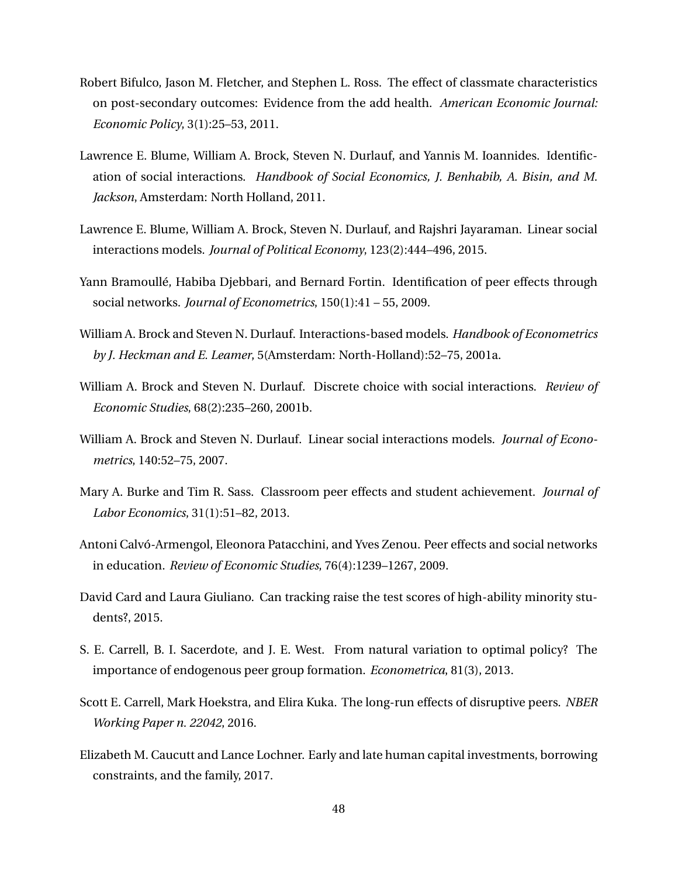- Robert Bifulco, Jason M. Fletcher, and Stephen L. Ross. The effect of classmate characteristics on post-secondary outcomes: Evidence from the add health. *American Economic Journal: Economic Policy*, 3(1):25–53, 2011.
- Lawrence E. Blume, William A. Brock, Steven N. Durlauf, and Yannis M. Ioannides. Identification of social interactions. *Handbook of Social Economics, J. Benhabib, A. Bisin, and M. Jackson*, Amsterdam: North Holland, 2011.
- Lawrence E. Blume, William A. Brock, Steven N. Durlauf, and Rajshri Jayaraman. Linear social interactions models. *Journal of Political Economy*, 123(2):444–496, 2015.
- Yann Bramoullé, Habiba Djebbari, and Bernard Fortin. Identification of peer effects through social networks. *Journal of Econometrics*, 150(1):41 – 55, 2009.
- William A. Brock and Steven N. Durlauf. Interactions-based models. *Handbook of Econometrics by J. Heckman and E. Leamer*, 5(Amsterdam: North-Holland):52–75, 2001a.
- William A. Brock and Steven N. Durlauf. Discrete choice with social interactions. *Review of Economic Studies*, 68(2):235–260, 2001b.
- William A. Brock and Steven N. Durlauf. Linear social interactions models. *Journal of Econometrics*, 140:52–75, 2007.
- Mary A. Burke and Tim R. Sass. Classroom peer effects and student achievement. *Journal of Labor Economics*, 31(1):51–82, 2013.
- Antoni Calvó-Armengol, Eleonora Patacchini, and Yves Zenou. Peer effects and social networks in education. *Review of Economic Studies*, 76(4):1239–1267, 2009.
- David Card and Laura Giuliano. Can tracking raise the test scores of high-ability minority students?, 2015.
- S. E. Carrell, B. I. Sacerdote, and J. E. West. From natural variation to optimal policy? The importance of endogenous peer group formation. *Econometrica*, 81(3), 2013.
- Scott E. Carrell, Mark Hoekstra, and Elira Kuka. The long-run effects of disruptive peers. *NBER Working Paper n. 22042*, 2016.
- Elizabeth M. Caucutt and Lance Lochner. Early and late human capital investments, borrowing constraints, and the family, 2017.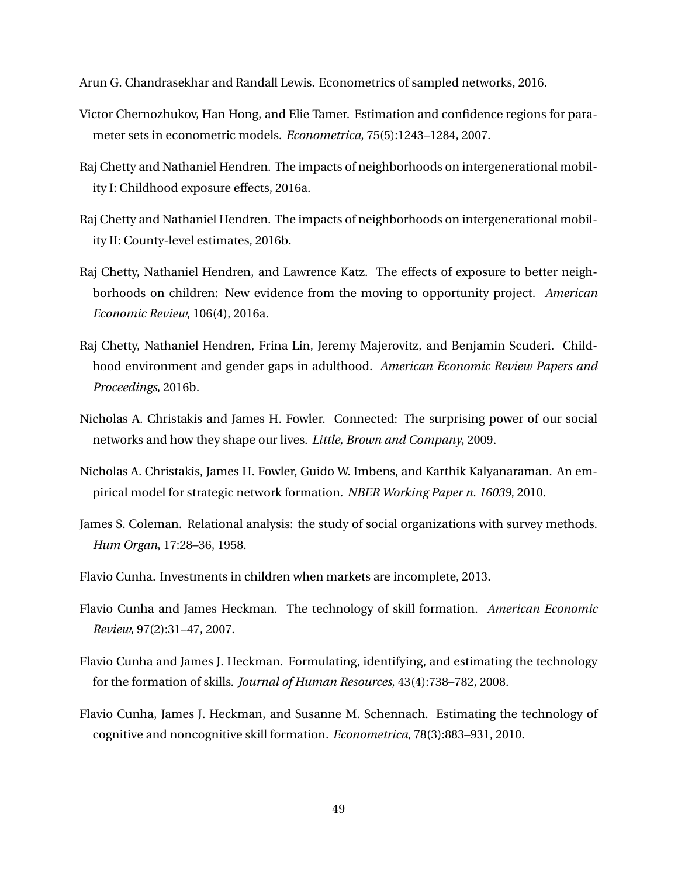<span id="page-50-5"></span>Arun G. Chandrasekhar and Randall Lewis. Econometrics of sampled networks, 2016.

- Victor Chernozhukov, Han Hong, and Elie Tamer. Estimation and confidence regions for parameter sets in econometric models. *Econometrica*, 75(5):1243–1284, 2007.
- <span id="page-50-3"></span>Raj Chetty and Nathaniel Hendren. The impacts of neighborhoods on intergenerational mobility I: Childhood exposure effects, 2016a.
- Raj Chetty and Nathaniel Hendren. The impacts of neighborhoods on intergenerational mobility II: County-level estimates, 2016b.
- Raj Chetty, Nathaniel Hendren, and Lawrence Katz. The effects of exposure to better neighborhoods on children: New evidence from the moving to opportunity project. *American Economic Review*, 106(4), 2016a.
- Raj Chetty, Nathaniel Hendren, Frina Lin, Jeremy Majerovitz, and Benjamin Scuderi. Childhood environment and gender gaps in adulthood. *American Economic Review Papers and Proceedings*, 2016b.
- Nicholas A. Christakis and James H. Fowler. Connected: The surprising power of our social networks and how they shape our lives. *Little, Brown and Company*, 2009.
- Nicholas A. Christakis, James H. Fowler, Guido W. Imbens, and Karthik Kalyanaraman. An empirical model for strategic network formation. *NBER Working Paper n. 16039*, 2010.
- <span id="page-50-4"></span>James S. Coleman. Relational analysis: the study of social organizations with survey methods. *Hum Organ*, 17:28–36, 1958.
- Flavio Cunha. Investments in children when markets are incomplete, 2013.
- <span id="page-50-0"></span>Flavio Cunha and James Heckman. The technology of skill formation. *American Economic Review*, 97(2):31–47, 2007.
- <span id="page-50-1"></span>Flavio Cunha and James J. Heckman. Formulating, identifying, and estimating the technology for the formation of skills. *Journal of Human Resources*, 43(4):738–782, 2008.
- <span id="page-50-2"></span>Flavio Cunha, James J. Heckman, and Susanne M. Schennach. Estimating the technology of cognitive and noncognitive skill formation. *Econometrica*, 78(3):883–931, 2010.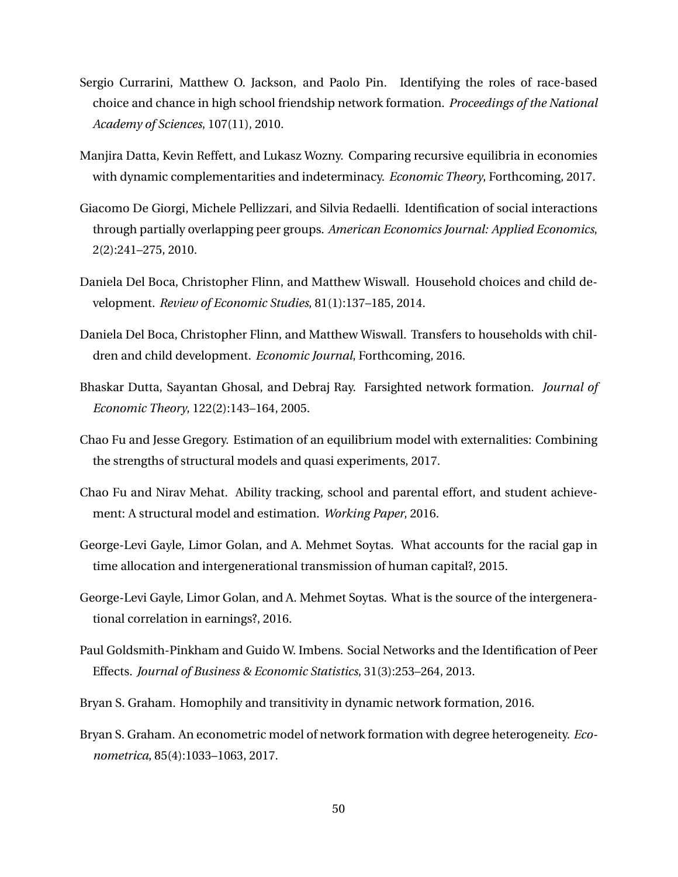- Sergio Currarini, Matthew O. Jackson, and Paolo Pin. Identifying the roles of race-based choice and chance in high school friendship network formation. *Proceedings of the National Academy of Sciences*, 107(11), 2010.
- Manjira Datta, Kevin Reffett, and Lukasz Wozny. Comparing recursive equilibria in economies with dynamic complementarities and indeterminacy. *Economic Theory*, Forthcoming, 2017.
- Giacomo De Giorgi, Michele Pellizzari, and Silvia Redaelli. Identification of social interactions through partially overlapping peer groups. *American Economics Journal: Applied Economics*, 2(2):241–275, 2010.
- Daniela Del Boca, Christopher Flinn, and Matthew Wiswall. Household choices and child development. *Review of Economic Studies*, 81(1):137–185, 2014.
- Daniela Del Boca, Christopher Flinn, and Matthew Wiswall. Transfers to households with children and child development. *Economic Journal*, Forthcoming, 2016.
- Bhaskar Dutta, Sayantan Ghosal, and Debraj Ray. Farsighted network formation. *Journal of Economic Theory*, 122(2):143–164, 2005.
- Chao Fu and Jesse Gregory. Estimation of an equilibrium model with externalities: Combining the strengths of structural models and quasi experiments, 2017.
- Chao Fu and Nirav Mehat. Ability tracking, school and parental effort, and student achievement: A structural model and estimation. *Working Paper*, 2016.
- George-Levi Gayle, Limor Golan, and A. Mehmet Soytas. What accounts for the racial gap in time allocation and intergenerational transmission of human capital?, 2015.
- George-Levi Gayle, Limor Golan, and A. Mehmet Soytas. What is the source of the intergenerational correlation in earnings?, 2016.
- Paul Goldsmith-Pinkham and Guido W. Imbens. Social Networks and the Identification of Peer Effects. *Journal of Business & Economic Statistics*, 31(3):253–264, 2013.
- Bryan S. Graham. Homophily and transitivity in dynamic network formation, 2016.
- Bryan S. Graham. An econometric model of network formation with degree heterogeneity. *Econometrica*, 85(4):1033–1063, 2017.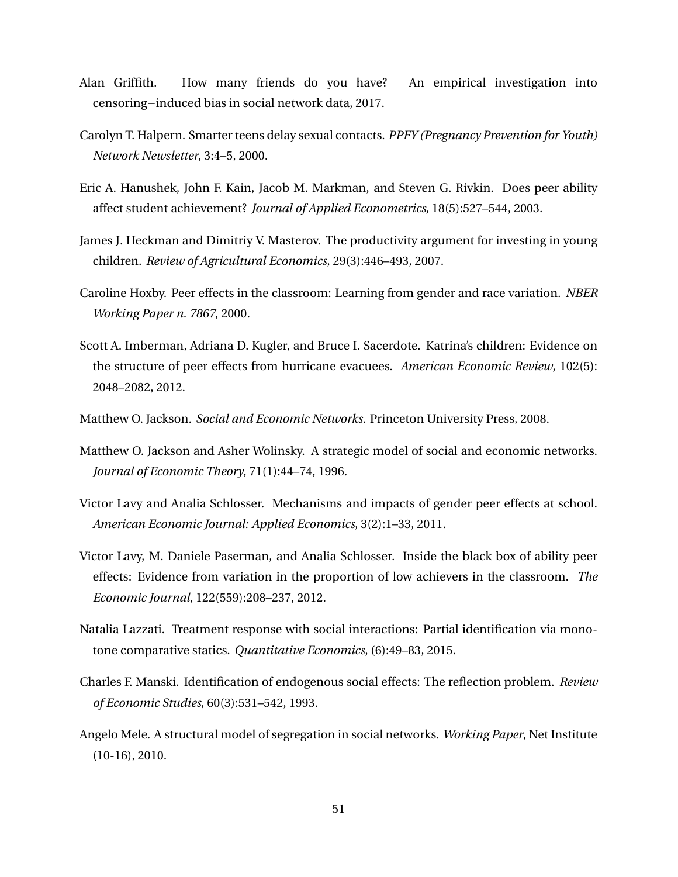- Alan Griffith. How many friends do you have? An empirical investigation into censoring−induced bias in social network data, 2017.
- Carolyn T. Halpern. Smarter teens delay sexual contacts. *PPFY (Pregnancy Prevention for Youth) Network Newsletter*, 3:4–5, 2000.
- Eric A. Hanushek, John F. Kain, Jacob M. Markman, and Steven G. Rivkin. Does peer ability affect student achievement? *Journal of Applied Econometrics*, 18(5):527–544, 2003.
- James J. Heckman and Dimitriy V. Masterov. The productivity argument for investing in young children. *Review of Agricultural Economics*, 29(3):446–493, 2007.
- <span id="page-52-0"></span>Caroline Hoxby. Peer effects in the classroom: Learning from gender and race variation. *NBER Working Paper n. 7867*, 2000.
- <span id="page-52-1"></span>Scott A. Imberman, Adriana D. Kugler, and Bruce I. Sacerdote. Katrina's children: Evidence on the structure of peer effects from hurricane evacuees. *American Economic Review*, 102(5): 2048–2082, 2012.
- Matthew O. Jackson. *Social and Economic Networks*. Princeton University Press, 2008.
- Matthew O. Jackson and Asher Wolinsky. A strategic model of social and economic networks. *Journal of Economic Theory*, 71(1):44–74, 1996.
- Victor Lavy and Analia Schlosser. Mechanisms and impacts of gender peer effects at school. *American Economic Journal: Applied Economics*, 3(2):1–33, 2011.
- Victor Lavy, M. Daniele Paserman, and Analia Schlosser. Inside the black box of ability peer effects: Evidence from variation in the proportion of low achievers in the classroom. *The Economic Journal*, 122(559):208–237, 2012.
- Natalia Lazzati. Treatment response with social interactions: Partial identification via monotone comparative statics. *Quantitative Economics*, (6):49–83, 2015.
- Charles F. Manski. Identification of endogenous social effects: The reflection problem. *Review of Economic Studies*, 60(3):531–542, 1993.
- Angelo Mele. A structural model of segregation in social networks. *Working Paper*, Net Institute (10-16), 2010.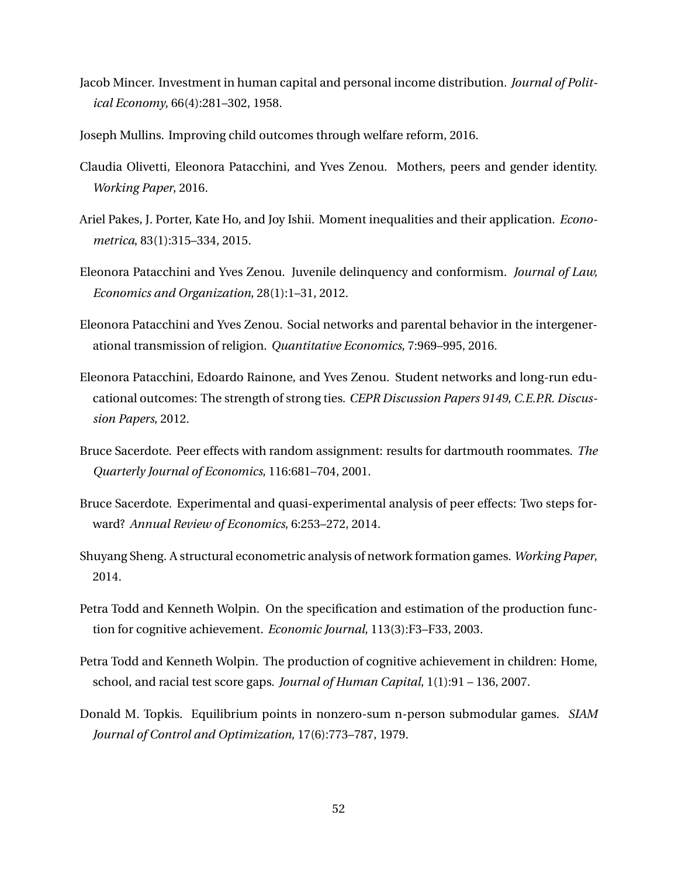- Jacob Mincer. Investment in human capital and personal income distribution. *Journal of Political Economy*, 66(4):281–302, 1958.
- Joseph Mullins. Improving child outcomes through welfare reform, 2016.
- Claudia Olivetti, Eleonora Patacchini, and Yves Zenou. Mothers, peers and gender identity. *Working Paper*, 2016.
- Ariel Pakes, J. Porter, Kate Ho, and Joy Ishii. Moment inequalities and their application. *Econometrica*, 83(1):315–334, 2015.
- Eleonora Patacchini and Yves Zenou. Juvenile delinquency and conformism. *Journal of Law, Economics and Organization*, 28(1):1–31, 2012.
- Eleonora Patacchini and Yves Zenou. Social networks and parental behavior in the intergenerational transmission of religion. *Quantitative Economics*, 7:969–995, 2016.
- Eleonora Patacchini, Edoardo Rainone, and Yves Zenou. Student networks and long-run educational outcomes: The strength of strong ties. *CEPR Discussion Papers 9149, C.E.P.R. Discussion Papers*, 2012.
- Bruce Sacerdote. Peer effects with random assignment: results for dartmouth roommates. *The Quarterly Journal of Economics*, 116:681–704, 2001.
- Bruce Sacerdote. Experimental and quasi-experimental analysis of peer effects: Two steps forward? *Annual Review of Economics*, 6:253–272, 2014.
- Shuyang Sheng. A structural econometric analysis of network formation games. *Working Paper*, 2014.
- Petra Todd and Kenneth Wolpin. On the specification and estimation of the production function for cognitive achievement. *Economic Journal*, 113(3):F3–F33, 2003.
- Petra Todd and Kenneth Wolpin. The production of cognitive achievement in children: Home, school, and racial test score gaps. *Journal of Human Capital*, 1(1):91 – 136, 2007.
- Donald M. Topkis. Equilibrium points in nonzero-sum n-person submodular games. *SIAM Journal of Control and Optimization*, 17(6):773–787, 1979.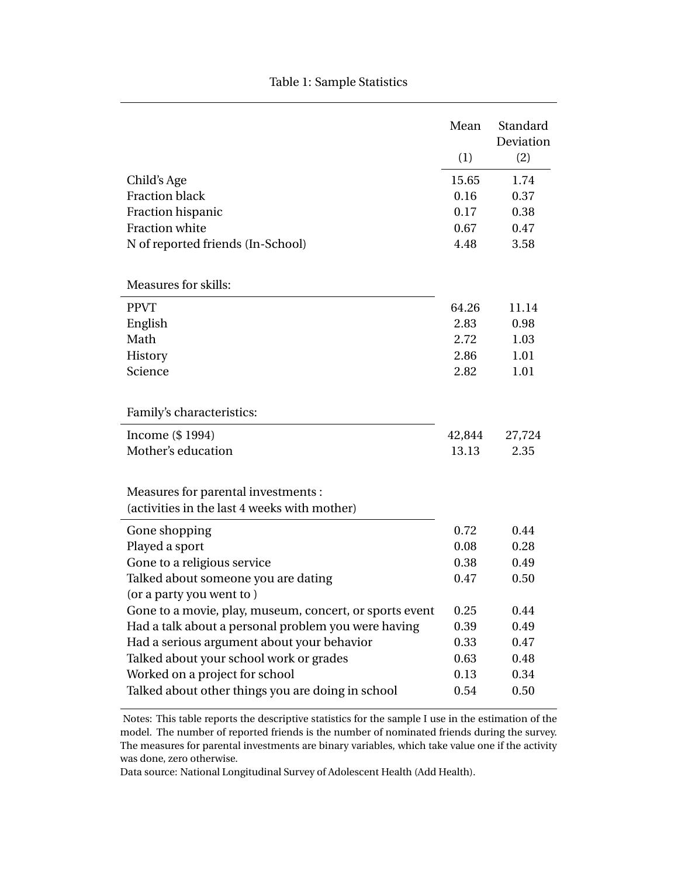|                                                         | Mean   | Standard<br>Deviation |
|---------------------------------------------------------|--------|-----------------------|
|                                                         | (1)    | (2)                   |
| Child's Age                                             | 15.65  | 1.74                  |
| <b>Fraction black</b>                                   | 0.16   | 0.37                  |
| Fraction hispanic                                       | 0.17   | 0.38                  |
| Fraction white                                          | 0.67   | 0.47                  |
| N of reported friends (In-School)                       | 4.48   | 3.58                  |
| <b>Measures for skills:</b>                             |        |                       |
| <b>PPVT</b>                                             | 64.26  | 11.14                 |
| English                                                 | 2.83   | 0.98                  |
| Math                                                    | 2.72   | 1.03                  |
| History                                                 | 2.86   | 1.01                  |
| Science                                                 | 2.82   | 1.01                  |
| Family's characteristics:                               |        |                       |
| Income (\$1994)                                         | 42,844 | 27,724                |
| Mother's education                                      | 13.13  | 2.35                  |
| Measures for parental investments :                     |        |                       |
| (activities in the last 4 weeks with mother)            |        |                       |
| Gone shopping                                           | 0.72   | 0.44                  |
| Played a sport                                          | 0.08   | 0.28                  |
| Gone to a religious service                             | 0.38   | 0.49                  |
| Talked about someone you are dating                     | 0.47   | 0.50                  |
| (or a party you went to)                                |        |                       |
| Gone to a movie, play, museum, concert, or sports event | 0.25   | 0.44                  |
| Had a talk about a personal problem you were having     | 0.39   | 0.49                  |
| Had a serious argument about your behavior              | 0.33   | 0.47                  |
| Talked about your school work or grades                 | 0.63   | 0.48                  |
| Worked on a project for school                          | 0.13   | 0.34                  |
| Talked about other things you are doing in school       | 0.54   | 0.50                  |

Notes: This table reports the descriptive statistics for the sample I use in the estimation of the model. The number of reported friends is the number of nominated friends during the survey. The measures for parental investments are binary variables, which take value one if the activity was done, zero otherwise.

Data source: National Longitudinal Survey of Adolescent Health (Add Health).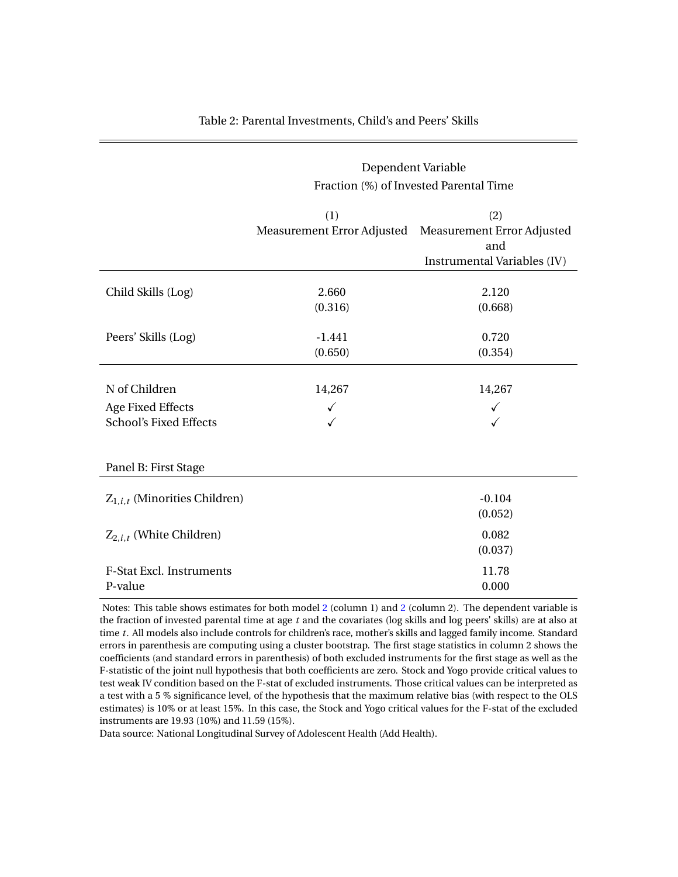<span id="page-55-0"></span>

|                                                                            | Dependent Variable<br>Fraction (%) of Invested Parental Time |                                                                         |  |  |
|----------------------------------------------------------------------------|--------------------------------------------------------------|-------------------------------------------------------------------------|--|--|
|                                                                            | (1)<br>Measurement Error Adjusted                            | (2)<br>Measurement Error Adjusted<br>and<br>Instrumental Variables (IV) |  |  |
| Child Skills (Log)                                                         | 2.660<br>(0.316)                                             | 2.120<br>(0.668)                                                        |  |  |
| Peers' Skills (Log)                                                        | $-1.441$<br>(0.650)                                          | 0.720<br>(0.354)                                                        |  |  |
| N of Children<br><b>Age Fixed Effects</b><br><b>School's Fixed Effects</b> | 14,267<br>✓                                                  | 14,267<br>$\checkmark$                                                  |  |  |
| Panel B: First Stage                                                       |                                                              |                                                                         |  |  |
| $Z_{1,i,t}$ (Minorities Children)                                          |                                                              | $-0.104$<br>(0.052)                                                     |  |  |
| $Z_{2,i,t}$ (White Children)                                               |                                                              | 0.082<br>(0.037)                                                        |  |  |
| <b>F-Stat Excl. Instruments</b><br>P-value                                 |                                                              | 11.78<br>0.000                                                          |  |  |

#### Table 2: Parental Investments, Child's and Peers' Skills

Notes: This table shows estimates for both model [2](#page-12-0) (column 1) and [2](#page-12-0) (column 2). The dependent variable is the fraction of invested parental time at age *t* and the covariates (log skills and log peers' skills) are at also at time *t*. All models also include controls for children's race, mother's skills and lagged family income. Standard errors in parenthesis are computing using a cluster bootstrap. The first stage statistics in column 2 shows the coefficients (and standard errors in parenthesis) of both excluded instruments for the first stage as well as the F-statistic of the joint null hypothesis that both coefficients are zero. Stock and Yogo provide critical values to test weak IV condition based on the F-stat of excluded instruments. Those critical values can be interpreted as a test with a 5 % significance level, of the hypothesis that the maximum relative bias (with respect to the OLS estimates) is 10% or at least 15%. In this case, the Stock and Yogo critical values for the F-stat of the excluded instruments are 19.93 (10%) and 11.59 (15%).

Data source: National Longitudinal Survey of Adolescent Health (Add Health).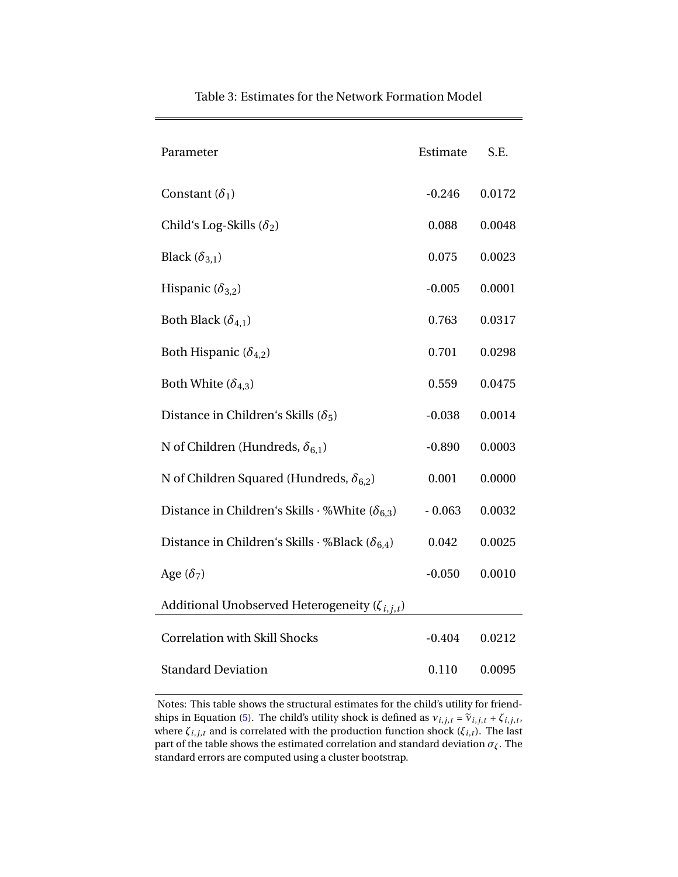| Parameter                                                       | Estimate | S.E.   |
|-----------------------------------------------------------------|----------|--------|
| Constant $(\delta_1)$                                           | $-0.246$ | 0.0172 |
| Child's Log-Skills $(\delta_2)$                                 | 0.088    | 0.0048 |
| Black $(\delta_{3,1})$                                          | 0.075    | 0.0023 |
| Hispanic $(\delta_{3,2})$                                       | $-0.005$ | 0.0001 |
| Both Black $(\delta_{4,1})$                                     | 0.763    | 0.0317 |
| Both Hispanic ( $\delta_{4,2}$ )                                | 0.701    | 0.0298 |
| Both White $(\delta_{4,3})$                                     | 0.559    | 0.0475 |
| Distance in Children's Skills ( $\delta_5$ )                    | $-0.038$ | 0.0014 |
| N of Children (Hundreds, $\delta_{6,1}$ )                       | $-0.890$ | 0.0003 |
| N of Children Squared (Hundreds, $\delta_{6,2}$ )               | 0.001    | 0.0000 |
| Distance in Children's Skills $\cdot$ %White ( $\delta_{6,3}$ ) | $-0.063$ | 0.0032 |
| Distance in Children's Skills $\cdot$ %Black ( $\delta_{6,4}$ ) | 0.042    | 0.0025 |
| Age $(\delta_7)$                                                | $-0.050$ | 0.0010 |
| Additional Unobserved Heterogeneity ( $\zeta_{i,j,t}$ )         |          |        |
| <b>Correlation with Skill Shocks</b>                            | $-0.404$ | 0.0212 |
| <b>Standard Deviation</b>                                       | 0.110    | 0.0095 |

#### Table 3: Estimates for the Network Formation Model

Notes: This table shows the structural estimates for the child's utility for friend-ships in Equation [\(5\)](#page-18-0). The child's utility shock is defined as  $v_{i,j,t} = \tilde{v}_{i,j,t} + \zeta_{i,j,t}$ ,  $v_{i,j,t}$ where *ζi*,*j*,*<sup>t</sup>* and is correlated with the production function shock (*ξi*,*t*). The last part of the table shows the estimated correlation and standard deviation  $\sigma_{\zeta}$ . The standard errors are computed using a cluster bootstrap.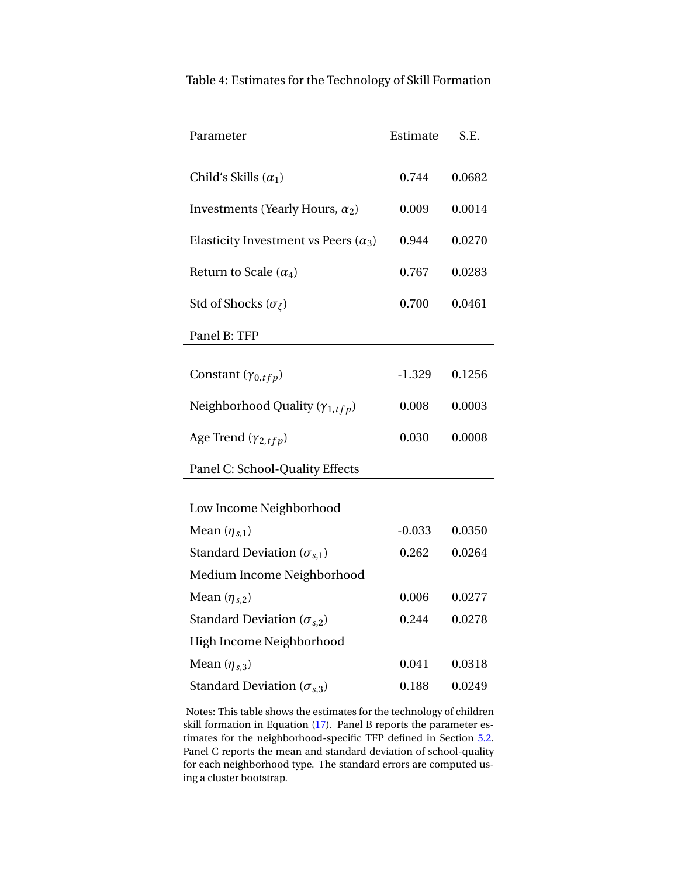| Parameter                                   | Estimate | S.E.   |
|---------------------------------------------|----------|--------|
| Child's Skills $(\alpha_1)$                 | 0.744    | 0.0682 |
| Investments (Yearly Hours, $\alpha_2$ )     | 0.009    | 0.0014 |
| Elasticity Investment vs Peers $(\alpha_3)$ | 0.944    | 0.0270 |
| Return to Scale $(\alpha_4)$                | 0.767    | 0.0283 |
| Std of Shocks ( $\sigma_{\xi}$ )            | 0.700    | 0.0461 |
| Panel B: TFP                                |          |        |
| Constant $(\gamma_{0,tfp})$                 | $-1.329$ | 0.1256 |
| Neighborhood Quality ( $\gamma_{1,tfp}$ )   | 0.008    | 0.0003 |
| Age Trend $(\gamma_{2,tfp})$                | 0.030    | 0.0008 |
| Panel C: School-Quality Effects             |          |        |
| Low Income Neighborhood                     |          |        |
| Mean $(\eta_{s,1})$                         | $-0.033$ | 0.0350 |
| Standard Deviation ( $\sigma_{s,1}$ )       | 0.262    | 0.0264 |
| Medium Income Neighborhood                  |          |        |
| Mean $(\eta_{s,2})$                         | 0.006    | 0.0277 |
| Standard Deviation ( $\sigma_{s,2}$ )       | 0.244    | 0.0278 |
| High Income Neighborhood                    |          |        |
| Mean $(\eta_{s,3})$                         | 0.041    | 0.0318 |
| Standard Deviation ( $\sigma_{s,3}$ )       | 0.188    | 0.0249 |

<span id="page-57-0"></span>Table 4: Estimates for the Technology of Skill Formation

Notes: This table shows the estimates for the technology of children skill formation in Equation [\(17\)](#page-28-0). Panel B reports the parameter estimates for the neighborhood-specific TFP defined in Section [5.2.](#page-27-0) Panel C reports the mean and standard deviation of school-quality for each neighborhood type. The standard errors are computed using a cluster bootstrap.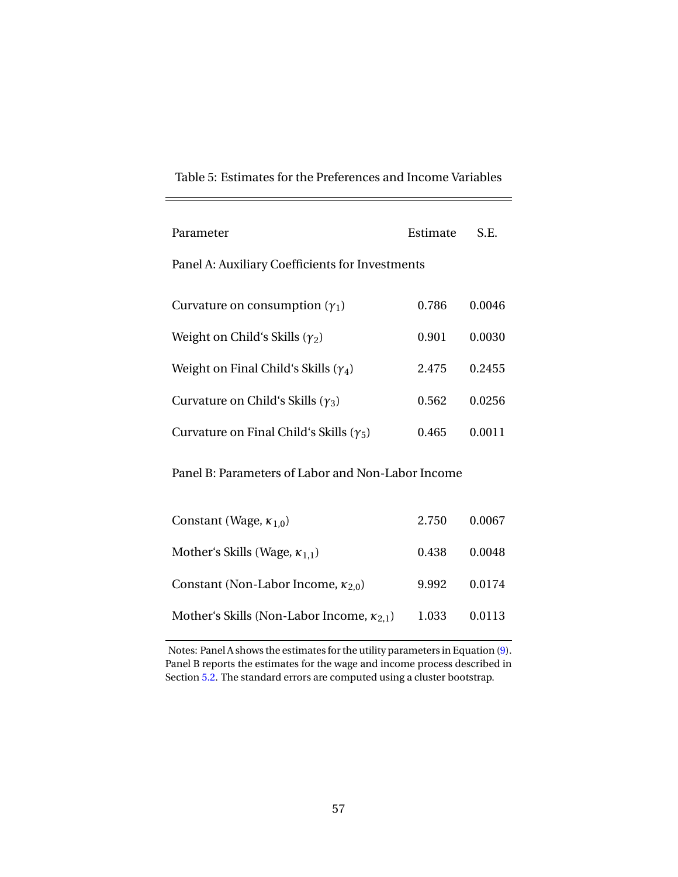<span id="page-58-0"></span>

| Parameter                                        | Estimate | S.E.   |
|--------------------------------------------------|----------|--------|
| Panel A: Auxiliary Coefficients for Investments  |          |        |
| Curvature on consumption $(\gamma_1)$            | 0.786    | 0.0046 |
| Weight on Child's Skills $(\gamma_2)$            | 0.901    | 0.0030 |
| Weight on Final Child's Skills $(\gamma_4)$      | 2.475    | 0.2455 |
| Curvature on Child's Skills ( $\gamma_3$ )       | 0.562    | 0.0256 |
| Curvature on Final Child's Skills ( $\gamma_5$ ) | 0.465    | 0.0011 |

Panel B: Parameters of Labor and Non-Labor Income

| Constant (Wage, $\kappa_{1,0}$ )                    | 2.750 | 0.0067 |
|-----------------------------------------------------|-------|--------|
| Mother's Skills (Wage, $\kappa_{1,1}$ )             | 0.438 | 0.0048 |
| Constant (Non-Labor Income, $\kappa_{2,0}$ )        | 9.992 | 0.0174 |
| Mother's Skills (Non-Labor Income, $\kappa_{2,1}$ ) | 1.033 | 0.0113 |

Notes: Panel A shows the estimates for the utility parameters in Equation [\(9\)](#page-20-0). Panel B reports the estimates for the wage and income process described in Section [5.2.](#page-27-0) The standard errors are computed using a cluster bootstrap.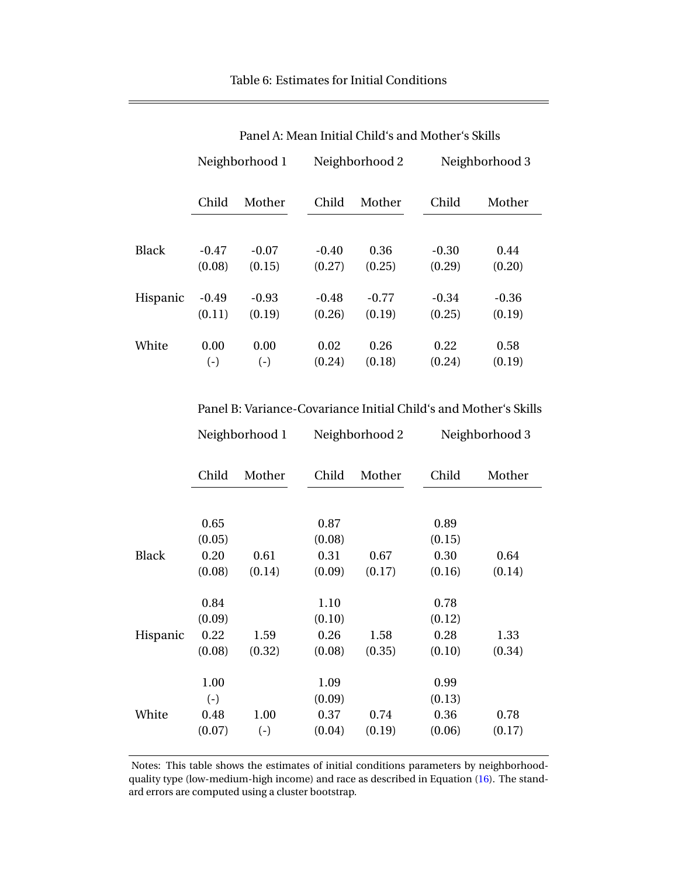<span id="page-59-0"></span>

|              | тансття, імеан піннагенна з апа імопісі з экінз |         |                |         |                |         |
|--------------|-------------------------------------------------|---------|----------------|---------|----------------|---------|
|              | Neighborhood 1                                  |         | Neighborhood 2 |         | Neighborhood 3 |         |
|              | Child                                           | Mother  | Child          | Mother  | Child          | Mother  |
| <b>Black</b> | $-0.47$                                         | $-0.07$ | $-0.40$        | 0.36    | $-0.30$        | 0.44    |
|              | (0.08)                                          | (0.15)  | (0.27)         | (0.25)  | (0.29)         | (0.20)  |
| Hispanic     | $-0.49$                                         | $-0.93$ | $-0.48$        | $-0.77$ | $-0.34$        | $-0.36$ |
|              | (0.11)                                          | (0.19)  | (0.26)         | (0.19)  | (0.25)         | (0.19)  |
| White        | 0.00                                            | 0.00    | 0.02           | 0.26    | 0.22           | 0.58    |
|              | $(-)$                                           | $(-)$   | (0.24)         | (0.18)  | (0.24)         | (0.19)  |

Panel A: Mean Initial Child's and Mother's Skills

Panel B: Variance-Covariance Initial Child's and Mother's Skills

| Neighborhood 1 | Neighborhood 2 | Neighborhood 3 |
|----------------|----------------|----------------|
|                |                |                |

|              | Child  | Mother | Child  | Mother | Child  | Mother |
|--------------|--------|--------|--------|--------|--------|--------|
|              |        |        |        |        |        |        |
|              | 0.65   |        | 0.87   |        | 0.89   |        |
|              | (0.05) |        | (0.08) |        | (0.15) |        |
| <b>Black</b> | 0.20   | 0.61   | 0.31   | 0.67   | 0.30   | 0.64   |
|              | (0.08) | (0.14) | (0.09) | (0.17) | (0.16) | (0.14) |
|              | 0.84   |        | 1.10   |        | 0.78   |        |
|              | (0.09) |        | (0.10) |        | (0.12) |        |
| Hispanic     | 0.22   | 1.59   | 0.26   | 1.58   | 0.28   | 1.33   |
|              | (0.08) | (0.32) | (0.08) | (0.35) | (0.10) | (0.34) |
|              | 1.00   |        | 1.09   |        | 0.99   |        |
|              | $(-)$  |        | (0.09) |        | (0.13) |        |
| White        | 0.48   | 1.00   | 0.37   | 0.74   | 0.36   | 0.78   |
|              | (0.07) | $(-)$  | (0.04) | (0.19) | (0.06) | (0.17) |

Notes: This table shows the estimates of initial conditions parameters by neighborhoodquality type (low-medium-high income) and race as described in Equation [\(16\)](#page-28-1). The standard errors are computed using a cluster bootstrap.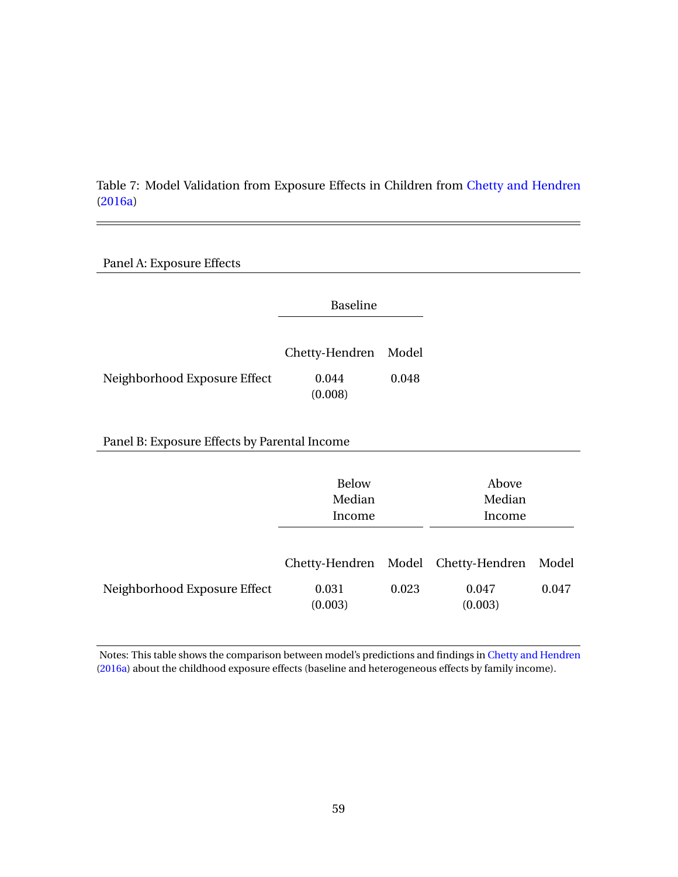<span id="page-60-0"></span>Table 7: Model Validation from Exposure Effects in Children from [Chetty and Hendren](#page-50-3) [\(2016a\)](#page-50-3)

| Panel A: Exposure Effects                    |                                  |       |                           |       |
|----------------------------------------------|----------------------------------|-------|---------------------------|-------|
|                                              | <b>Baseline</b>                  |       |                           |       |
|                                              | Chetty-Hendren                   | Model |                           |       |
| Neighborhood Exposure Effect                 | 0.044<br>(0.008)                 | 0.048 |                           |       |
| Panel B: Exposure Effects by Parental Income |                                  |       |                           |       |
|                                              | <b>Below</b><br>Median<br>Income |       | Above<br>Median<br>Income |       |
|                                              |                                  |       |                           |       |
|                                              | Chetty-Hendren Model             |       | Chetty-Hendren            | Model |
| Neighborhood Exposure Effect                 | 0.031<br>(0.003)                 | 0.023 | 0.047<br>(0.003)          | 0.047 |

Notes: This table shows the comparison between model's predictions and findings in [Chetty and Hendren](#page-50-3) [\(2016a\)](#page-50-3) about the childhood exposure effects (baseline and heterogeneous effects by family income).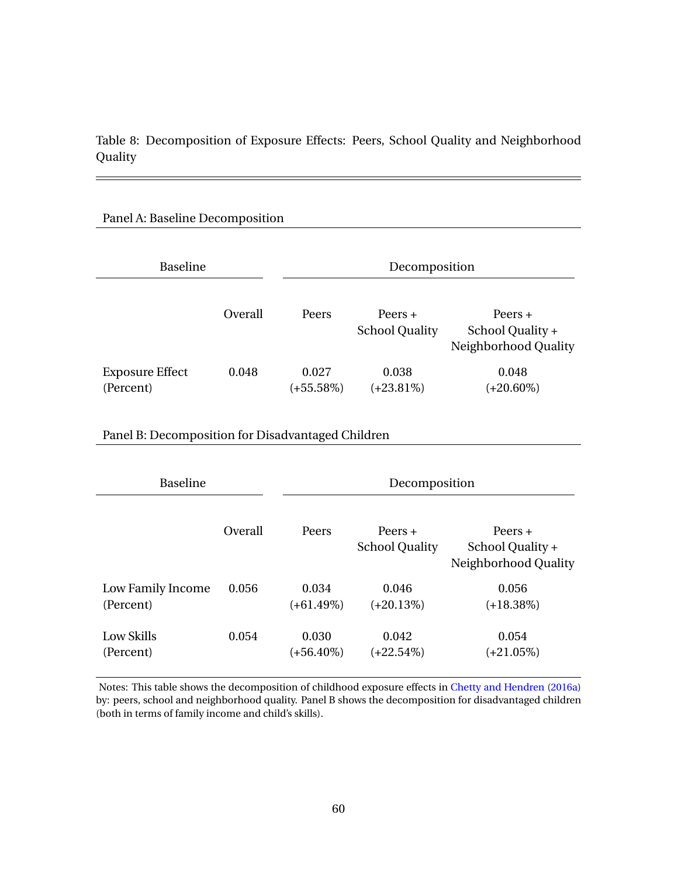<span id="page-61-0"></span>Table 8: Decomposition of Exposure Effects: Peers, School Quality and Neighborhood Quality

 $=$ 

#### Panel A: Baseline Decomposition

| <b>Baseline</b>                     |         | Decomposition         |                                    |                                                       |  |
|-------------------------------------|---------|-----------------------|------------------------------------|-------------------------------------------------------|--|
|                                     | Overall | Peers                 | $Peers +$<br><b>School Quality</b> | Peers $+$<br>School Quality +<br>Neighborhood Quality |  |
| <b>Exposure Effect</b><br>(Percent) | 0.048   | 0.027<br>$(+55.58\%)$ | 0.038<br>$(+23.81\%)$              | 0.048<br>$(+20.60\%)$                                 |  |

### Panel B: Decomposition for Disadvantaged Children

| <b>Baseline</b>   |         | Decomposition |                                    |                                                       |  |  |
|-------------------|---------|---------------|------------------------------------|-------------------------------------------------------|--|--|
|                   | Overall | Peers         | Peers $+$<br><b>School Quality</b> | $Peers +$<br>School Quality +<br>Neighborhood Quality |  |  |
| Low Family Income | 0.056   | 0.034         | 0.046                              | 0.056                                                 |  |  |
| (Percent)         |         | $(+61.49\%)$  | $(+20.13%)$                        | $(+18.38\%)$                                          |  |  |
| Low Skills        | 0.054   | 0.030         | 0.042                              | 0.054                                                 |  |  |
| (Percent)         |         | (+56.40%)     | (+22.54%)                          | $(+21.05\%)$                                          |  |  |

Notes: This table shows the decomposition of childhood exposure effects in [Chetty and Hendren](#page-50-3) [\(2016a\)](#page-50-3) by: peers, school and neighborhood quality. Panel B shows the decomposition for disadvantaged children (both in terms of family income and child's skills).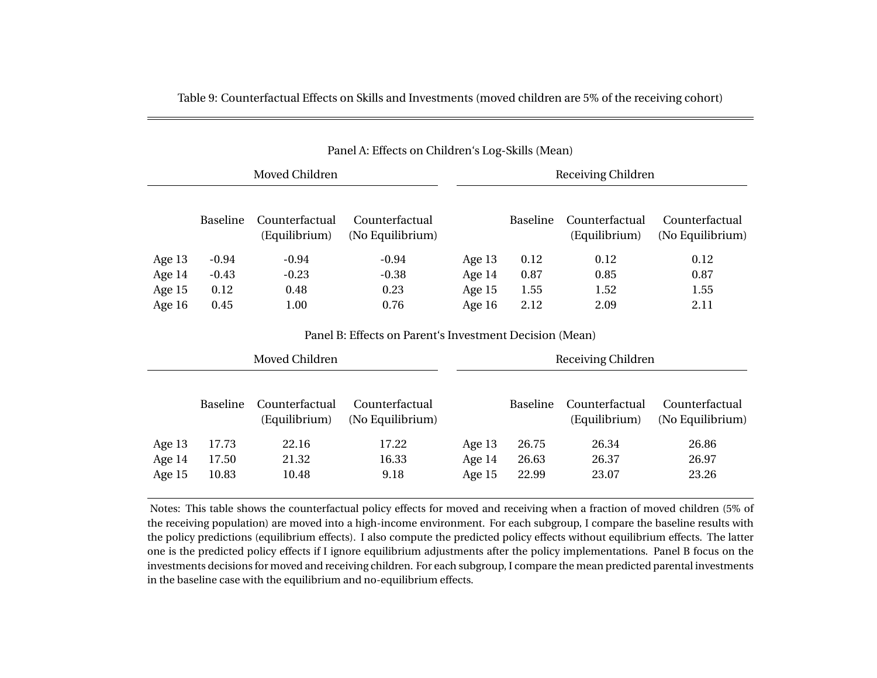|                |                 |                                 | Panel A: Effects on Children's Log-Skills (Mean)        |                    |                 |                                 |                                    |
|----------------|-----------------|---------------------------------|---------------------------------------------------------|--------------------|-----------------|---------------------------------|------------------------------------|
|                |                 | Moved Children                  |                                                         | Receiving Children |                 |                                 |                                    |
|                | <b>Baseline</b> | Counterfactual<br>(Equilibrium) | Counterfactual<br>(No Equilibrium)                      |                    | <b>Baseline</b> | Counterfactual<br>(Equilibrium) | Counterfactual<br>(No Equilibrium) |
| Age 13         | $-0.94$         | $-0.94$                         | $-0.94$                                                 | Age $13$           | 0.12            | 0.12                            | 0.12                               |
| Age 14         | $-0.43$         | $-0.23$                         | $-0.38$                                                 | Age 14             | 0.87            | 0.85                            | 0.87                               |
| Age 15         | 0.12            | 0.48                            | 0.23                                                    | Age $15$           | 1.55            | 1.52                            | 1.55                               |
| Age 16         | 0.45            | 1.00                            | 0.76                                                    | Age 16             | 2.12            | 2.09                            | 2.11                               |
|                |                 |                                 | Panel B: Effects on Parent's Investment Decision (Mean) |                    |                 |                                 |                                    |
| Moved Children |                 |                                 |                                                         |                    |                 | Receiving Children              |                                    |

<span id="page-62-0"></span>Table 9: Counterfactual Effects on Skills and Investments (moved children are 5% of the receiving cohort)

|          | <b>Baseline</b> | Counterfactual<br>(Equilibrium) | Counterfactual<br>(No Equilibrium) |          | <b>Baseline</b> | Counterfactual<br>(Equilibrium) | Counterfactual<br>(No Equilibrium) |
|----------|-----------------|---------------------------------|------------------------------------|----------|-----------------|---------------------------------|------------------------------------|
| Age $13$ | 17.73           | 22.16                           | 17.22                              | Age $13$ | 26.75           | 26.34                           | 26.86                              |
| Age $14$ | 17.50           | 21.32                           | 16.33                              | Age $14$ | 26.63           | 26.37                           | 26.97                              |
| Age $15$ | 10.83           | 10.48                           | 9.18                               | Age $15$ | 22.99           | 23.07                           | 23.26                              |

Notes: This table shows the counterfactual policy effects for moved and receiving when <sup>a</sup> fraction of moved children (5% of the receiving population) are moved into <sup>a</sup> high-income environment. For each subgroup, I compare the baseline results with the policy predictions (equilibrium effects). I also compute the predicted policy effects without equilibrium effects. The latter one is the predicted policy effects if I ignore equilibrium adjustments after the policy implementations. Panel B focus on the investments decisions for moved and receiving children. For each subgroup, I compare the mean predicted parental investmentsin the baseline case with the equilibrium and no-equilibrium effects.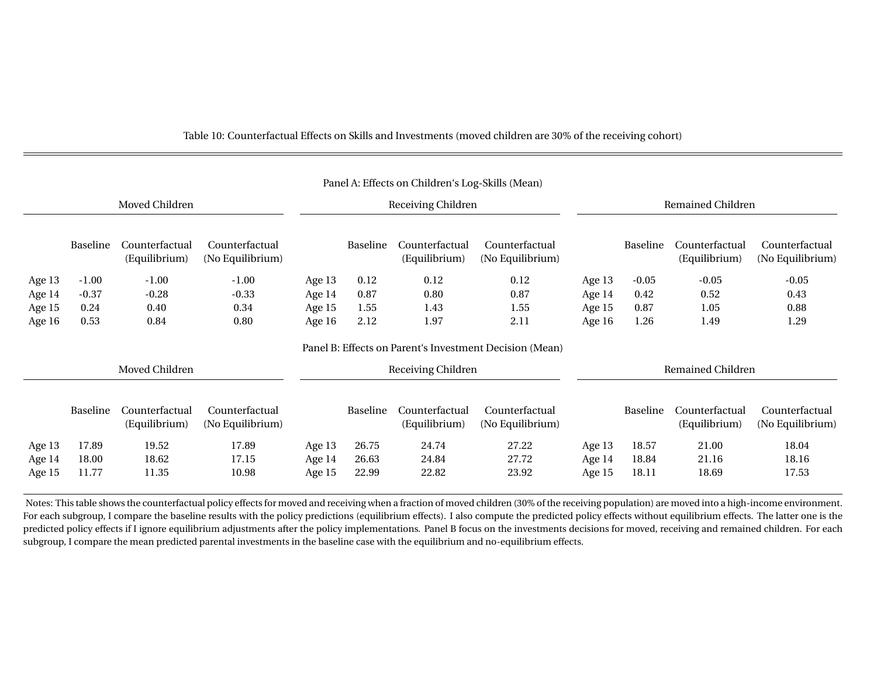| Panel A: Effects on Children's Log-Skills (Mean) |                                                         |                                 |                                    |                    |          |                                 |                                    |                          |          |                                 |                                    |
|--------------------------------------------------|---------------------------------------------------------|---------------------------------|------------------------------------|--------------------|----------|---------------------------------|------------------------------------|--------------------------|----------|---------------------------------|------------------------------------|
| Moved Children                                   |                                                         |                                 |                                    | Receiving Children |          |                                 |                                    | <b>Remained Children</b> |          |                                 |                                    |
|                                                  | <b>Baseline</b>                                         | Counterfactual<br>(Equilibrium) | Counterfactual<br>(No Equilibrium) |                    | Baseline | Counterfactual<br>(Equilibrium) | Counterfactual<br>(No Equilibrium) |                          | Baseline | Counterfactual<br>(Equilibrium) | Counterfactual<br>(No Equilibrium) |
| Age 13                                           | $-1.00$                                                 | $-1.00$                         | $-1.00$                            | Age 13             | 0.12     | 0.12                            | 0.12                               | Age 13                   | $-0.05$  | $-0.05$                         | $-0.05$                            |
| Age 14                                           | $-0.37$                                                 | $-0.28$                         | $-0.33$                            | Age 14             | 0.87     | 0.80                            | 0.87                               | Age 14                   | 0.42     | 0.52                            | 0.43                               |
| Age 15                                           | 0.24                                                    | 0.40                            | 0.34                               | Age 15             | 1.55     | 1.43                            | 1.55                               | Age 15                   | 0.87     | 1.05                            | 0.88                               |
| Age 16                                           | 0.53                                                    | 0.84                            | 0.80                               | Age 16             | 2.12     | 1.97                            | 2.11                               | Age 16                   | 1.26     | 1.49                            | 1.29                               |
|                                                  | Panel B: Effects on Parent's Investment Decision (Mean) |                                 |                                    |                    |          |                                 |                                    |                          |          |                                 |                                    |
|                                                  |                                                         | Moved Children                  |                                    | Receiving Children |          |                                 | Remained Children                  |                          |          |                                 |                                    |
|                                                  | Baseline                                                | Counterfactual<br>(Equilibrium) | Counterfactual<br>(No Equilibrium) |                    | Baseline | Counterfactual<br>(Equilibrium) | Counterfactual<br>(No Equilibrium) |                          | Baseline | Counterfactual<br>(Equilibrium) | Counterfactual<br>(No Equilibrium) |
| Age 13                                           | 17.89                                                   | 19.52                           | 17.89                              | Age 13             | 26.75    | 24.74                           | 27.22                              | Age 13                   | 18.57    | 21.00                           | 18.04                              |
| Age 14                                           | 18.00                                                   | 18.62                           | 17.15                              | Age 14             | 26.63    | 24.84                           | 27.72                              | Age 14                   | 18.84    | 21.16                           | 18.16                              |
| Age 15                                           | 11.77                                                   | 11.35                           | 10.98                              | Age 15             | 22.99    | 22.82                           | 23.92                              | Age 15                   | 18.11    | 18.69                           | 17.53                              |

<span id="page-63-0"></span>Table 10: Counterfactual Effects on Skills and Investments (moved children are 30% of the receiving cohort)

Notes: This table shows the counterfactual policy effects for moved and receiving when <sup>a</sup> fraction of moved children (30% of the receiving population) are moved into <sup>a</sup> high-income environment. For each subgroup, I compare the baseline results with the policy predictions (equilibrium effects). I also compute the predicted policy effects without equilibrium effects. The latter one is thepredicted policy effects if I ignore equilibrium adjustments after the policy implementations. Panel B focus on the investments decisions for moved, receiving and remained children. For each subgroup, I compare the mean predicted parental investments in the baseline case with the equilibrium and no-equilibrium effects.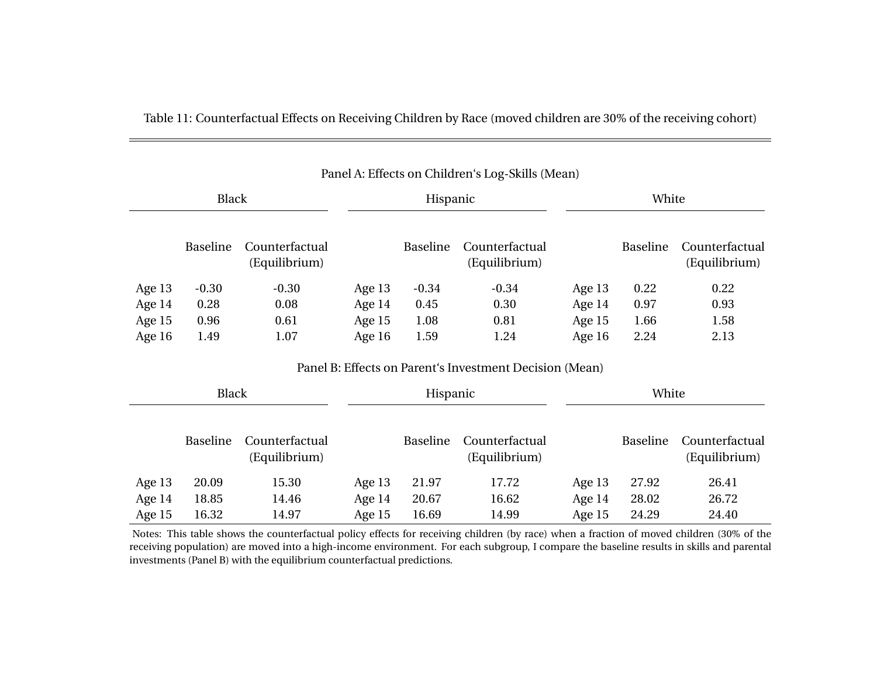|        |                 |                                 |          |          | I differ the Effects off Children 3 Log-SKIII3 (Britail) |          |          |                                 |  |
|--------|-----------------|---------------------------------|----------|----------|----------------------------------------------------------|----------|----------|---------------------------------|--|
|        | <b>Black</b>    |                                 |          | Hispanic |                                                          |          | White    |                                 |  |
|        | Baseline        | Counterfactual<br>(Equilibrium) |          | Baseline | Counterfactual<br>(Equilibrium)                          |          | Baseline | Counterfactual<br>(Equilibrium) |  |
| Age 13 | $-0.30$         | $-0.30$                         | Age $13$ | $-0.34$  | $-0.34$                                                  | Age 13   | 0.22     | 0.22                            |  |
| Age 14 | 0.28            | 0.08                            | Age 14   | 0.45     | 0.30                                                     | Age 14   | 0.97     | 0.93                            |  |
| Age 15 | 0.96            | 0.61                            | Age 15   | 1.08     | 0.81                                                     | Age 15   | 1.66     | 1.58                            |  |
| Age 16 | 1.49            | 1.07                            | Age 16   | 1.59     | 1.24                                                     | Age 16   | 2.24     | 2.13                            |  |
|        |                 |                                 |          |          | Panel B: Effects on Parent's Investment Decision (Mean)  |          |          |                                 |  |
|        | <b>Black</b>    |                                 |          | Hispanic |                                                          |          | White    |                                 |  |
|        | <b>Baseline</b> | Counterfactual<br>(Equilibrium) |          | Baseline | Counterfactual<br>(Equilibrium)                          |          | Baseline | Counterfactual<br>(Equilibrium) |  |
| Age 13 | 20.09           | 15.30                           | Age 13   | 21.97    | 17.72                                                    | Age 13   | 27.92    | 26.41                           |  |
| Age 14 | 18.85           | 14.46                           | Age $14$ | 20.67    | 16.62                                                    | Age $14$ | 28.02    | 26.72                           |  |
| Age 15 | 16.32           | 14.97                           | Age 15   | 16.69    | 14.99                                                    | Age 15   | 24.29    | 24.40                           |  |

Table 11: Counterfactual Effects on Receiving Children by Race (moved children are 30% of the receiving cohort)

<span id="page-64-0"></span>Notes: This table shows the counterfactual policy effects for receiving children (by race) when <sup>a</sup> fraction of moved children (30% of the receiving population) are moved into <sup>a</sup> high-income environment. For each subgroup, I compare the baseline results in skills and parentalinvestments (Panel B) with the equilibrium counterfactual predictions.

## Panel A: Effects on Children's Log-Skills (Mean)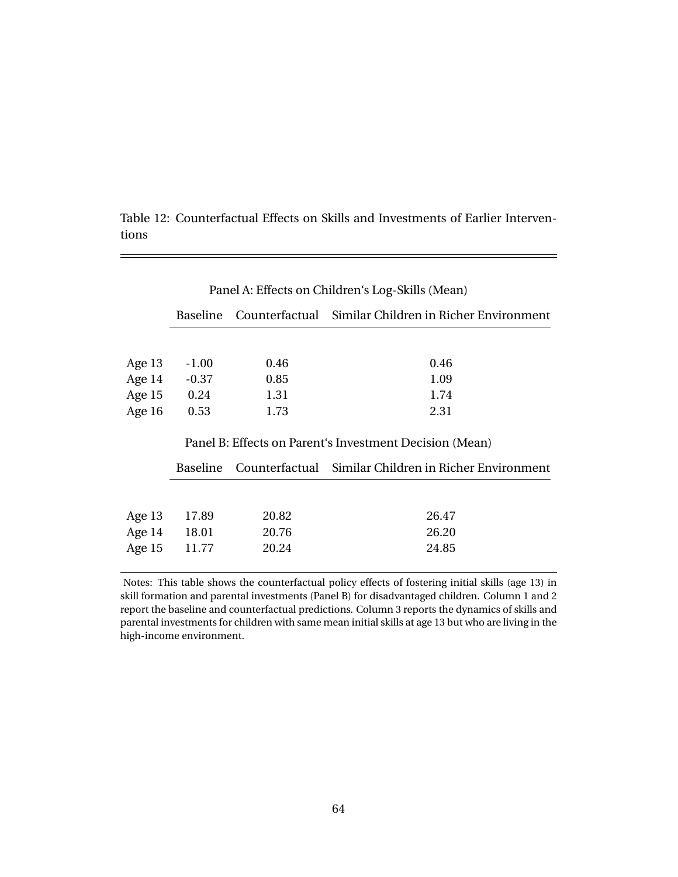|          | Panel A: Effects on Children's Log-Skills (Mean) |       |                                                         |  |  |  |  |  |
|----------|--------------------------------------------------|-------|---------------------------------------------------------|--|--|--|--|--|
|          | <b>Baseline</b>                                  |       | Counterfactual Similar Children in Richer Environment   |  |  |  |  |  |
|          |                                                  |       |                                                         |  |  |  |  |  |
| Age $13$ | $-1.00$                                          | 0.46  | 0.46                                                    |  |  |  |  |  |
| Age $14$ | $-0.37$                                          | 0.85  | 1.09                                                    |  |  |  |  |  |
| Age 15   | 0.24                                             | 1.31  | 1.74                                                    |  |  |  |  |  |
| Age 16   | 0.53                                             | 1.73  | 2.31                                                    |  |  |  |  |  |
|          |                                                  |       | Panel B: Effects on Parent's Investment Decision (Mean) |  |  |  |  |  |
|          | <b>Baseline</b>                                  |       | Counterfactual Similar Children in Richer Environment   |  |  |  |  |  |
|          |                                                  |       |                                                         |  |  |  |  |  |
| Age 13   | 17.89                                            | 20.82 | 26.47                                                   |  |  |  |  |  |
|          | Age 14 18.01                                     | 20.76 | 26.20                                                   |  |  |  |  |  |
| Age 15   | 11.77                                            | 20.24 | 24.85                                                   |  |  |  |  |  |
|          |                                                  |       |                                                         |  |  |  |  |  |

<span id="page-65-0"></span>Table 12: Counterfactual Effects on Skills and Investments of Earlier Interventions

Notes: This table shows the counterfactual policy effects of fostering initial skills (age 13) in skill formation and parental investments (Panel B) for disadvantaged children. Column 1 and 2 report the baseline and counterfactual predictions. Column 3 reports the dynamics of skills and parental investments for children with same mean initial skills at age 13 but who are living in the high-income environment.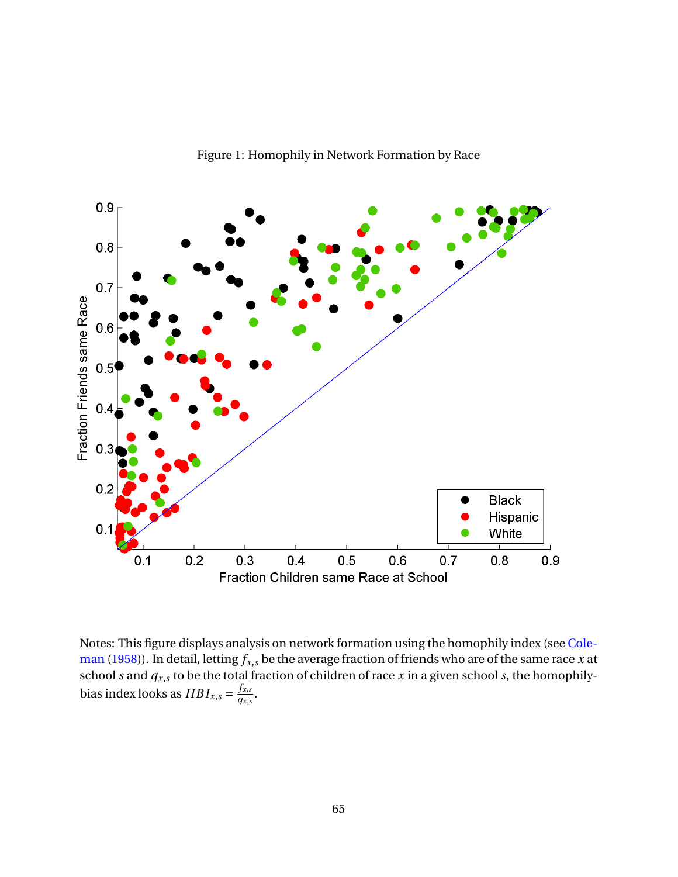

Notes: This figure displays analysis on network formation using the homophily index (see [Cole](#page-50-4)[man](#page-50-4) [\(1958\)](#page-50-4)). In detail, letting  $f_{x,s}$  be the average fraction of friends who are of the same race *x* at school *s* and  $q_{x,s}$  to be the total fraction of children of race *x* in a given school *s*, the homophilybias index looks as  $HBI_{x,s} = \frac{f_{x,s}}{g_{x,s}}$  $\frac{Jx,s}{q_{x,s}}$ .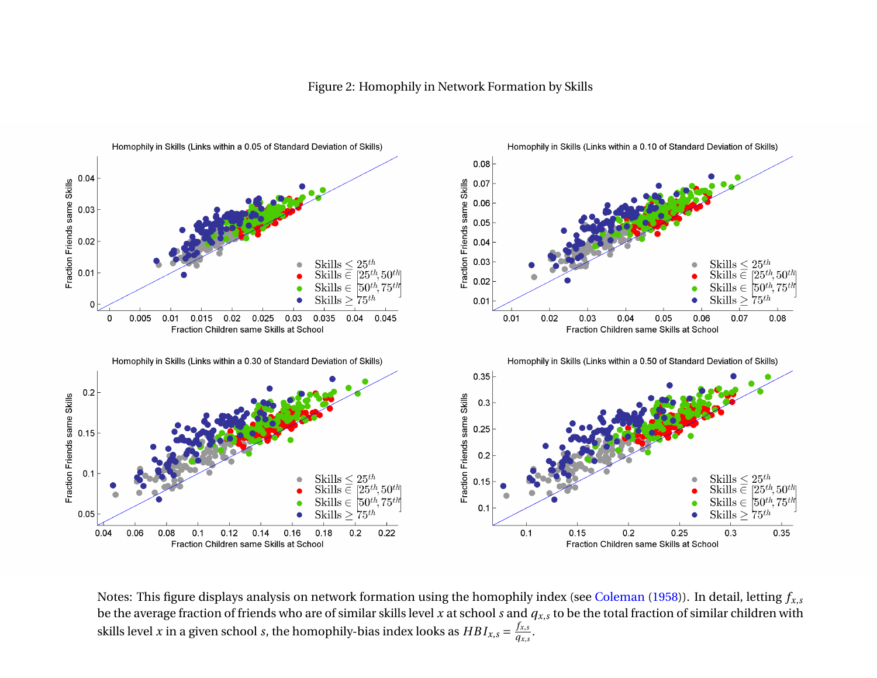

Figure 2: Homophily in Network Formation by Skills

Notes: This figure displays analysis on network formation using the homophily index (see [Coleman](#page-50-5) [\(1958\)](#page-50-5)). In detail, letting *f<sup>x</sup>*,*<sup>s</sup>* be the average fraction of friends who are of similar skills level *<sup>x</sup>* at school *<sup>s</sup>* and *<sup>q</sup><sup>x</sup>*,*<sup>s</sup>* to be the total fraction of similar children withskills level *x* in a given school *s*, the homophily-bias index looks as  $HBI_{x,s} = \frac{f_{x,s}}{q_{x,s}}$ .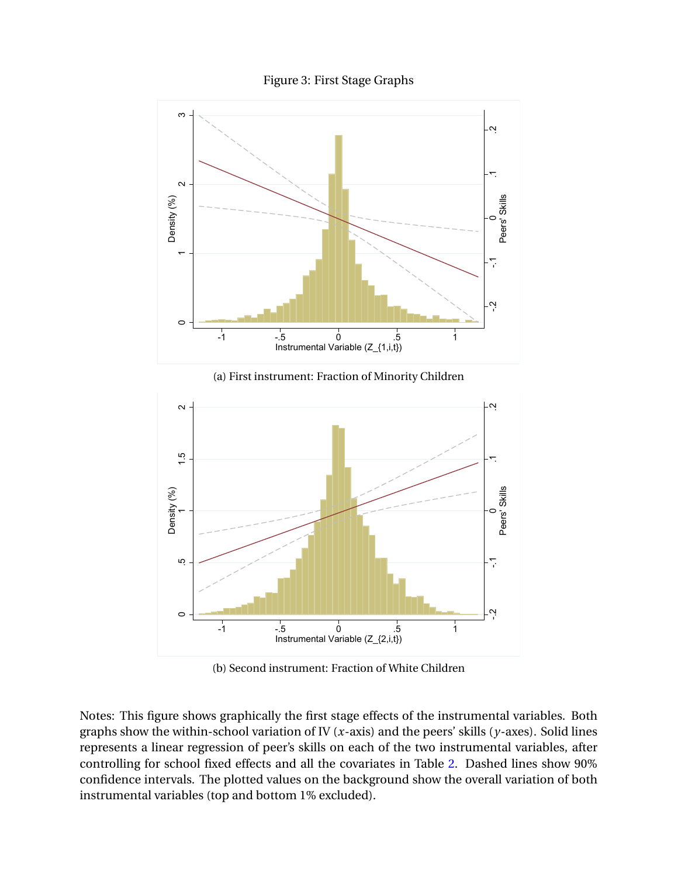Figure 3: First Stage Graphs



(a) First instrument: Fraction of Minority Children



(b) Second instrument: Fraction of White Children

Notes: This figure shows graphically the first stage effects of the instrumental variables. Both graphs show the within-school variation of IV (*x*-axis) and the peers' skills (*y*-axes). Solid lines represents a linear regression of peer's skills on each of the two instrumental variables, after controlling for school fixed effects and all the covariates in Table [2.](#page-55-0) Dashed lines show 90% confidence intervals. The plotted values on the background show the overall variation of both instrumental variables (top and bottom 1% excluded).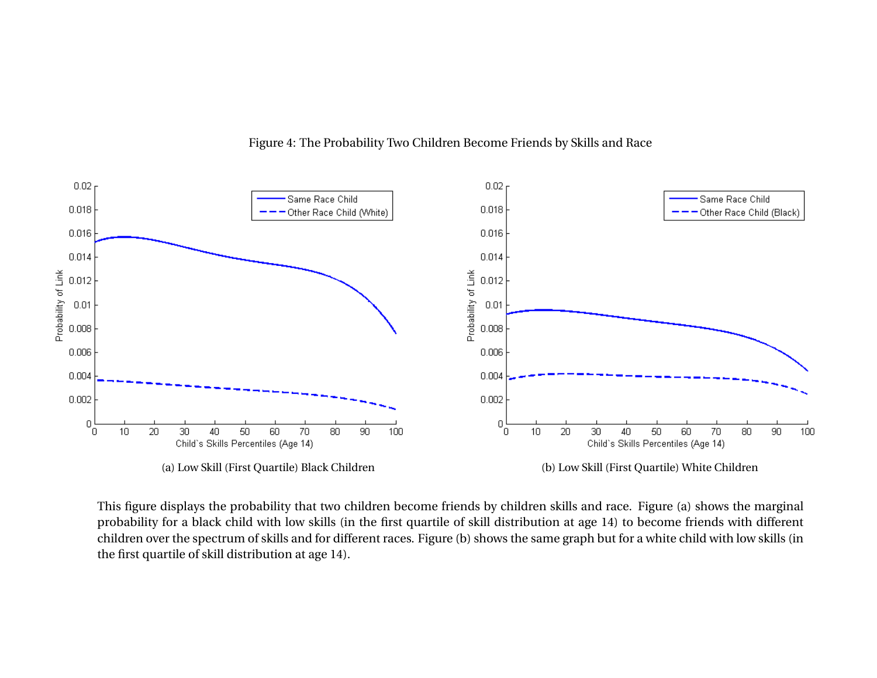

Figure 4: The Probability Two Children Become Friends by Skills and Race

<span id="page-69-0"></span>This figure displays the probability that two children become friends by children skills and race. Figure (a) shows the marginal probability for <sup>a</sup> black child with low skills (in the first quartile of skill distribution at age 14) to become friends with different children over the spectrum of skills and for different races. Figure (b) shows the same graph but for <sup>a</sup> white child with low skills (inthe first quartile of skill distribution at age 14).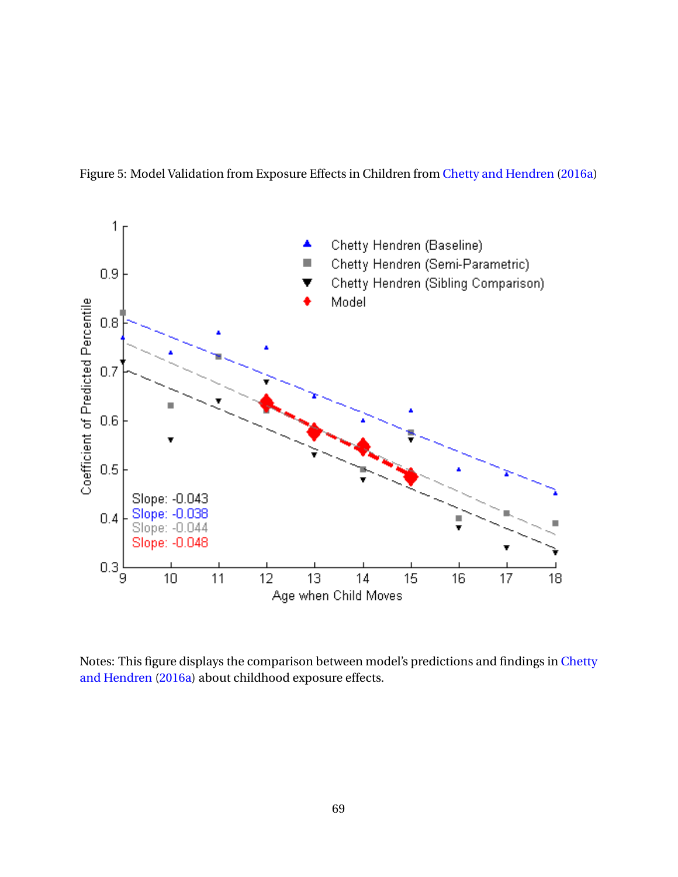<span id="page-70-0"></span>Figure 5: Model Validation from Exposure Effects in Children from [Chetty and Hendren](#page-50-3) [\(2016a\)](#page-50-3)



Notes: This figure displays the comparison between model's predictions and findings in [Chetty](#page-50-3) [and Hendren](#page-50-3) [\(2016a\)](#page-50-3) about childhood exposure effects.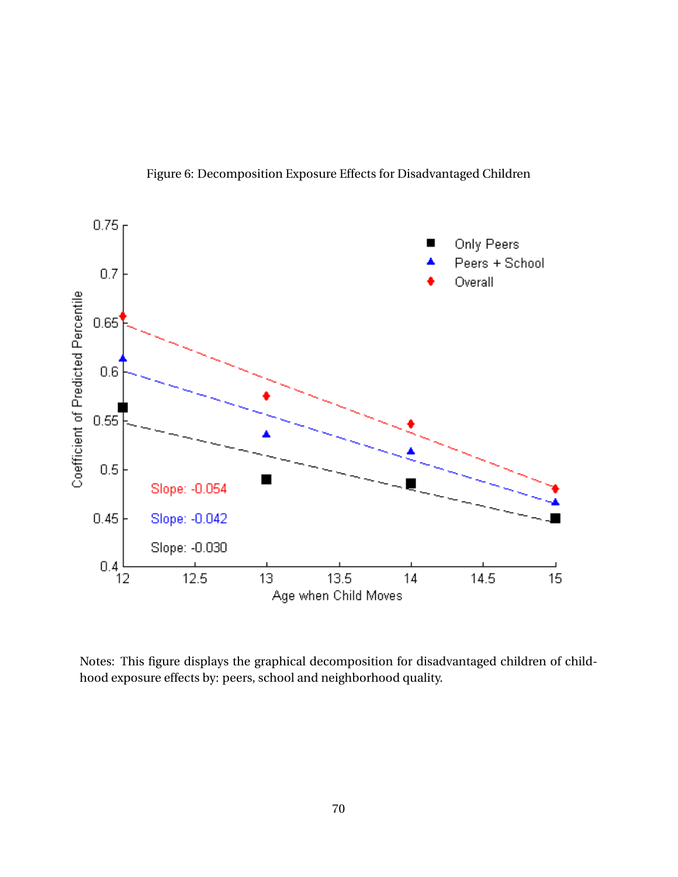Figure 6: Decomposition Exposure Effects for Disadvantaged Children

<span id="page-71-0"></span>

Notes: This figure displays the graphical decomposition for disadvantaged children of childhood exposure effects by: peers, school and neighborhood quality.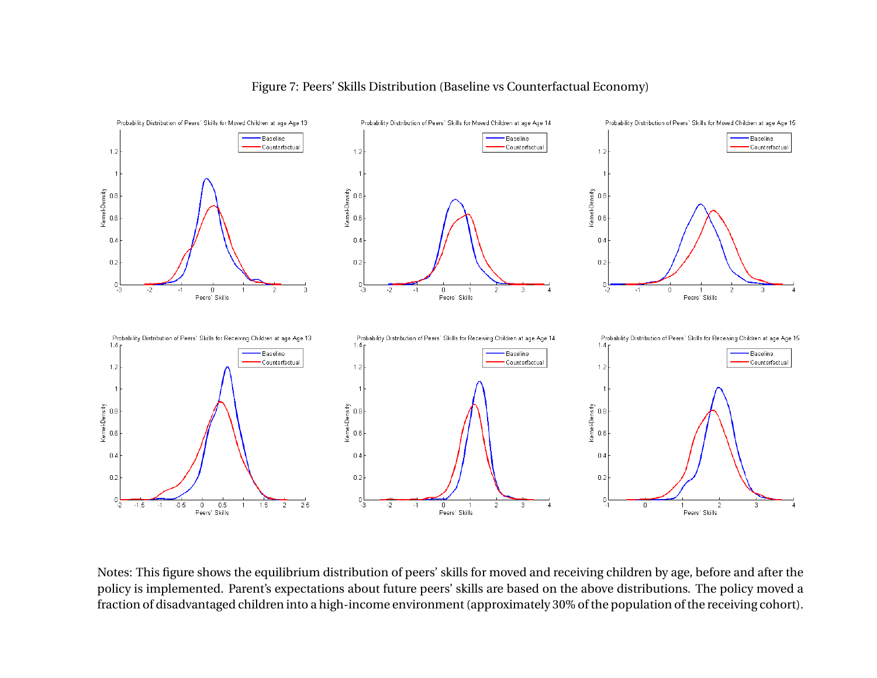

#### Figure 7: Peers' Skills Distribution (Baseline vs Counterfactual Economy)

Notes: This figure shows the equilibrium distribution of peers' skills for moved and receiving children by age, before and after the policy is implemented. Parent's expectations about future peers' skills are based on the above distributions. The policy moved <sup>a</sup>fraction of disadvantaged children into <sup>a</sup> high-income environment (approximately 30% of the population of the receiving cohort).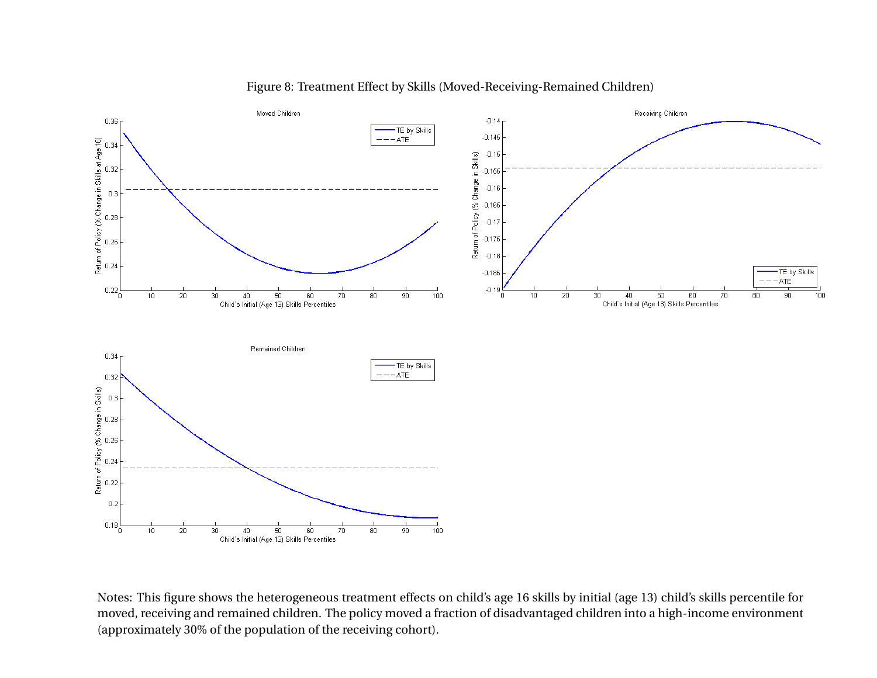

Figure 8: Treatment Effect by Skills (Moved-Receiving-Remained Children)

Notes: This figure shows the heterogeneous treatment effects on child's age 16 skills by initial (age 13) child's skills percentile for moved, receiving and remained children. The policy moved <sup>a</sup> fraction of disadvantaged children into <sup>a</sup> high-income environment(approximately 30% of the population of the receiving cohort).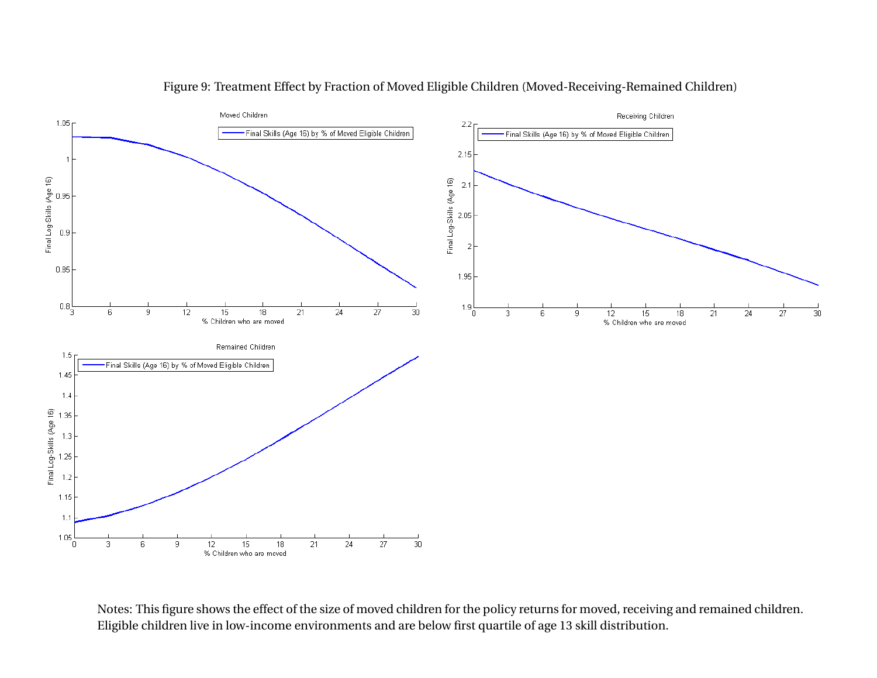

Figure 9: Treatment Effect by Fraction of Moved Eligible Children (Moved-Receiving-Remained Children)

Notes: This figure shows the effect of the size of moved children for the policy returns for moved, receiving and remained children.Eligible children live in low-income environments and are below first quartile of age 13 skill distribution.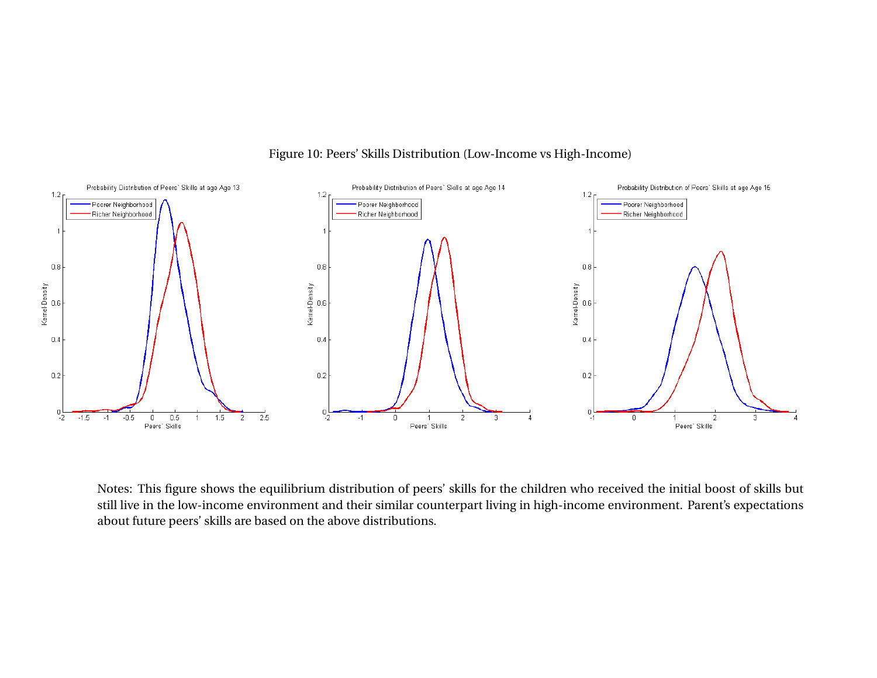

Figure 10: Peers' Skills Distribution (Low-Income vs High-Income)

Notes: This figure shows the equilibrium distribution of peers' skills for the children who received the initial boost of skills but still live in the low-income environment and their similar counterpart living in high-income environment. Parent's expectationsabout future peers' skills are based on the above distributions.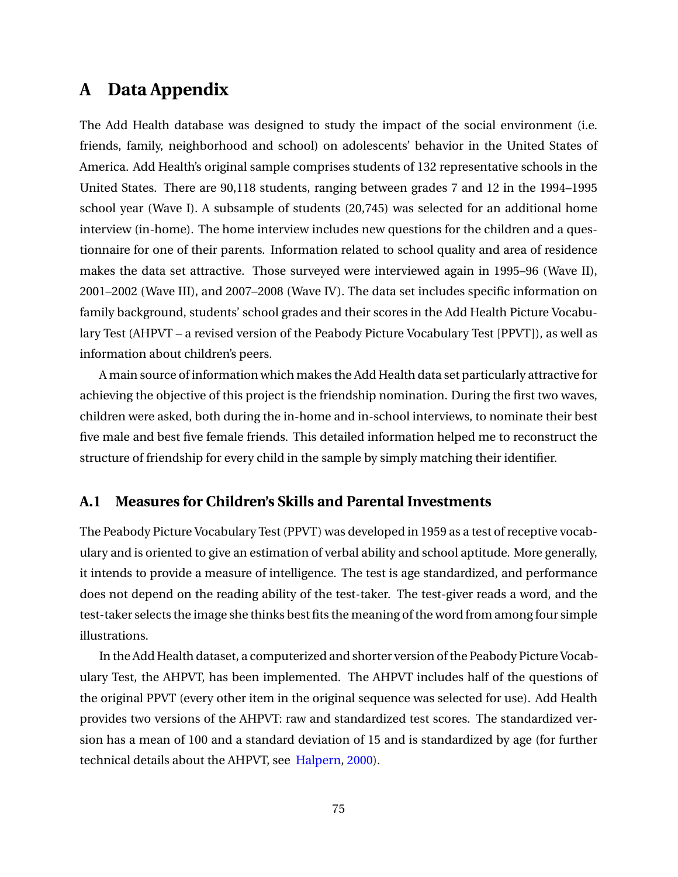## **A Data Appendix**

The Add Health database was designed to study the impact of the social environment (i.e. friends, family, neighborhood and school) on adolescents' behavior in the United States of America. Add Health's original sample comprises students of 132 representative schools in the United States. There are 90,118 students, ranging between grades 7 and 12 in the 1994–1995 school year (Wave I). A subsample of students (20,745) was selected for an additional home interview (in-home). The home interview includes new questions for the children and a questionnaire for one of their parents. Information related to school quality and area of residence makes the data set attractive. Those surveyed were interviewed again in 1995–96 (Wave II), 2001–2002 (Wave III), and 2007–2008 (Wave IV). The data set includes specific information on family background, students' school grades and their scores in the Add Health Picture Vocabulary Test (AHPVT – a revised version of the Peabody Picture Vocabulary Test [PPVT]), as well as information about children's peers.

A main source of information which makes the Add Health data set particularly attractive for achieving the objective of this project is the friendship nomination. During the first two waves, children were asked, both during the in-home and in-school interviews, to nominate their best five male and best five female friends. This detailed information helped me to reconstruct the structure of friendship for every child in the sample by simply matching their identifier.

#### **A.1 Measures for Children's Skills and Parental Investments**

The Peabody Picture Vocabulary Test (PPVT) was developed in 1959 as a test of receptive vocabulary and is oriented to give an estimation of verbal ability and school aptitude. More generally, it intends to provide a measure of intelligence. The test is age standardized, and performance does not depend on the reading ability of the test-taker. The test-giver reads a word, and the test-taker selects the image she thinks best fits the meaning of the word from among four simple illustrations.

In the Add Health dataset, a computerized and shorter version of the Peabody Picture Vocabulary Test, the AHPVT, has been implemented. The AHPVT includes half of the questions of the original PPVT (every other item in the original sequence was selected for use). Add Health provides two versions of the AHPVT: raw and standardized test scores. The standardized version has a mean of 100 and a standard deviation of 15 and is standardized by age (for further technical details about the AHPVT, see [Halpern,](#page-52-0) [2000\)](#page-52-0).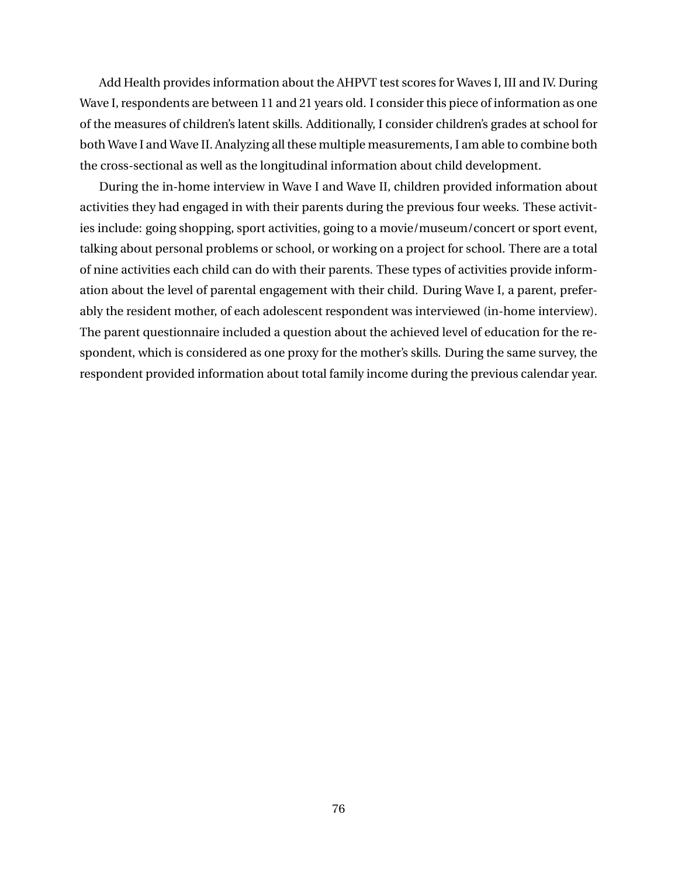Add Health provides information about the AHPVT test scores for Waves I, III and IV. During Wave I, respondents are between 11 and 21 years old. I consider this piece of information as one of the measures of children's latent skills. Additionally, I consider children's grades at school for both Wave I and Wave II. Analyzing all these multiple measurements, I am able to combine both the cross-sectional as well as the longitudinal information about child development.

During the in-home interview in Wave I and Wave II, children provided information about activities they had engaged in with their parents during the previous four weeks. These activities include: going shopping, sport activities, going to a movie/museum/concert or sport event, talking about personal problems or school, or working on a project for school. There are a total of nine activities each child can do with their parents. These types of activities provide information about the level of parental engagement with their child. During Wave I, a parent, preferably the resident mother, of each adolescent respondent was interviewed (in-home interview). The parent questionnaire included a question about the achieved level of education for the respondent, which is considered as one proxy for the mother's skills. During the same survey, the respondent provided information about total family income during the previous calendar year.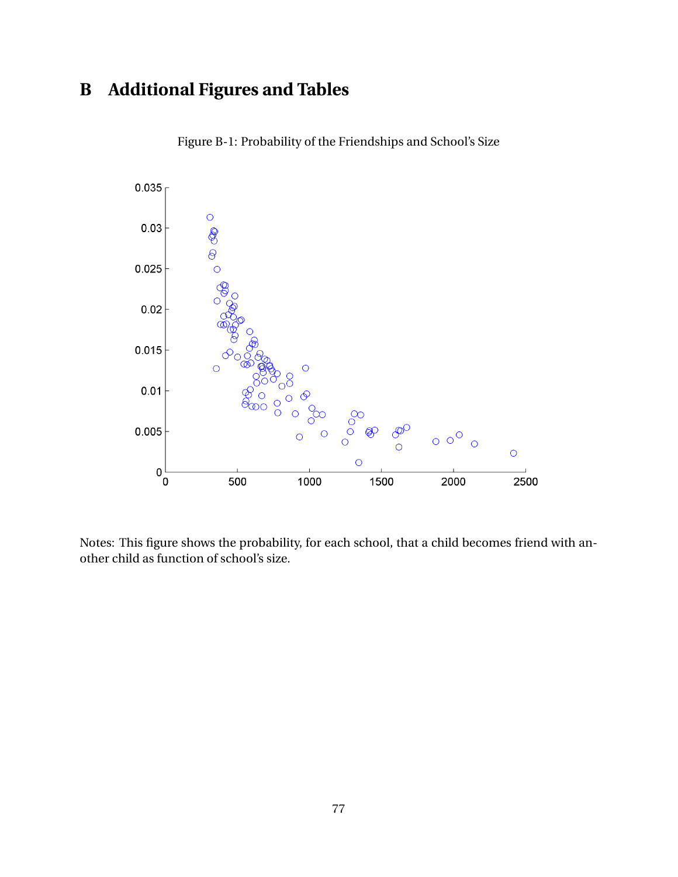# **B Additional Figures and Tables**



Figure B-1: Probability of the Friendships and School's Size

Notes: This figure shows the probability, for each school, that a child becomes friend with another child as function of school's size.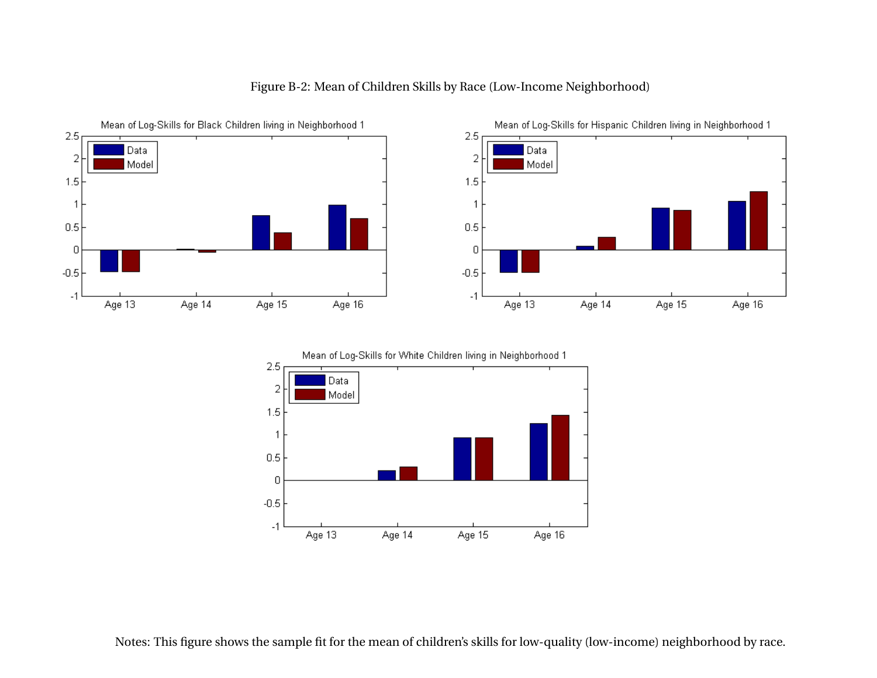

#### Figure B-2: Mean of Children Skills by Race (Low-Income Neighborhood)



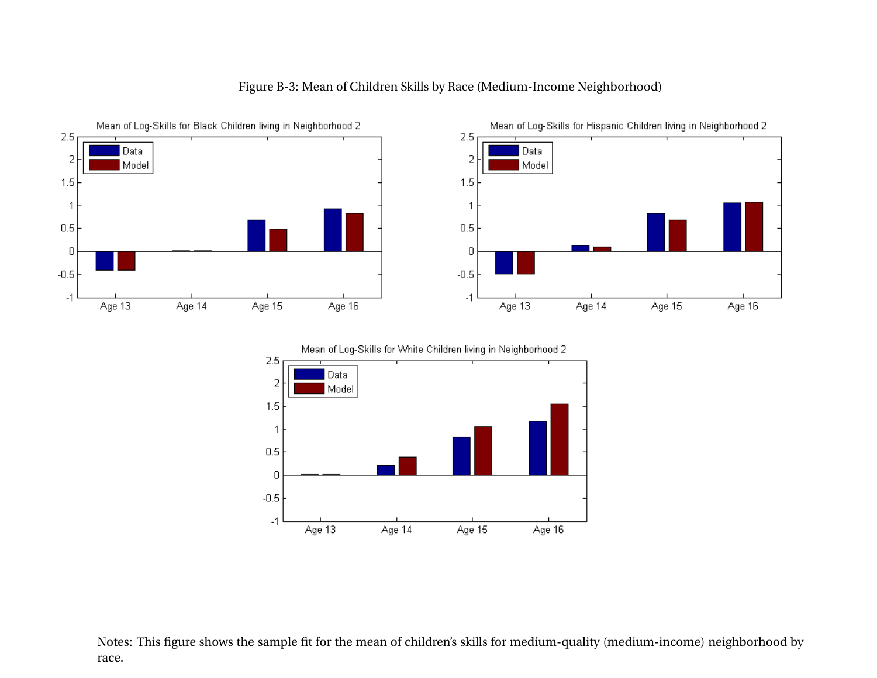

 $-1$ 

Age 13

#### Figure B-3: Mean of Children Skills by Race (Medium-Income Neighborhood)





Age 14

Notes: This figure shows the sample fit for the mean of children's skills for medium-quality (medium-income) neighborhood byrace.

Age 15

Age 16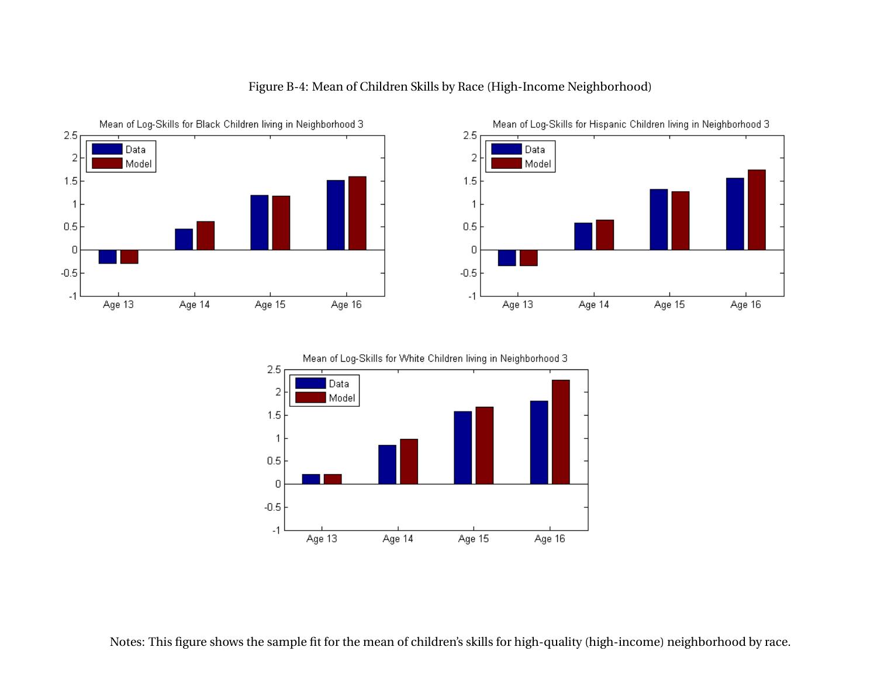



Age 14

Age 15

Age 16

Age 13

#### Figure B-4: Mean of Children Skills by Race (High-Income Neighborhood)



Notes: This figure shows the sample fit for the mean of children's skills for high-quality (high-income) neighborhood by race.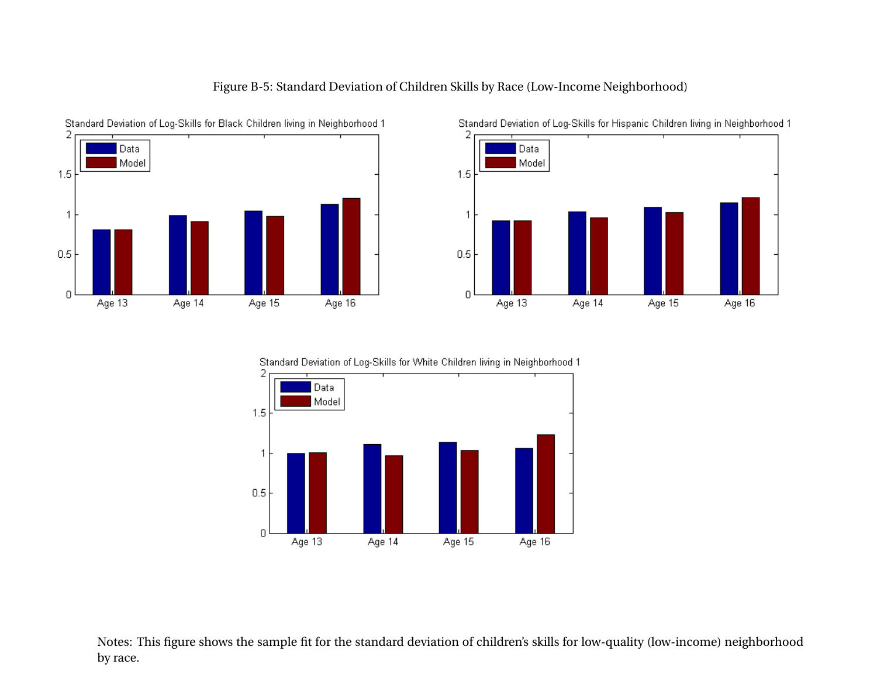





Standard Deviation of Log-Skills for Hispanic Children living in Neighborhood 1



Notes: This figure shows the sample fit for the standard deviation of children's skills for low-quality (low-income) neighborhoodby race.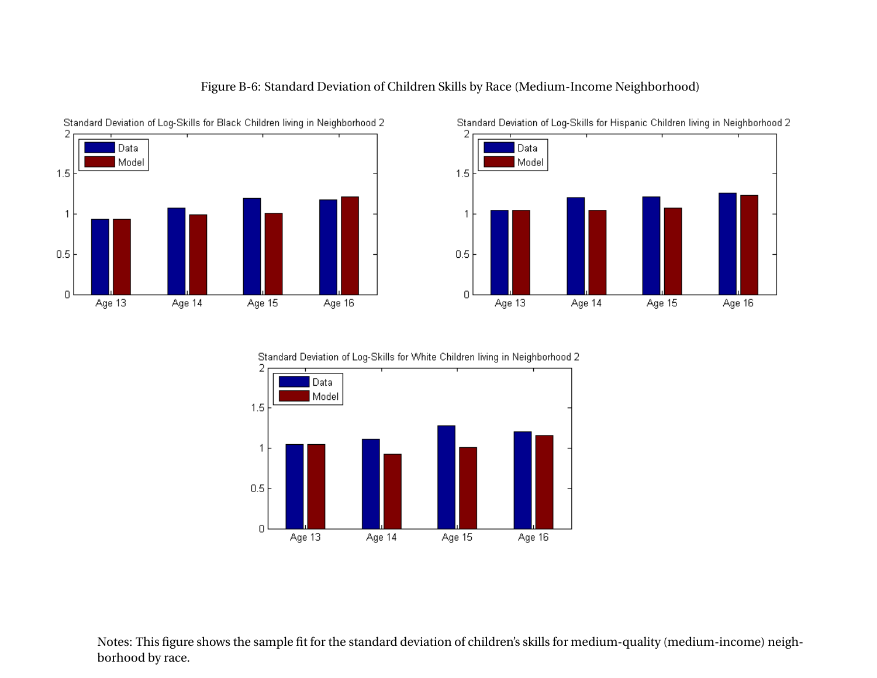





Standard Deviation of Log-Skills for Hispanic Children living in Neighborhood 2



Notes: This figure shows the sample fit for the standard deviation of children's skills for medium-quality (medium-income) neighborhood by race.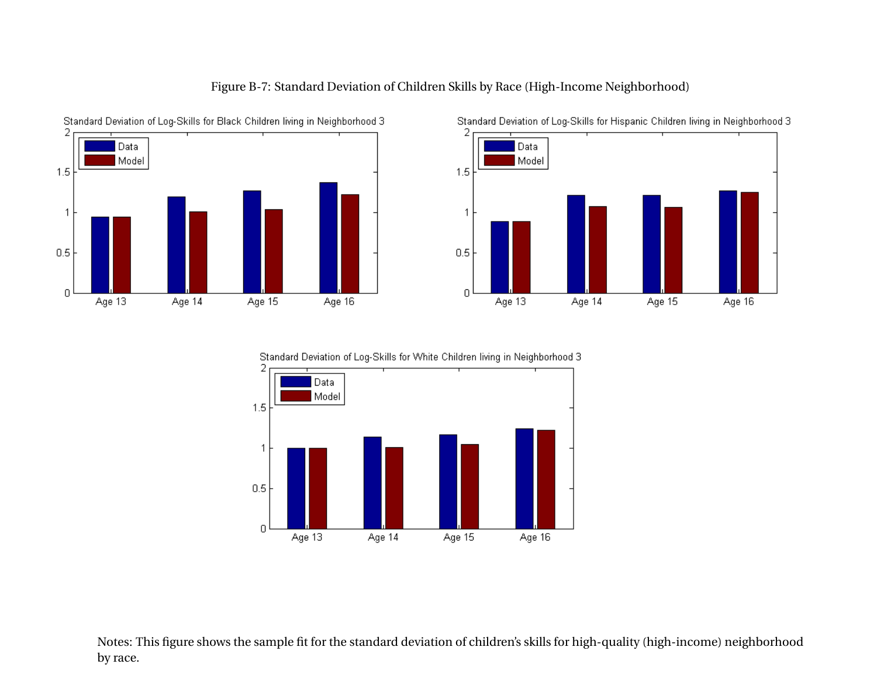









Notes: This figure shows the sample fit for the standard deviation of children's skills for high-quality (high-income) neighborhoodby race.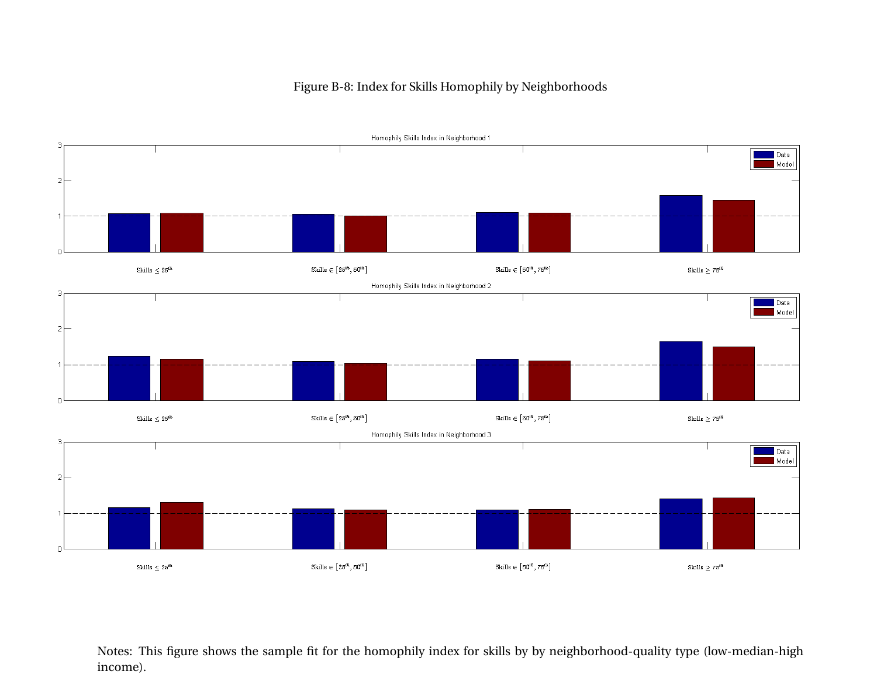# Homophily Skills Index in Neighborhood 1  $\blacksquare$  Data Model Skills  $\in \left[25^{th}, 50^{th}\right]$ Skills  $\in \left[50^{th}, 75^{th}\right]$ Skills $\leq 25^{th}$ Skills $\geq$   $75^{th}$ Homophily Skills Index in Neighborhood 2  $\blacksquare$  Data Model  $\text{Skills} \in \left[25^{\text{th}}, 50^{\text{th}}\right]$ Skills $\in \left[50^{th}, 75^{th}\right]$ Skills $\leq 25^{th}$ Skills $\geq 75^{th}$ Homophily Skills Index in Neighborhood 3 **Data** Model

#### Figure B-8: Index for Skills Homophily by Neighborhoods

3

 $2|$ 

F

 $\overline{2}$ 

 $\overline{2}$ 

Skills $\leq 25^{th}$ 

Notes: This figure shows the sample fit for the homophily index for skills by by neighborhood-quality type (low-median-highincome).

Skills $\in \left[50^{th}, 75^{th}\right]$ 

Skills $\geq 75^{th}$ 

Skills $\in \left[25^{th}, 50^{th}\right]$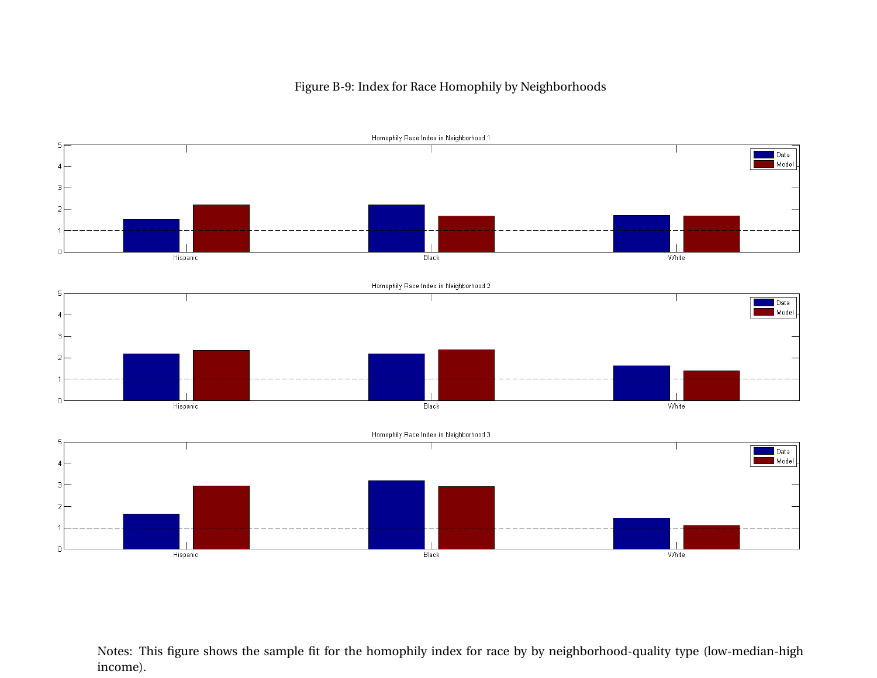#### Figure B-9: Index for Race Homophily by Neighborhoods



Notes: This figure shows the sample fit for the homophily index for race by by neighborhood-quality type (low-median-highincome).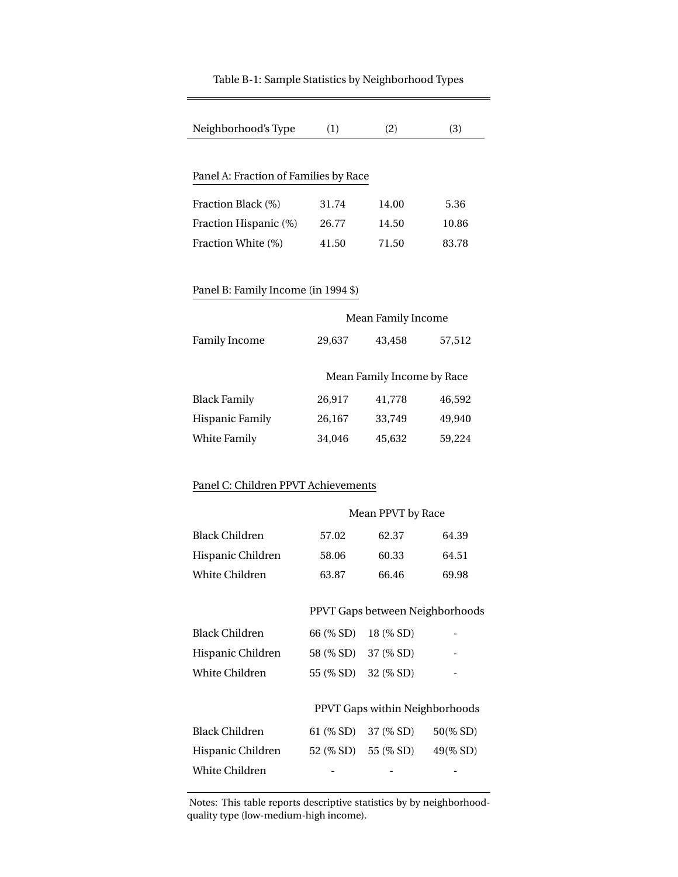| Neighborhood's Type                          | (1)                             | (2)                        | (3)      |  |  |  |  |  |
|----------------------------------------------|---------------------------------|----------------------------|----------|--|--|--|--|--|
|                                              |                                 |                            |          |  |  |  |  |  |
| Panel A: Fraction of Families by Race        |                                 |                            |          |  |  |  |  |  |
| Fraction Black (%)<br>31.74<br>14.00<br>5.36 |                                 |                            |          |  |  |  |  |  |
| Fraction Hispanic (%)                        | 26.77                           | 14.50                      | 10.86    |  |  |  |  |  |
| Fraction White (%)                           | 41.50                           | 71.50                      | 83.78    |  |  |  |  |  |
|                                              |                                 |                            |          |  |  |  |  |  |
| Panel B: Family Income (in 1994 \$)          |                                 |                            |          |  |  |  |  |  |
|                                              |                                 | Mean Family Income         |          |  |  |  |  |  |
| <b>Family Income</b>                         | 29,637                          | 43,458                     | 57,512   |  |  |  |  |  |
|                                              |                                 |                            |          |  |  |  |  |  |
|                                              |                                 | Mean Family Income by Race |          |  |  |  |  |  |
| <b>Black Family</b>                          | 26,917                          | 41,778                     | 46,592   |  |  |  |  |  |
| <b>Hispanic Family</b>                       | 26,167                          | 33,749                     | 49,940   |  |  |  |  |  |
| White Family                                 | 34,046                          | 45,632                     | 59,224   |  |  |  |  |  |
|                                              |                                 |                            |          |  |  |  |  |  |
| Panel C: Children PPVT Achievements          |                                 |                            |          |  |  |  |  |  |
| Mean PPVT by Race                            |                                 |                            |          |  |  |  |  |  |
|                                              |                                 |                            |          |  |  |  |  |  |
| <b>Black Children</b>                        | 57.02                           | 62.37                      | 64.39    |  |  |  |  |  |
| Hispanic Children                            | 58.06                           | 60.33                      | 64.51    |  |  |  |  |  |
| <b>White Children</b>                        | 63.87                           | 66.46                      | 69.98    |  |  |  |  |  |
|                                              | PPVT Gaps between Neighborhoods |                            |          |  |  |  |  |  |
| <b>Black Children</b>                        | 66 (% SD)                       | 18 (% SD)                  |          |  |  |  |  |  |
| Hispanic Children                            | 58 (% SD)                       | 37 (% SD)                  |          |  |  |  |  |  |
| White Children                               | 55 (% SD)                       | 32 (% SD)                  |          |  |  |  |  |  |
|                                              |                                 |                            |          |  |  |  |  |  |
| PPVT Gaps within Neighborhoods               |                                 |                            |          |  |  |  |  |  |
| <b>Black Children</b>                        | 61 (% SD)                       | 37 (% SD)                  | 50(% SD) |  |  |  |  |  |
| Hispanic Children                            |                                 | 52 (% SD) 55 (% SD)        | 49(% SD) |  |  |  |  |  |
| White Children                               |                                 |                            |          |  |  |  |  |  |

#### Table B-1: Sample Statistics by Neighborhood Types

Notes: This table reports descriptive statistics by by neighborhoodquality type (low-medium-high income).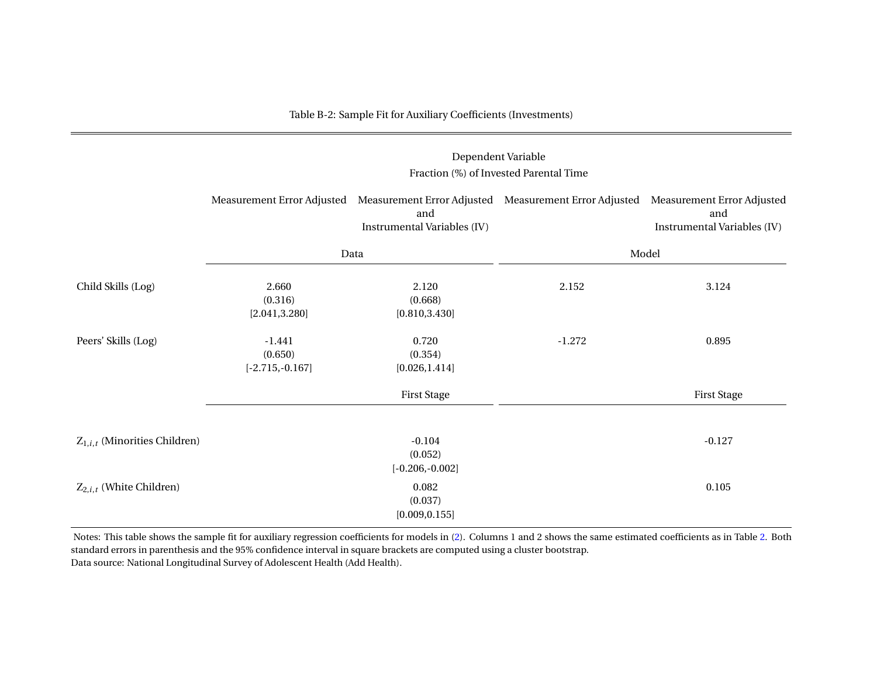#### Table B-2: Sample Fit for Auxiliary Coefficients (Investments)

# Dependent Variable Fraction (%) of Invested Parental TimeMeasurement Error Adjusted Measurement Error Adjusted Measurement Error Adjusted Measurement Error Adjustedand and Instrumental Variables (IV) Instrumental Variables (IV)Data Model Child Skills (Log) 2.660 2.120 2.152 2.152 3.124  $(0.316)$   $(0.668)$  $[0.810, 3.430]$  $[2.041, 3.280]$ Peers' Skills (Log) -1.441 0.720 -1.272 0.895  $(0.650)$   $(0.354)$  $[0.026, 1.414]$  $[-2.715,-0.167]$ First Stage First Stage First Stage First Stage First Stage First Stage First Stage First Stage First Stage First Stage First Stage First Stage First Stage First Stage First Stage First Stage First Stage First Stage First

| $Z_{1,i,t}$ (Minorities Children) | $-0.104$          | $-0.127$ |
|-----------------------------------|-------------------|----------|
|                                   | (0.052)           |          |
|                                   | $[-0.206,-0.002]$ |          |
| $Z_{2,i,t}$ (White Children)      | 0.082             | 0.105    |
|                                   | (0.037)           |          |
|                                   | [0.009, 0.155]    |          |

Notes: This table shows the sample fit for auxiliary regression coefficients for models in [\(2\)](#page-12-0). Columns 1 and 2 shows the same estimated coefficients as in Table [2.](#page-55-0) Both standard errors in parenthesis and the 95% confidence interval in square brackets are computed using <sup>a</sup> cluster bootstrap.Data source: National Longitudinal Survey of Adolescent Health (Add Health).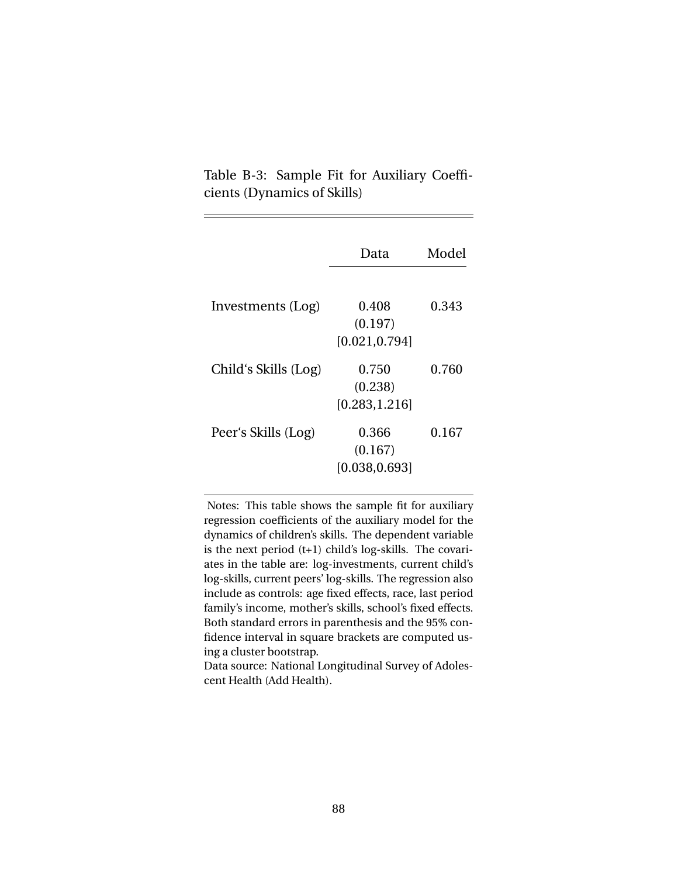Table B-3: Sample Fit for Auxiliary Coefficients (Dynamics of Skills)

|                      | Data                               | Model |
|----------------------|------------------------------------|-------|
| Investments (Log)    | 0.408<br>(0.197)<br>[0.021, 0.794] | 0.343 |
| Child's Skills (Log) | 0.750<br>(0.238)<br>[0.283, 1.216] | 0.760 |
| Peer's Skills (Log)  | 0.366<br>(0.167)<br>[0.038, 0.693] | 0.167 |

Notes: This table shows the sample fit for auxiliary regression coefficients of the auxiliary model for the dynamics of children's skills. The dependent variable is the next period (t+1) child's log-skills. The covariates in the table are: log-investments, current child's log-skills, current peers' log-skills. The regression also include as controls: age fixed effects, race, last period family's income, mother's skills, school's fixed effects. Both standard errors in parenthesis and the 95% confidence interval in square brackets are computed using a cluster bootstrap.

Data source: National Longitudinal Survey of Adolescent Health (Add Health).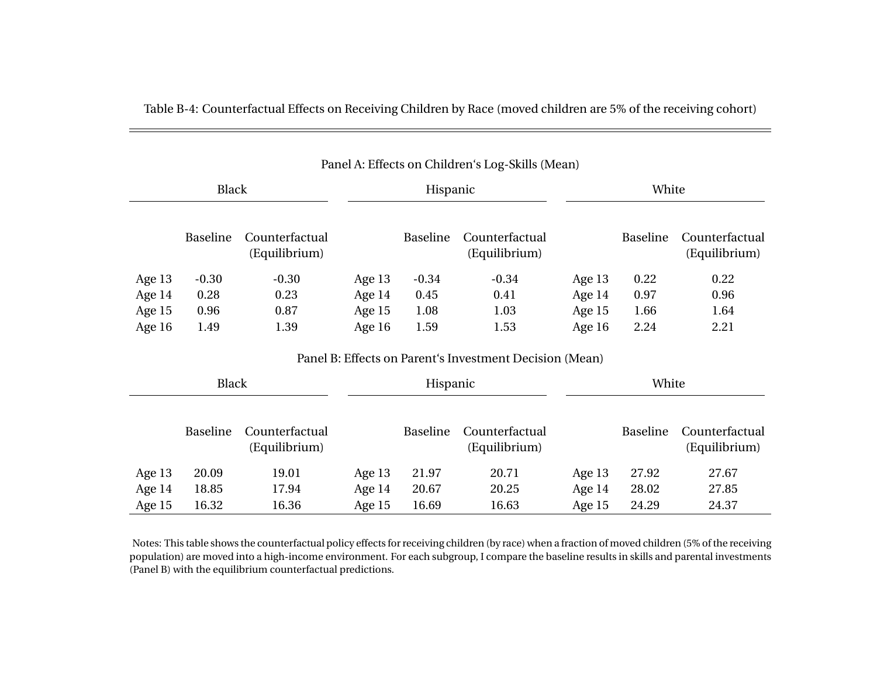| Panel A: Effects on Children's Log-Skills (Mean) |              |                                 |          |                 |                                 |          |                 |                                 |
|--------------------------------------------------|--------------|---------------------------------|----------|-----------------|---------------------------------|----------|-----------------|---------------------------------|
|                                                  | <b>Black</b> |                                 | Hispanic |                 |                                 | White    |                 |                                 |
|                                                  | Baseline     | Counterfactual<br>(Equilibrium) |          | <b>Baseline</b> | Counterfactual<br>(Equilibrium) |          | <b>Baseline</b> | Counterfactual<br>(Equilibrium) |
| Age 13                                           | $-0.30$      | $-0.30$                         | Age $13$ | $-0.34$         | $-0.34$                         | Age $13$ | 0.22            | 0.22                            |
| Age $14$                                         | 0.28         | 0.23                            | Age 14   | 0.45            | 0.41                            | Age 14   | 0.97            | 0.96                            |
| Age $15$                                         | 0.96         | 0.87                            | Age $15$ | 1.08            | 1.03                            | Age $15$ | 1.66            | 1.64                            |
| Age $16$                                         | 1.49         | 1.39                            | Age $16$ | 1.59            | 1.53                            | Age $16$ | 2.24            | 2.21                            |

Table B-4: Counterfactual Effects on Receiving Children by Race (moved children are 5% of the receiving cohort)

#### Panel B: Effects on Parent's Investment Decision (Mean)

| <b>Black</b> |          | Hispanic                        |          |                 | White                           |          |                 |                                 |
|--------------|----------|---------------------------------|----------|-----------------|---------------------------------|----------|-----------------|---------------------------------|
|              | Baseline | Counterfactual<br>(Equilibrium) |          | <b>Baseline</b> | Counterfactual<br>(Equilibrium) |          | <b>Baseline</b> | Counterfactual<br>(Equilibrium) |
| Age 13       | 20.09    | 19.01                           | Age $13$ | 21.97           | 20.71                           | Age 13   | 27.92           | 27.67                           |
| Age 14       | 18.85    | 17.94                           | Age $14$ | 20.67           | 20.25                           | Age $14$ | 28.02           | 27.85                           |
| Age $15$     | 16.32    | 16.36                           | Age $15$ | 16.69           | 16.63                           | Age $15$ | 24.29           | 24.37                           |

Notes: This table shows the counterfactual policy effects for receiving children (by race) when <sup>a</sup> fraction of moved children (5% of the receiving population) are moved into <sup>a</sup> high-income environment. For each subgroup, I compare the baseline results in skills and parental investments(Panel B) with the equilibrium counterfactual predictions.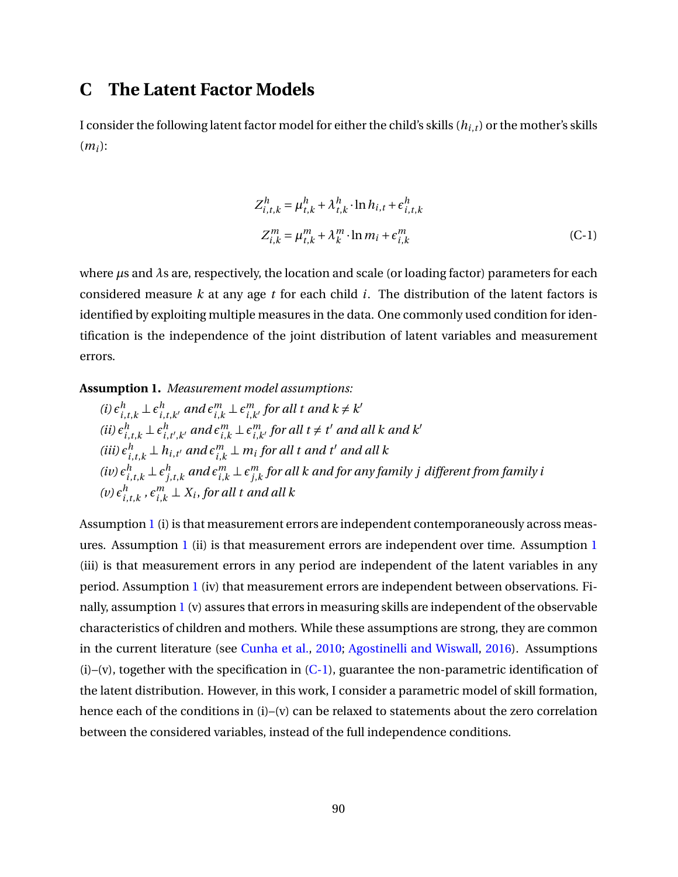# **C The Latent Factor Models**

I consider the following latent factor model for either the child's skills (*hi*,*t*) or the mother's skills (*mi*):

<span id="page-91-1"></span>
$$
Z_{i,t,k}^h = \mu_{t,k}^h + \lambda_{t,k}^h \cdot \ln h_{i,t} + \epsilon_{i,t,k}^h
$$
  

$$
Z_{i,k}^m = \mu_{t,k}^m + \lambda_k^m \cdot \ln m_i + \epsilon_{i,k}^m
$$
 (C-1)

where *µ*s and *λ*s are, respectively, the location and scale (or loading factor) parameters for each considered measure *k* at any age *t* for each child *i*. The distribution of the latent factors is identified by exploiting multiple measures in the data. One commonly used condition for identification is the independence of the joint distribution of latent variables and measurement errors.

<span id="page-91-0"></span>**Assumption 1.** *Measurement model assumptions:*

(i) 
$$
\epsilon_{i,t,k}^h \perp \epsilon_{i,t,k'}^h
$$
 and  $\epsilon_{i,k}^m \perp \epsilon_{i,k'}^m$  for all  $t$  and  $k \neq k'$   
\n(ii)  $\epsilon_{i,t,k}^h \perp \epsilon_{i,t',k'}^h$  and  $\epsilon_{i,k}^m \perp \epsilon_{i,k'}^m$  for all  $t \neq t'$  and all  $k$  and  $k'$   
\n(iii)  $\epsilon_{i,t,k}^h \perp h_{i,t'}$  and  $\epsilon_{i,k}^m \perp m_i$  for all  $t$  and  $t'$  and all  $k$   
\n(iv)  $\epsilon_{i,t,k}^h \perp \epsilon_{j,t,k}^h$  and  $\epsilon_{i,k}^m \perp \epsilon_{j,k}^m$  for all  $k$  and for any family  $j$  different from family  $i$   
\n(v)  $\epsilon_{i,t,k}^h$ ,  $\epsilon_{i,k}^m \perp X_i$ , for all  $t$  and all  $k$ 

Assumption [1](#page-91-0) (i) is that measurement errors are independent contemporaneously across measures. Assumption [1](#page-91-0) (ii) is that measurement errors are independent over time. Assumption [1](#page-91-0) (iii) is that measurement errors in any period are independent of the latent variables in any period. Assumption [1](#page-91-0) (iv) that measurement errors are independent between observations. Finally, assumption [1](#page-91-0) (v) assures that errors in measuring skills are independent of the observable characteristics of children and mothers. While these assumptions are strong, they are common in the current literature (see [Cunha et al.,](#page-50-0) [2010;](#page-50-0) [Agostinelli and Wiswall,](#page-48-0) [2016\)](#page-48-0). Assumptions  $(i)$ –(v), together with the specification in  $(C-1)$ , guarantee the non-parametric identification of the latent distribution. However, in this work, I consider a parametric model of skill formation, hence each of the conditions in (i)–(v) can be relaxed to statements about the zero correlation between the considered variables, instead of the full independence conditions.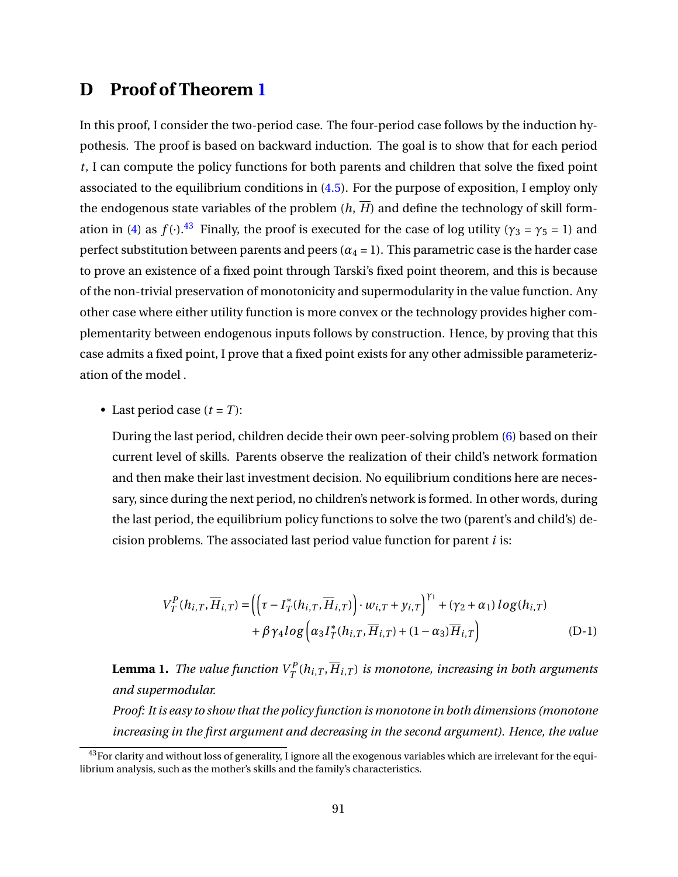# **D Proof of Theorem [1](#page-24-0)**

In this proof, I consider the two-period case. The four-period case follows by the induction hypothesis. The proof is based on backward induction. The goal is to show that for each period *t*, I can compute the policy functions for both parents and children that solve the fixed point associated to the equilibrium conditions in [\(4.5\)](#page-24-1). For the purpose of exposition, I employ only the endogenous state variables of the problem  $(h, \overline{H})$  and define the technology of skill form-ation in [\(4\)](#page-17-0) as  $f(\cdot)$ .<sup>[43](#page-92-0)</sup> Finally, the proof is executed for the case of log utility ( $\gamma_3 = \gamma_5 = 1$ ) and perfect substitution between parents and peers  $(\alpha_4 = 1)$ . This parametric case is the harder case to prove an existence of a fixed point through Tarski's fixed point theorem, and this is because of the non-trivial preservation of monotonicity and supermodularity in the value function. Any other case where either utility function is more convex or the technology provides higher complementarity between endogenous inputs follows by construction. Hence, by proving that this case admits a fixed point, I prove that a fixed point exists for any other admissible parameterization of the model .

• Last period case  $(t = T)$ :

During the last period, children decide their own peer-solving problem [\(6\)](#page-19-0) based on their current level of skills. Parents observe the realization of their child's network formation and then make their last investment decision. No equilibrium conditions here are necessary, since during the next period, no children's network is formed. In other words, during the last period, the equilibrium policy functions to solve the two (parent's and child's) decision problems. The associated last period value function for parent *i* is:

$$
V_T^P(h_{i,T}, \overline{H}_{i,T}) = \left( \left( \tau - I_T^*(h_{i,T}, \overline{H}_{i,T}) \right) \cdot w_{i,T} + y_{i,T} \right)^{\gamma_1} + (\gamma_2 + \alpha_1) \log(h_{i,T}) + \beta \gamma_4 \log \left( \alpha_3 I_T^*(h_{i,T}, \overline{H}_{i,T}) + (1 - \alpha_3) \overline{H}_{i,T} \right)
$$
(D-1)

<span id="page-92-1"></span>**Lemma 1.** *The value function*  $V^P_T(h_{i,T}, \overline{H}_{i,T})$  *is monotone, increasing in both arguments and supermodular.*

*Proof: It is easy to show that the policy function is monotone in both dimensions (monotone increasing in the first argument and decreasing in the second argument). Hence, the value*

<span id="page-92-0"></span> $43$  For clarity and without loss of generality, I ignore all the exogenous variables which are irrelevant for the equilibrium analysis, such as the mother's skills and the family's characteristics.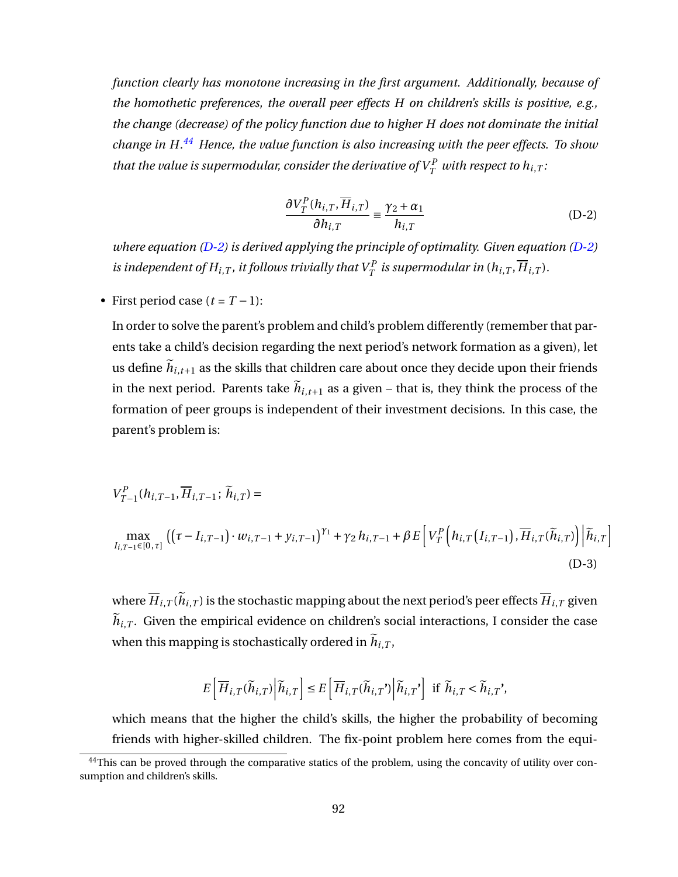*function clearly has monotone increasing in the first argument. Additionally, because of the homothetic preferences, the overall peer effects H on children's skills is positive, e.g., the change (decrease) of the policy function due to higher H does not dominate the initial change in H.[44](#page-93-0) Hence, the value function is also increasing with the peer effects. To show that the value is supermodular, consider the derivative of*  $V^P_T$  *with respect to*  $h_{i,T}$  *:* 

<span id="page-93-1"></span>
$$
\frac{\partial V_T^P(h_{i,T}, \overline{H}_{i,T})}{\partial h_{i,T}} \equiv \frac{\gamma_2 + \alpha_1}{h_{i,T}}
$$
 (D-2)

*where equation [\(D-2\)](#page-93-1) is derived applying the principle of optimality. Given equation [\(D-2\)](#page-93-1) is independent of*  $H_{i,T}$  *, it follows trivially that*  $V^P_T$  *is supermodular in*  $(h_{i,T},\overline{H}_{i,T})$ *.* 

• First period case  $(t = T - 1)$ :

In order to solve the parent's problem and child's problem differently (remember that parents take a child's decision regarding the next period's network formation as a given), let us define  $h_{i,t+1}$  as the skills that children care about once they decide upon their friends in the next period. Parents take  $h_{i,t+1}$  as a given – that is, they think the process of the formation of peer groups is independent of their investment decisions. In this case, the parent's problem is:

$$
V_{T-1}^{P}(h_{i,T-1}, \overline{H}_{i,T-1}; \widetilde{h}_{i,T}) =
$$
  
\n
$$
\max_{I_{i,T-1} \in [0,\tau]} ((\tau - I_{i,T-1}) \cdot w_{i,T-1} + y_{i,T-1})^{\gamma_1} + \gamma_2 h_{i,T-1} + \beta E \left[ V_T^P \left( h_{i,T} (I_{i,T-1}), \overline{H}_{i,T} (\widetilde{h}_{i,T}) \right) \middle| \widetilde{h}_{i,T} \right]
$$
\n(D-3)

where  $H_{i,T}(h_{i,T})$  is the stochastic mapping about the next period's peer effects  $H_{i,T}$  given  $h_{i,T}$ . Given the empirical evidence on children's social interactions, I consider the case when this mapping is stochastically ordered in  $h_{i,T}$ ,

<span id="page-93-2"></span>
$$
E\left[\overline{H}_{i,T}(\widetilde{h}_{i,T})\middle|\widetilde{h}_{i,T}\right]\leq E\left[\overline{H}_{i,T}(\widetilde{h}_{i,T'})\middle|\widetilde{h}_{i,T'}\right] \text{ if } \widetilde{h}_{i,T}<\widetilde{h}_{i,T'},
$$

which means that the higher the child's skills, the higher the probability of becoming friends with higher-skilled children. The fix-point problem here comes from the equi-

<span id="page-93-0"></span> $44$ This can be proved through the comparative statics of the problem, using the concavity of utility over consumption and children's skills.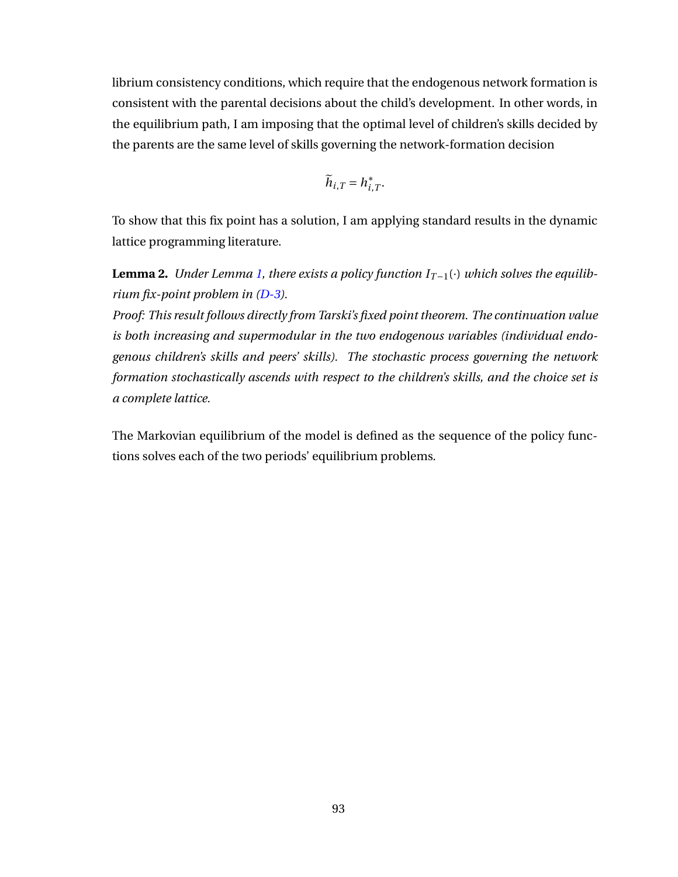librium consistency conditions, which require that the endogenous network formation is consistent with the parental decisions about the child's development. In other words, in the equilibrium path, I am imposing that the optimal level of children's skills decided by the parents are the same level of skills governing the network-formation decision

$$
\widetilde{h}_{i,T}=h_{i,T}^*.
$$

To show that this fix point has a solution, I am applying standard results in the dynamic lattice programming literature.

**Lemma 2.** *Under Lemma [1,](#page-92-1) there exists a policy function*  $I_{T-1}(\cdot)$  *which solves the equilibrium fix-point problem in [\(D-3\)](#page-93-2).*

*Proof: This result follows directly from Tarski's fixed point theorem. The continuation value is both increasing and supermodular in the two endogenous variables (individual endogenous children's skills and peers' skills). The stochastic process governing the network formation stochastically ascends with respect to the children's skills, and the choice set is a complete lattice.*

The Markovian equilibrium of the model is defined as the sequence of the policy functions solves each of the two periods' equilibrium problems.